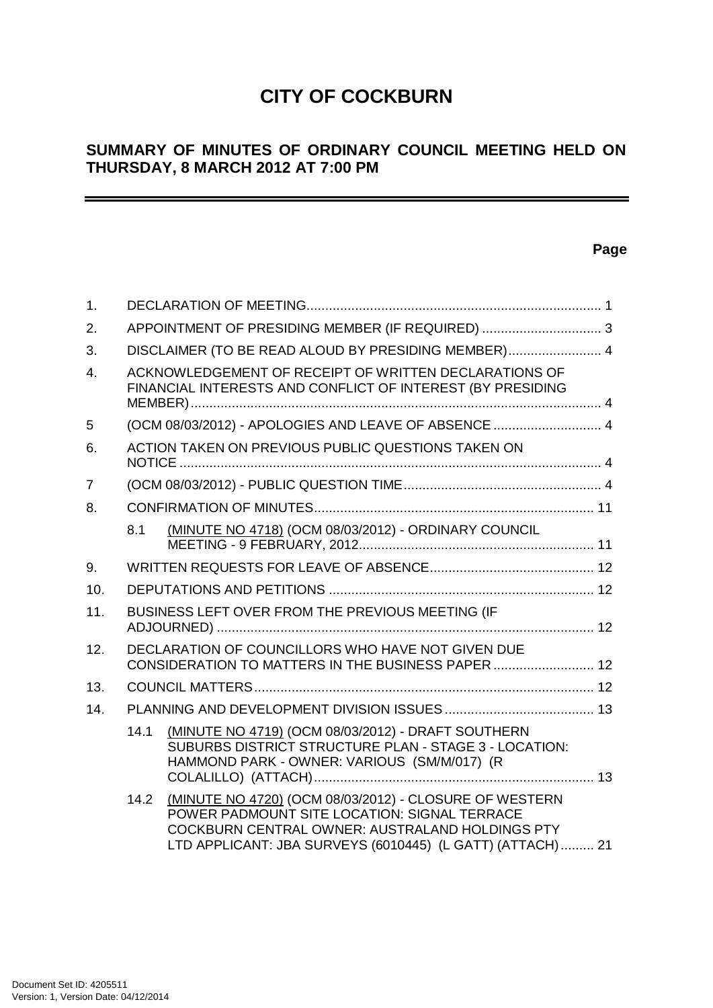# **CITY OF COCKBURN**

# **SUMMARY OF MINUTES OF ORDINARY COUNCIL MEETING HELD ON THURSDAY, 8 MARCH 2012 AT 7:00 PM**

# **Page**

 $\overline{\phantom{0}}$ 

| 1 <sub>1</sub>   |      |                                                                                                                                                                                                                        |  |
|------------------|------|------------------------------------------------------------------------------------------------------------------------------------------------------------------------------------------------------------------------|--|
| 2.               |      | APPOINTMENT OF PRESIDING MEMBER (IF REQUIRED)  3                                                                                                                                                                       |  |
| 3.               |      | DISCLAIMER (TO BE READ ALOUD BY PRESIDING MEMBER) 4                                                                                                                                                                    |  |
| $\overline{4}$ . |      | ACKNOWLEDGEMENT OF RECEIPT OF WRITTEN DECLARATIONS OF<br>FINANCIAL INTERESTS AND CONFLICT OF INTEREST (BY PRESIDING                                                                                                    |  |
| 5                |      | (OCM 08/03/2012) - APOLOGIES AND LEAVE OF ABSENCE  4                                                                                                                                                                   |  |
| 6.               |      | ACTION TAKEN ON PREVIOUS PUBLIC QUESTIONS TAKEN ON                                                                                                                                                                     |  |
| 7                |      |                                                                                                                                                                                                                        |  |
| 8.               |      |                                                                                                                                                                                                                        |  |
|                  | 8.1  | (MINUTE NO 4718) (OCM 08/03/2012) - ORDINARY COUNCIL                                                                                                                                                                   |  |
| 9.               |      |                                                                                                                                                                                                                        |  |
| 10.              |      |                                                                                                                                                                                                                        |  |
| 11.              |      | BUSINESS LEFT OVER FROM THE PREVIOUS MEETING (IF                                                                                                                                                                       |  |
| 12.              |      | DECLARATION OF COUNCILLORS WHO HAVE NOT GIVEN DUE<br>CONSIDERATION TO MATTERS IN THE BUSINESS PAPER  12                                                                                                                |  |
| 13.              |      |                                                                                                                                                                                                                        |  |
| 14.              |      |                                                                                                                                                                                                                        |  |
|                  | 14.1 | (MINUTE NO 4719) (OCM 08/03/2012) - DRAFT SOUTHERN<br>SUBURBS DISTRICT STRUCTURE PLAN - STAGE 3 - LOCATION:<br>HAMMOND PARK - OWNER: VARIOUS (SM/M/017) (R                                                             |  |
|                  | 14.2 | (MINUTE NO 4720) (OCM 08/03/2012) - CLOSURE OF WESTERN<br>POWER PADMOUNT SITE LOCATION: SIGNAL TERRACE<br>COCKBURN CENTRAL OWNER: AUSTRALAND HOLDINGS PTY<br>LTD APPLICANT: JBA SURVEYS (6010445) (L GATT) (ATTACH) 21 |  |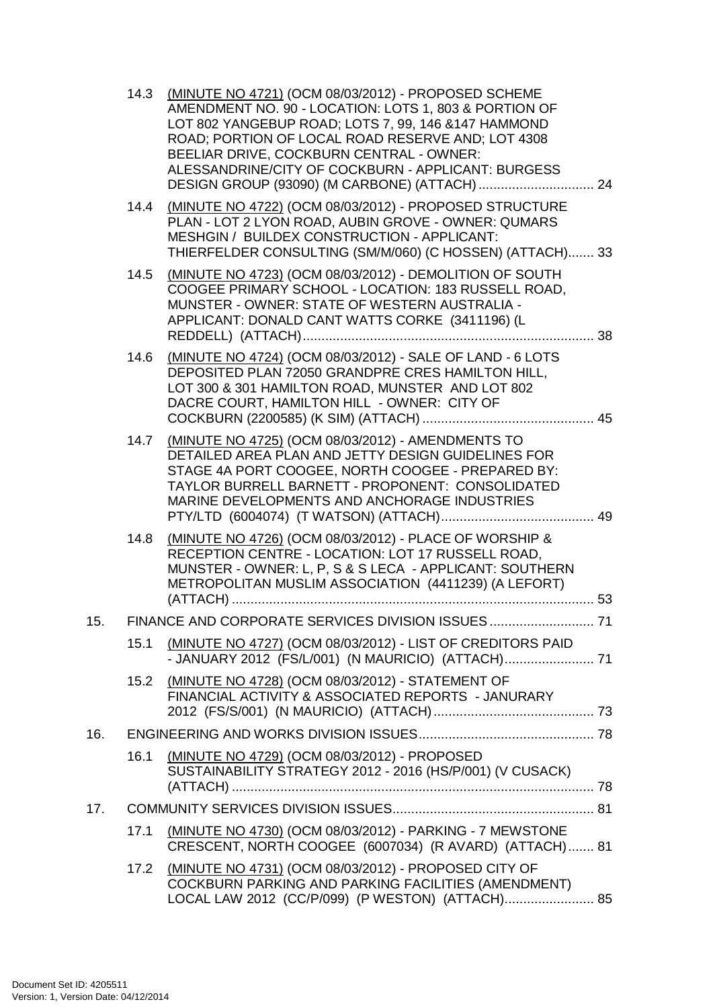|     | 14.3 | (MINUTE NO 4721) (OCM 08/03/2012) - PROPOSED SCHEME<br>AMENDMENT NO. 90 - LOCATION: LOTS 1, 803 & PORTION OF<br>LOT 802 YANGEBUP ROAD; LOTS 7, 99, 146 & 147 HAMMOND<br>ROAD; PORTION OF LOCAL ROAD RESERVE AND; LOT 4308<br>BEELIAR DRIVE, COCKBURN CENTRAL - OWNER:<br>ALESSANDRINE/CITY OF COCKBURN - APPLICANT: BURGESS |  |
|-----|------|-----------------------------------------------------------------------------------------------------------------------------------------------------------------------------------------------------------------------------------------------------------------------------------------------------------------------------|--|
|     | 14.4 | (MINUTE NO 4722) (OCM 08/03/2012) - PROPOSED STRUCTURE<br>PLAN - LOT 2 LYON ROAD, AUBIN GROVE - OWNER: QUMARS<br>MESHGIN / BUILDEX CONSTRUCTION - APPLICANT:<br>THIERFELDER CONSULTING (SM/M/060) (C HOSSEN) (ATTACH) 33                                                                                                    |  |
|     | 14.5 | (MINUTE NO 4723) (OCM 08/03/2012) - DEMOLITION OF SOUTH<br>COOGEE PRIMARY SCHOOL - LOCATION: 183 RUSSELL ROAD,<br>MUNSTER - OWNER: STATE OF WESTERN AUSTRALIA -<br>APPLICANT: DONALD CANT WATTS CORKE (3411196) (L                                                                                                          |  |
|     | 14.6 | (MINUTE NO 4724) (OCM 08/03/2012) - SALE OF LAND - 6 LOTS<br>DEPOSITED PLAN 72050 GRANDPRE CRES HAMILTON HILL,<br>LOT 300 & 301 HAMILTON ROAD, MUNSTER AND LOT 802<br>DACRE COURT, HAMILTON HILL - OWNER: CITY OF                                                                                                           |  |
|     | 14.7 | (MINUTE NO 4725) (OCM 08/03/2012) - AMENDMENTS TO<br>DETAILED AREA PLAN AND JETTY DESIGN GUIDELINES FOR<br>STAGE 4A PORT COOGEE, NORTH COOGEE - PREPARED BY:<br>TAYLOR BURRELL BARNETT - PROPONENT: CONSOLIDATED<br>MARINE DEVELOPMENTS AND ANCHORAGE INDUSTRIES                                                            |  |
|     | 14.8 | (MINUTE NO 4726) (OCM 08/03/2012) - PLACE OF WORSHIP &<br>RECEPTION CENTRE - LOCATION: LOT 17 RUSSELL ROAD,<br>MUNSTER - OWNER: L, P, S & S LECA - APPLICANT: SOUTHERN<br>METROPOLITAN MUSLIM ASSOCIATION (4411239) (A LEFORT)                                                                                              |  |
| 15. |      |                                                                                                                                                                                                                                                                                                                             |  |
|     | 15.1 | (MINUTE NO 4727) (OCM 08/03/2012) - LIST OF CREDITORS PAID<br>- JANUARY 2012 (FS/L/001) (N MAURICIO) (ATTACH) 71                                                                                                                                                                                                            |  |
|     |      | 15.2 (MINUTE NO 4728) (OCM 08/03/2012) - STATEMENT OF<br>FINANCIAL ACTIVITY & ASSOCIATED REPORTS - JANURARY                                                                                                                                                                                                                 |  |
| 16. |      |                                                                                                                                                                                                                                                                                                                             |  |
|     | 16.1 | (MINUTE NO 4729) (OCM 08/03/2012) - PROPOSED<br>SUSTAINABILITY STRATEGY 2012 - 2016 (HS/P/001) (V CUSACK)                                                                                                                                                                                                                   |  |
| 17. |      |                                                                                                                                                                                                                                                                                                                             |  |
|     | 17.1 | (MINUTE NO 4730) (OCM 08/03/2012) - PARKING - 7 MEWSTONE<br>CRESCENT, NORTH COOGEE (6007034) (R AVARD) (ATTACH) 81                                                                                                                                                                                                          |  |
|     |      | 17.2 (MINUTE NO 4731) (OCM 08/03/2012) - PROPOSED CITY OF<br>COCKBURN PARKING AND PARKING FACILITIES (AMENDMENT)<br>LOCAL LAW 2012 (CC/P/099) (P WESTON) (ATTACH) 85                                                                                                                                                        |  |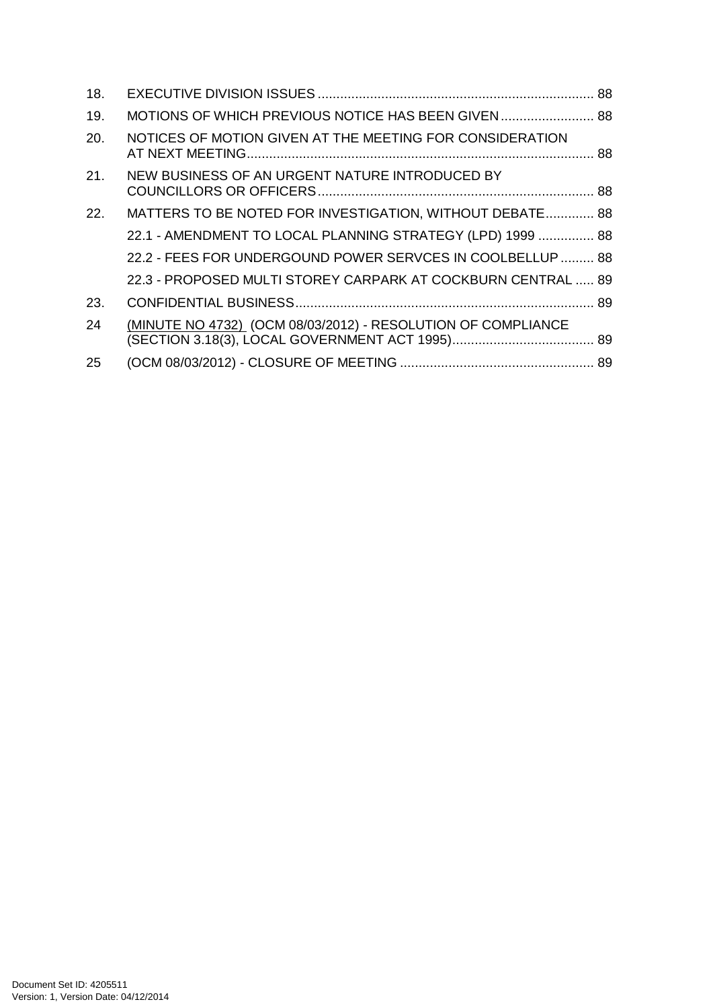| 18. |                                                              |  |
|-----|--------------------------------------------------------------|--|
| 19. | MOTIONS OF WHICH PREVIOUS NOTICE HAS BEEN GIVEN  88          |  |
| 20. | NOTICES OF MOTION GIVEN AT THE MEETING FOR CONSIDERATION     |  |
| 21. | NEW BUSINESS OF AN URGENT NATURE INTRODUCED BY               |  |
| 22. | MATTERS TO BE NOTED FOR INVESTIGATION, WITHOUT DEBATE 88     |  |
|     | 22.1 - AMENDMENT TO LOCAL PLANNING STRATEGY (LPD) 1999  88   |  |
|     | 22.2 - FEES FOR UNDERGOUND POWER SERVCES IN COOLBELLUP  88   |  |
|     | 22.3 - PROPOSED MULTI STOREY CARPARK AT COCKBURN CENTRAL  89 |  |
| 23. |                                                              |  |
| 24  | (MINUTE NO 4732) (OCM 08/03/2012) - RESOLUTION OF COMPLIANCE |  |
| 25  |                                                              |  |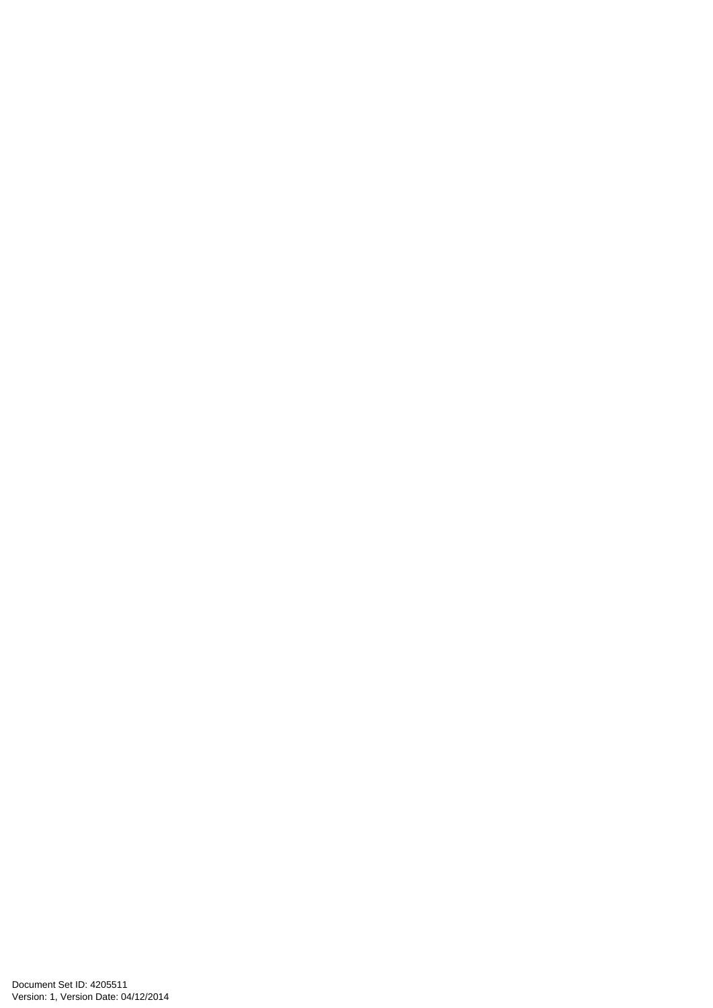Document Set ID: 4205511<br>Version: 1, Version Date: 04/12/2014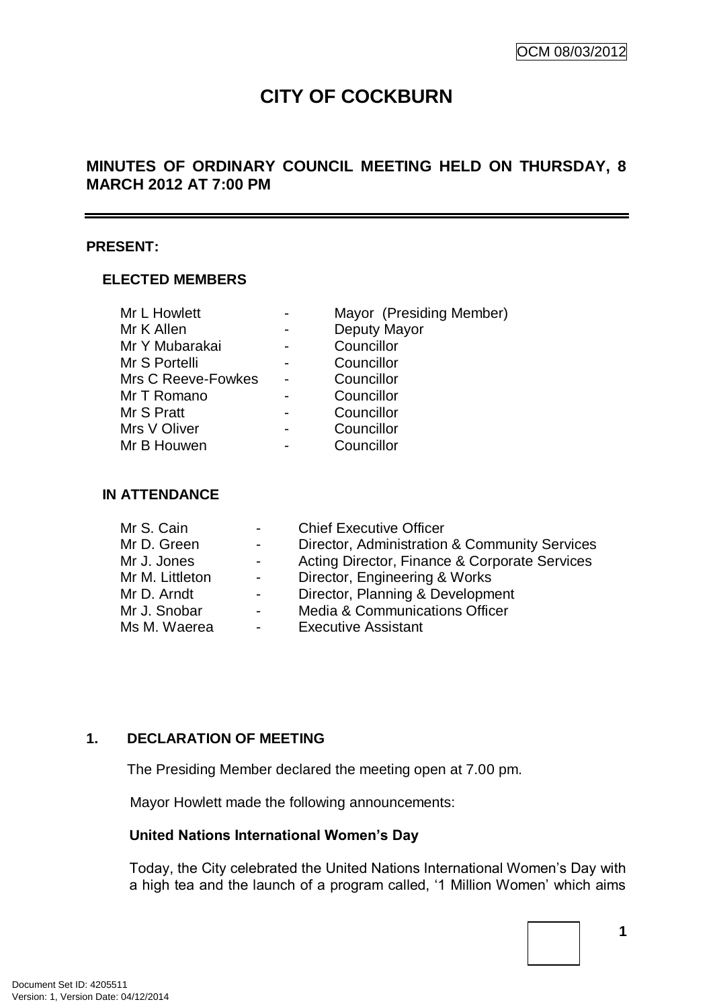# **CITY OF COCKBURN**

# **MINUTES OF ORDINARY COUNCIL MEETING HELD ON THURSDAY, 8 MARCH 2012 AT 7:00 PM**

#### **PRESENT:**

#### **ELECTED MEMBERS**

| Mr L Howlett       | Mayor (Presiding Member) |
|--------------------|--------------------------|
| Mr K Allen         | Deputy Mayor             |
| Mr Y Mubarakai     | Councillor               |
| Mr S Portelli      | Councillor               |
| Mrs C Reeve-Fowkes | Councillor               |
| Mr T Romano        | Councillor               |
| Mr S Pratt         | Councillor               |
| Mrs V Oliver       | Councillor               |
| Mr B Houwen        | Councillor               |

#### **IN ATTENDANCE**

| <b>Chief Executive Officer</b>                |
|-----------------------------------------------|
| Director, Administration & Community Services |
| Acting Director, Finance & Corporate Services |
| Director, Engineering & Works                 |
| Director, Planning & Development              |
| <b>Media &amp; Communications Officer</b>     |
| <b>Executive Assistant</b>                    |
|                                               |

# **1. DECLARATION OF MEETING**

The Presiding Member declared the meeting open at 7.00 pm.

Mayor Howlett made the following announcements:

#### **United Nations International Women's Day**

Today, the City celebrated the United Nations International Women"s Day with a high tea and the launch of a program called, "1 Million Women" which aims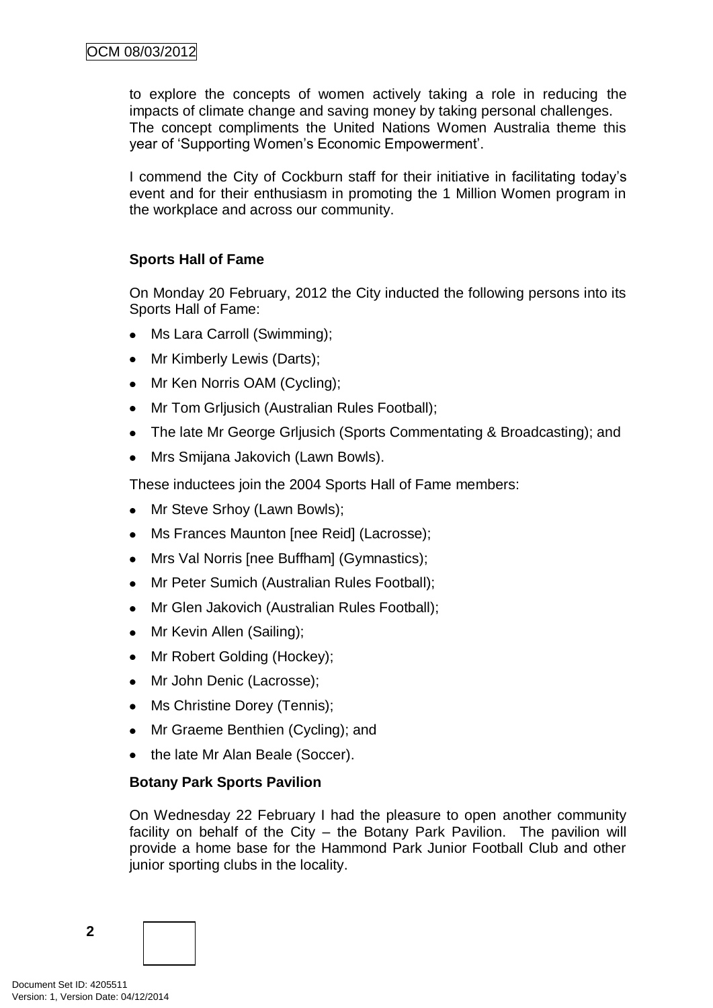to explore the concepts of women actively taking a role in reducing the impacts of climate change and saving money by taking personal challenges. The concept compliments the United Nations Women Australia theme this year of 'Supporting Women's Economic Empowerment'.

I commend the City of Cockburn staff for their initiative in facilitating today"s event and for their enthusiasm in promoting the 1 Million Women program in the workplace and across our community.

# **Sports Hall of Fame**

On Monday 20 February, 2012 the City inducted the following persons into its Sports Hall of Fame:

- Ms Lara Carroll (Swimming);  $\bullet$
- Mr Kimberly Lewis (Darts);  $\bullet$
- Mr Ken Norris OAM (Cycling);  $\bullet$
- Mr Tom Grljusich (Australian Rules Football);  $\bullet$
- The late Mr George Grijusich (Sports Commentating & Broadcasting); and
- Mrs Smijana Jakovich (Lawn Bowls).

These inductees join the 2004 Sports Hall of Fame members:

- Mr Steve Srhoy (Lawn Bowls);  $\bullet$
- Ms Frances Maunton [nee Reid] (Lacrosse);  $\bullet$
- Mrs Val Norris [nee Buffham] (Gymnastics);  $\bullet$
- Mr Peter Sumich (Australian Rules Football);  $\bullet$
- Mr Glen Jakovich (Australian Rules Football);
- Mr Kevin Allen (Sailing);
- Mr Robert Golding (Hockey);  $\bullet$
- Mr John Denic (Lacrosse);  $\bullet$
- Ms Christine Dorey (Tennis);  $\bullet$
- Mr Graeme Benthien (Cycling); and  $\bullet$
- the late Mr Alan Beale (Soccer).

# **Botany Park Sports Pavilion**

On Wednesday 22 February I had the pleasure to open another community facility on behalf of the City – the Botany Park Pavilion. The pavilion will provide a home base for the Hammond Park Junior Football Club and other junior sporting clubs in the locality.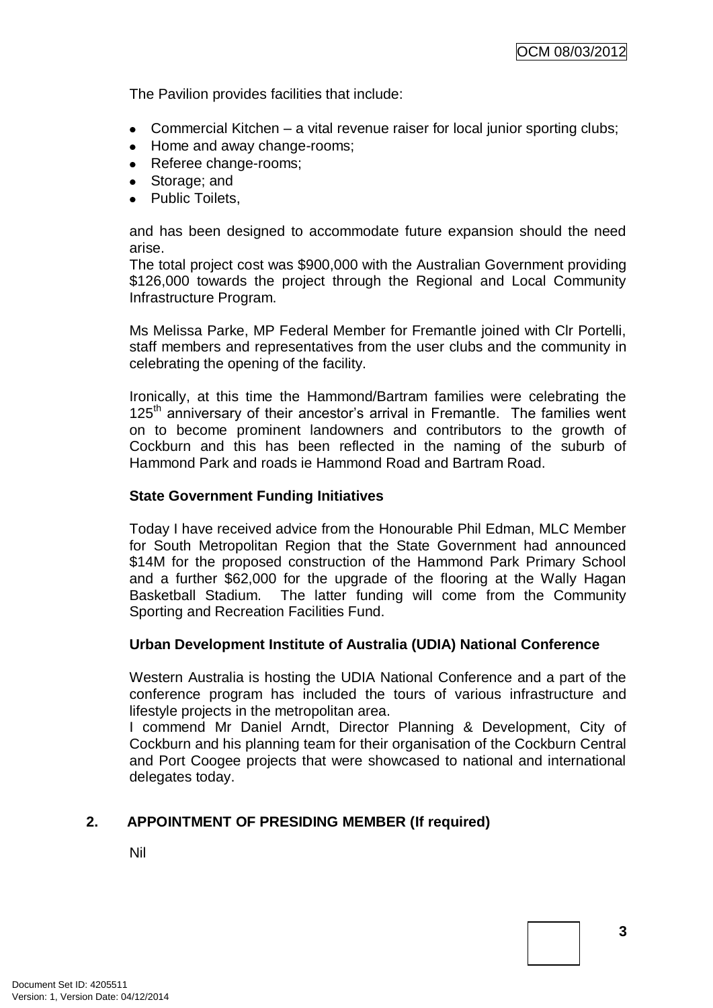The Pavilion provides facilities that include:

- Commercial Kitchen a vital revenue raiser for local junior sporting clubs;
- Home and away change-rooms;
- Referee change-rooms;
- Storage; and
- Public Toilets,

and has been designed to accommodate future expansion should the need arise.

The total project cost was \$900,000 with the Australian Government providing \$126,000 towards the project through the Regional and Local Community Infrastructure Program.

Ms Melissa Parke, MP Federal Member for Fremantle joined with Clr Portelli, staff members and representatives from the user clubs and the community in celebrating the opening of the facility.

Ironically, at this time the Hammond/Bartram families were celebrating the 125<sup>th</sup> anniversary of their ancestor's arrival in Fremantle. The families went on to become prominent landowners and contributors to the growth of Cockburn and this has been reflected in the naming of the suburb of Hammond Park and roads ie Hammond Road and Bartram Road.

# **State Government Funding Initiatives**

Today I have received advice from the Honourable Phil Edman, MLC Member for South Metropolitan Region that the State Government had announced \$14M for the proposed construction of the Hammond Park Primary School and a further \$62,000 for the upgrade of the flooring at the Wally Hagan Basketball Stadium. The latter funding will come from the Community Sporting and Recreation Facilities Fund.

# **Urban Development Institute of Australia (UDIA) National Conference**

Western Australia is hosting the UDIA National Conference and a part of the conference program has included the tours of various infrastructure and lifestyle projects in the metropolitan area.

I commend Mr Daniel Arndt, Director Planning & Development, City of Cockburn and his planning team for their organisation of the Cockburn Central and Port Coogee projects that were showcased to national and international delegates today.

# **2. APPOINTMENT OF PRESIDING MEMBER (If required)**

Nil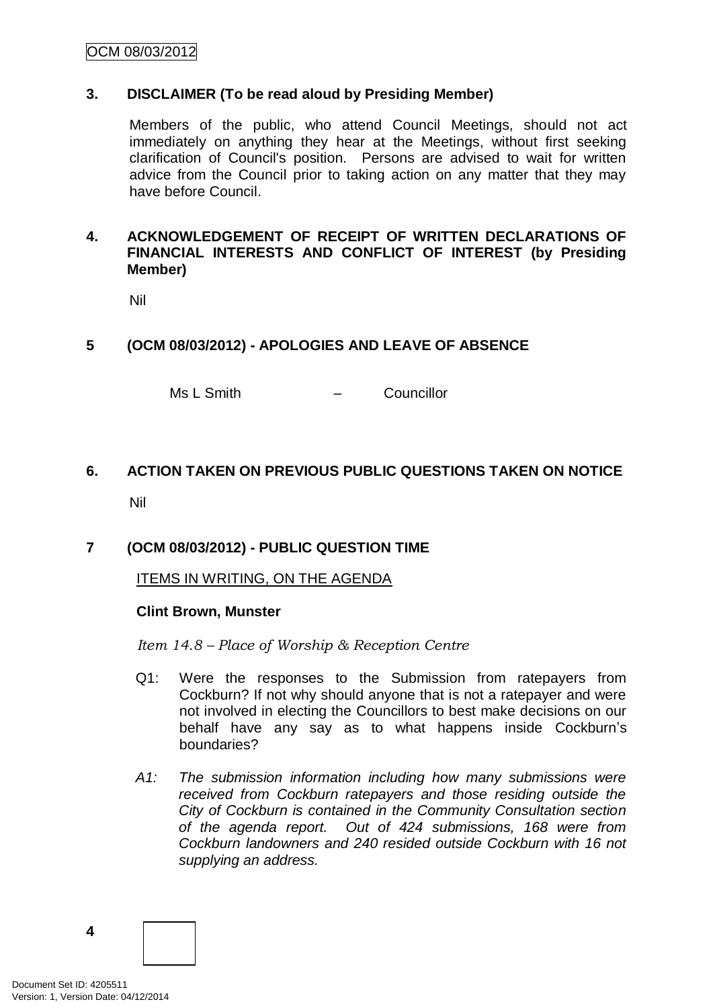# **3. DISCLAIMER (To be read aloud by Presiding Member)**

Members of the public, who attend Council Meetings, should not act immediately on anything they hear at the Meetings, without first seeking clarification of Council's position. Persons are advised to wait for written advice from the Council prior to taking action on any matter that they may have before Council.

# **4. ACKNOWLEDGEMENT OF RECEIPT OF WRITTEN DECLARATIONS OF FINANCIAL INTERESTS AND CONFLICT OF INTEREST (by Presiding Member)**

Nil

# **5 (OCM 08/03/2012) - APOLOGIES AND LEAVE OF ABSENCE**

Ms L Smith – Councillor

# **6. ACTION TAKEN ON PREVIOUS PUBLIC QUESTIONS TAKEN ON NOTICE**

Nil

# **7 (OCM 08/03/2012) - PUBLIC QUESTION TIME**

ITEMS IN WRITING, ON THE AGENDA

# **Clint Brown, Munster**

*Item 14.8 – Place of Worship & Reception Centre* 

- Q1: Were the responses to the Submission from ratepayers from Cockburn? If not why should anyone that is not a ratepayer and were not involved in electing the Councillors to best make decisions on our behalf have any say as to what happens inside Cockburn"s boundaries?
- *A1: The submission information including how many submissions were received from Cockburn ratepayers and those residing outside the City of Cockburn is contained in the Community Consultation section of the agenda report. Out of 424 submissions, 168 were from Cockburn landowners and 240 resided outside Cockburn with 16 not supplying an address.*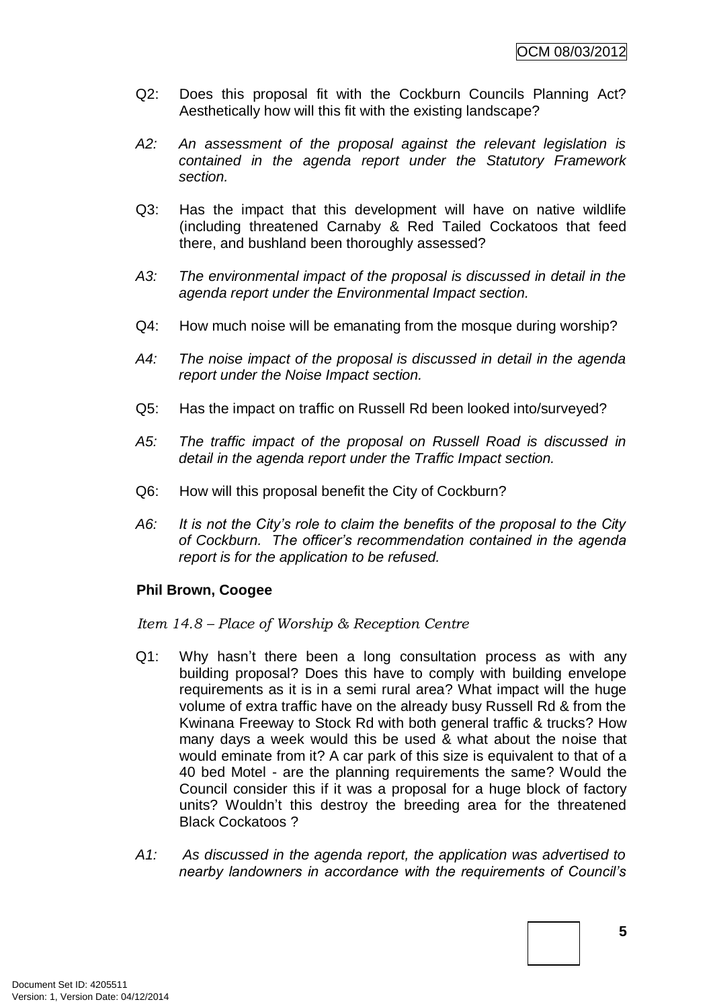- Q2: Does this proposal fit with the Cockburn Councils Planning Act? Aesthetically how will this fit with the existing landscape?
- *A2: An assessment of the proposal against the relevant legislation is contained in the agenda report under the Statutory Framework section.*
- Q3: Has the impact that this development will have on native wildlife (including threatened Carnaby & Red Tailed Cockatoos that feed there, and bushland been thoroughly assessed?
- *A3: The environmental impact of the proposal is discussed in detail in the agenda report under the Environmental Impact section.*
- Q4: How much noise will be emanating from the mosque during worship?
- *A4: The noise impact of the proposal is discussed in detail in the agenda report under the Noise Impact section.*
- Q5: Has the impact on traffic on Russell Rd been looked into/surveyed?
- *A5: The traffic impact of the proposal on Russell Road is discussed in detail in the agenda report under the Traffic Impact section.*
- Q6: How will this proposal benefit the City of Cockburn?
- *A6: It is not the City's role to claim the benefits of the proposal to the City of Cockburn. The officer's recommendation contained in the agenda report is for the application to be refused.*

# **Phil Brown, Coogee**

*Item 14.8 – Place of Worship & Reception Centre* 

- Q1: Why hasn't there been a long consultation process as with any building proposal? Does this have to comply with building envelope requirements as it is in a semi rural area? What impact will the huge volume of extra traffic have on the already busy Russell Rd & from the Kwinana Freeway to Stock Rd with both general traffic & trucks? How many days a week would this be used & what about the noise that would eminate from it? A car park of this size is equivalent to that of a 40 bed Motel - are the planning requirements the same? Would the Council consider this if it was a proposal for a huge block of factory units? Wouldn"t this destroy the breeding area for the threatened Black Cockatoos ?
- *A1: As discussed in the agenda report, the application was advertised to nearby landowners in accordance with the requirements of Council's*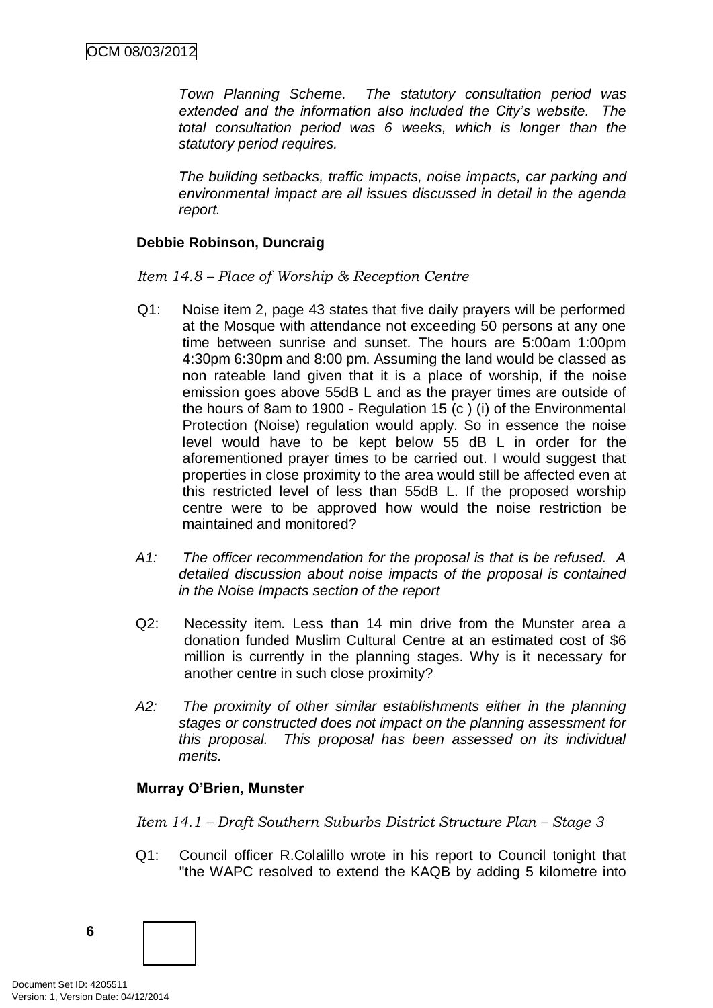*Town Planning Scheme. The statutory consultation period was extended and the information also included the City's website. The total consultation period was 6 weeks, which is longer than the statutory period requires.*

*The building setbacks, traffic impacts, noise impacts, car parking and environmental impact are all issues discussed in detail in the agenda report.*

# **Debbie Robinson, Duncraig**

*Item 14.8 – Place of Worship & Reception Centre* 

- Q1: Noise item 2, page 43 states that five daily prayers will be performed at the Mosque with attendance not exceeding 50 persons at any one time between sunrise and sunset. The hours are 5:00am 1:00pm 4:30pm 6:30pm and 8:00 pm. Assuming the land would be classed as non rateable land given that it is a place of worship, if the noise emission goes above 55dB L and as the prayer times are outside of the hours of 8am to 1900 - Regulation 15 (c ) (i) of the Environmental Protection (Noise) regulation would apply. So in essence the noise level would have to be kept below 55 dB L in order for the aforementioned prayer times to be carried out. I would suggest that properties in close proximity to the area would still be affected even at this restricted level of less than 55dB L. If the proposed worship centre were to be approved how would the noise restriction be maintained and monitored?
- *A1: The officer recommendation for the proposal is that is be refused. A detailed discussion about noise impacts of the proposal is contained in the Noise Impacts section of the report*
- Q2: Necessity item. Less than 14 min drive from the Munster area a donation funded Muslim Cultural Centre at an estimated cost of \$6 million is currently in the planning stages. Why is it necessary for another centre in such close proximity?
- *A2: The proximity of other similar establishments either in the planning stages or constructed does not impact on the planning assessment for this proposal. This proposal has been assessed on its individual merits.*

# **Murray O'Brien, Munster**

*Item 14.1 – Draft Southern Suburbs District Structure Plan – Stage 3* 

Q1: Council officer R.Colalillo wrote in his report to Council tonight that "the WAPC resolved to extend the KAQB by adding 5 kilometre into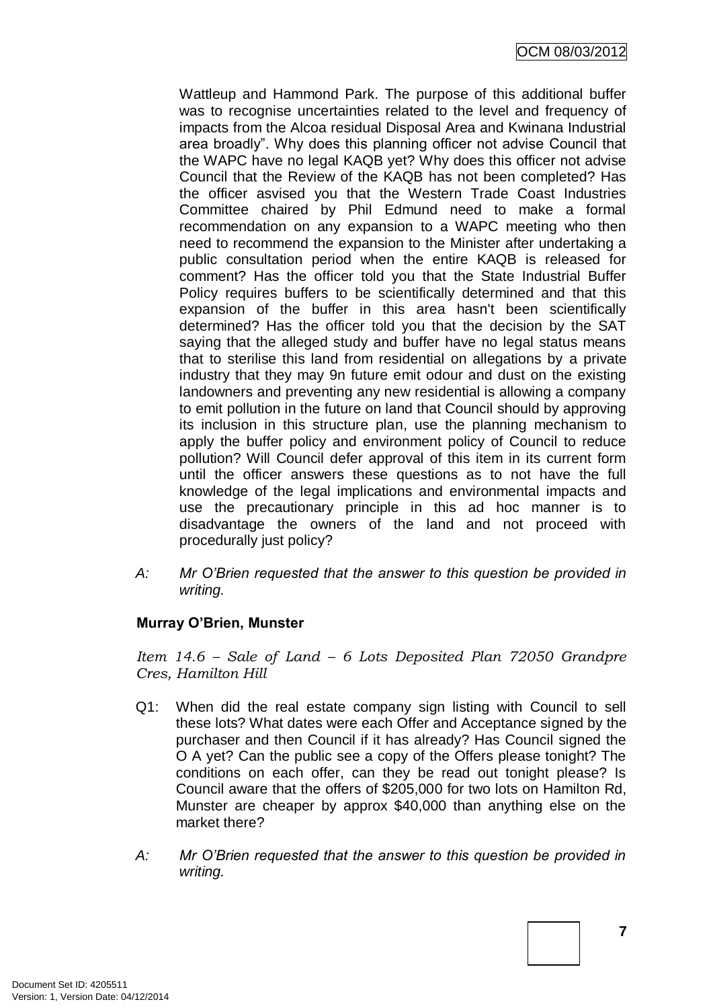Wattleup and Hammond Park. The purpose of this additional buffer was to recognise uncertainties related to the level and frequency of impacts from the Alcoa residual Disposal Area and Kwinana Industrial area broadly". Why does this planning officer not advise Council that the WAPC have no legal KAQB yet? Why does this officer not advise Council that the Review of the KAQB has not been completed? Has the officer asvised you that the Western Trade Coast Industries Committee chaired by Phil Edmund need to make a formal recommendation on any expansion to a WAPC meeting who then need to recommend the expansion to the Minister after undertaking a public consultation period when the entire KAQB is released for comment? Has the officer told you that the State Industrial Buffer Policy requires buffers to be scientifically determined and that this expansion of the buffer in this area hasn't been scientifically determined? Has the officer told you that the decision by the SAT saying that the alleged study and buffer have no legal status means that to sterilise this land from residential on allegations by a private industry that they may 9n future emit odour and dust on the existing landowners and preventing any new residential is allowing a company to emit pollution in the future on land that Council should by approving its inclusion in this structure plan, use the planning mechanism to apply the buffer policy and environment policy of Council to reduce pollution? Will Council defer approval of this item in its current form until the officer answers these questions as to not have the full knowledge of the legal implications and environmental impacts and use the precautionary principle in this ad hoc manner is to disadvantage the owners of the land and not proceed with procedurally just policy?

*A: Mr O'Brien requested that the answer to this question be provided in writing.*

# **Murray O'Brien, Munster**

*Item 14.6 – Sale of Land – 6 Lots Deposited Plan 72050 Grandpre Cres, Hamilton Hill*

- Q1: When did the real estate company sign listing with Council to sell these lots? What dates were each Offer and Acceptance signed by the purchaser and then Council if it has already? Has Council signed the O A yet? Can the public see a copy of the Offers please tonight? The conditions on each offer, can they be read out tonight please? Is Council aware that the offers of \$205,000 for two lots on Hamilton Rd, Munster are cheaper by approx \$40,000 than anything else on the market there?
- *A: Mr O'Brien requested that the answer to this question be provided in writing.*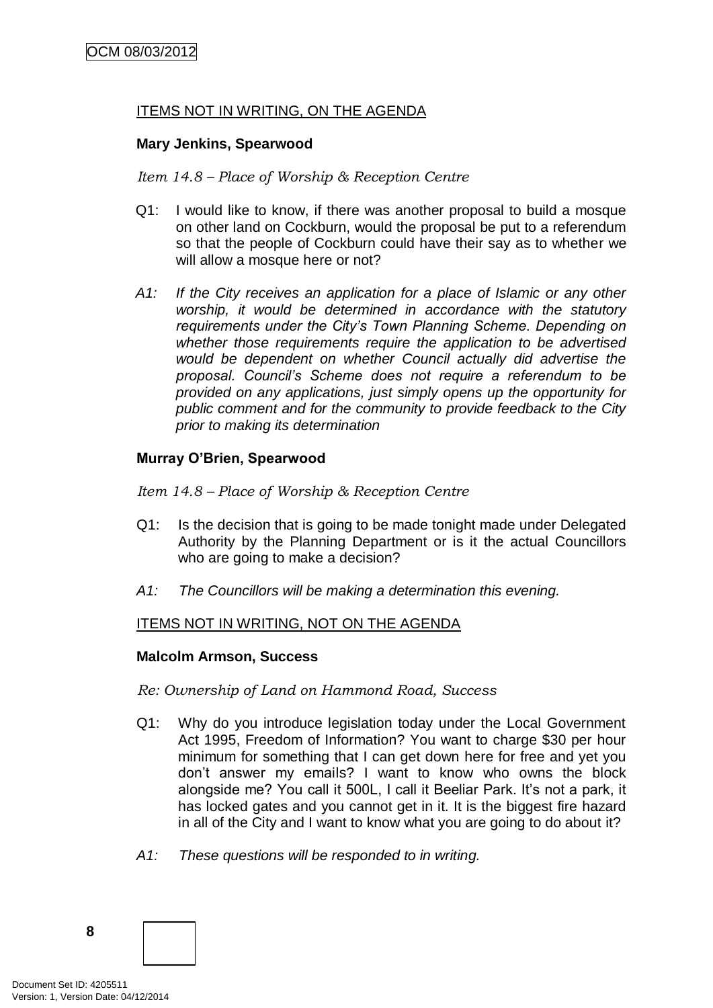# ITEMS NOT IN WRITING, ON THE AGENDA

#### **Mary Jenkins, Spearwood**

#### *Item 14.8 – Place of Worship & Reception Centre*

- Q1: I would like to know, if there was another proposal to build a mosque on other land on Cockburn, would the proposal be put to a referendum so that the people of Cockburn could have their say as to whether we will allow a mosque here or not?
- *A1: If the City receives an application for a place of Islamic or any other worship, it would be determined in accordance with the statutory requirements under the City's Town Planning Scheme. Depending on whether those requirements require the application to be advertised would be dependent on whether Council actually did advertise the proposal. Council's Scheme does not require a referendum to be provided on any applications, just simply opens up the opportunity for public comment and for the community to provide feedback to the City prior to making its determination*

#### **Murray O'Brien, Spearwood**

- *Item 14.8 – Place of Worship & Reception Centre*
- Q1: Is the decision that is going to be made tonight made under Delegated Authority by the Planning Department or is it the actual Councillors who are going to make a decision?
- *A1: The Councillors will be making a determination this evening.*

# ITEMS NOT IN WRITING, NOT ON THE AGENDA

#### **Malcolm Armson, Success**

*Re: Ownership of Land on Hammond Road, Success* 

- Q1: Why do you introduce legislation today under the Local Government Act 1995, Freedom of Information? You want to charge \$30 per hour minimum for something that I can get down here for free and yet you don"t answer my emails? I want to know who owns the block alongside me? You call it 500L, I call it Beeliar Park. It"s not a park, it has locked gates and you cannot get in it. It is the biggest fire hazard in all of the City and I want to know what you are going to do about it?
- *A1: These questions will be responded to in writing.*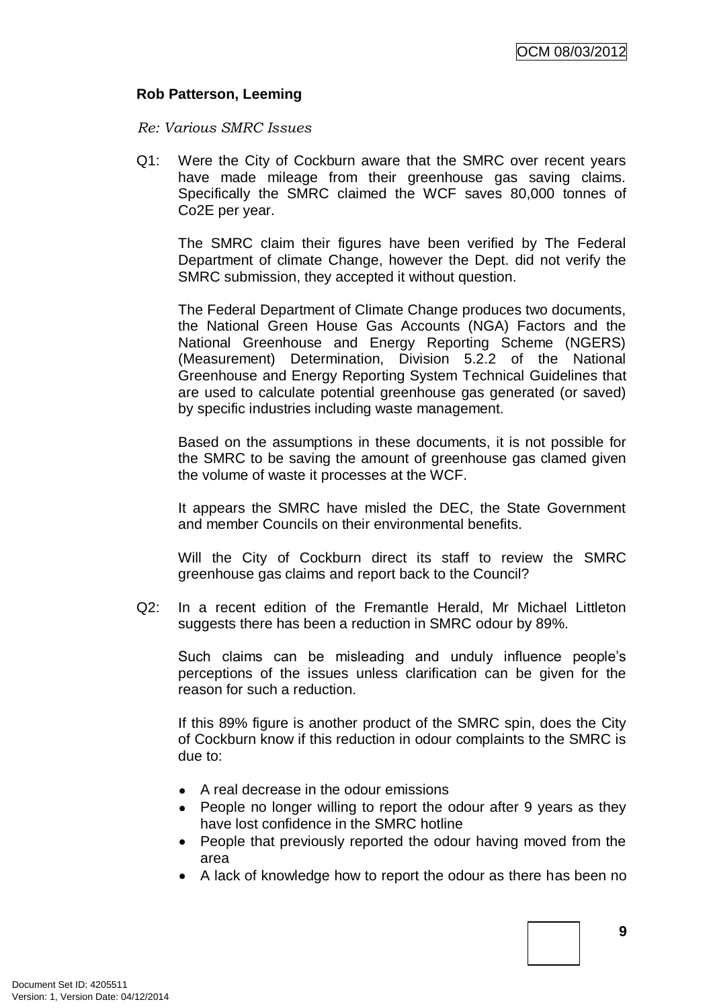# **Rob Patterson, Leeming**

*Re: Various SMRC Issues*

Q1: Were the City of Cockburn aware that the SMRC over recent years have made mileage from their greenhouse gas saving claims. Specifically the SMRC claimed the WCF saves 80,000 tonnes of Co2E per year.

The SMRC claim their figures have been verified by The Federal Department of climate Change, however the Dept. did not verify the SMRC submission, they accepted it without question.

The Federal Department of Climate Change produces two documents, the National Green House Gas Accounts (NGA) Factors and the National Greenhouse and Energy Reporting Scheme (NGERS) (Measurement) Determination, Division 5.2.2 of the National Greenhouse and Energy Reporting System Technical Guidelines that are used to calculate potential greenhouse gas generated (or saved) by specific industries including waste management.

Based on the assumptions in these documents, it is not possible for the SMRC to be saving the amount of greenhouse gas clamed given the volume of waste it processes at the WCF.

It appears the SMRC have misled the DEC, the State Government and member Councils on their environmental benefits.

Will the City of Cockburn direct its staff to review the SMRC greenhouse gas claims and report back to the Council?

Q2: In a recent edition of the Fremantle Herald, Mr Michael Littleton suggests there has been a reduction in SMRC odour by 89%.

Such claims can be misleading and unduly influence people"s perceptions of the issues unless clarification can be given for the reason for such a reduction.

If this 89% figure is another product of the SMRC spin, does the City of Cockburn know if this reduction in odour complaints to the SMRC is due to:

- A real decrease in the odour emissions
- People no longer willing to report the odour after 9 years as they have lost confidence in the SMRC hotline
- People that previously reported the odour having moved from the area
- A lack of knowledge how to report the odour as there has been no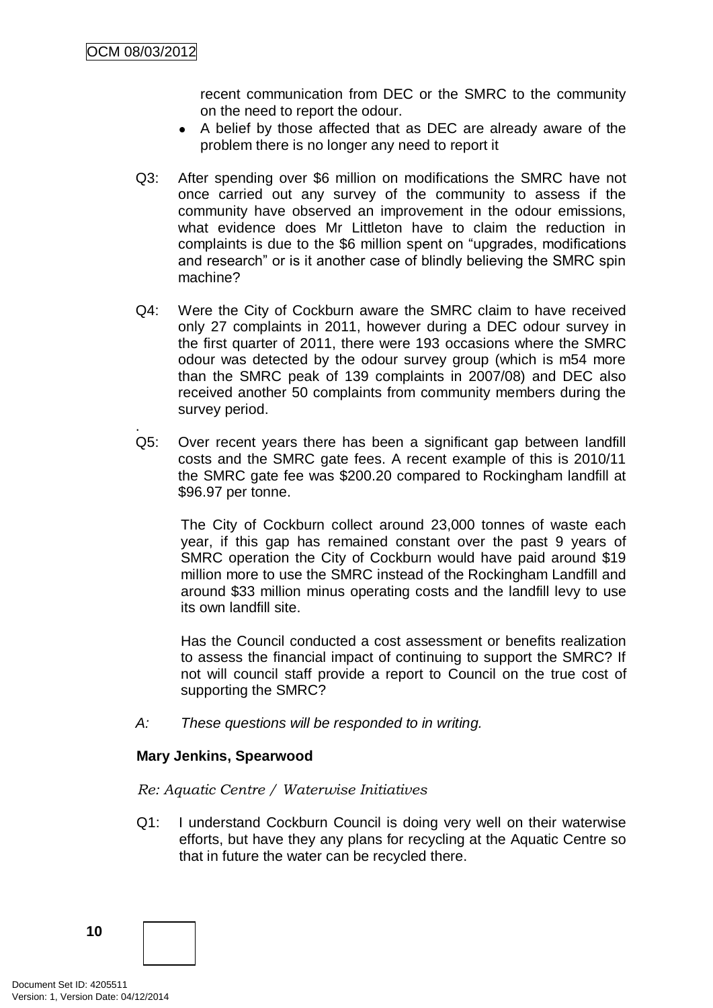.

recent communication from DEC or the SMRC to the community on the need to report the odour.

- A belief by those affected that as DEC are already aware of the problem there is no longer any need to report it
- Q3: After spending over \$6 million on modifications the SMRC have not once carried out any survey of the community to assess if the community have observed an improvement in the odour emissions, what evidence does Mr Littleton have to claim the reduction in complaints is due to the \$6 million spent on "upgrades, modifications and research" or is it another case of blindly believing the SMRC spin machine?
- Q4: Were the City of Cockburn aware the SMRC claim to have received only 27 complaints in 2011, however during a DEC odour survey in the first quarter of 2011, there were 193 occasions where the SMRC odour was detected by the odour survey group (which is m54 more than the SMRC peak of 139 complaints in 2007/08) and DEC also received another 50 complaints from community members during the survey period.
- Q5: Over recent years there has been a significant gap between landfill costs and the SMRC gate fees. A recent example of this is 2010/11 the SMRC gate fee was \$200.20 compared to Rockingham landfill at \$96.97 per tonne.

The City of Cockburn collect around 23,000 tonnes of waste each year, if this gap has remained constant over the past 9 years of SMRC operation the City of Cockburn would have paid around \$19 million more to use the SMRC instead of the Rockingham Landfill and around \$33 million minus operating costs and the landfill levy to use its own landfill site.

Has the Council conducted a cost assessment or benefits realization to assess the financial impact of continuing to support the SMRC? If not will council staff provide a report to Council on the true cost of supporting the SMRC?

*A: These questions will be responded to in writing.*

# **Mary Jenkins, Spearwood**

#### *Re: Aquatic Centre / Waterwise Initiatives*

Q1: I understand Cockburn Council is doing very well on their waterwise efforts, but have they any plans for recycling at the Aquatic Centre so that in future the water can be recycled there.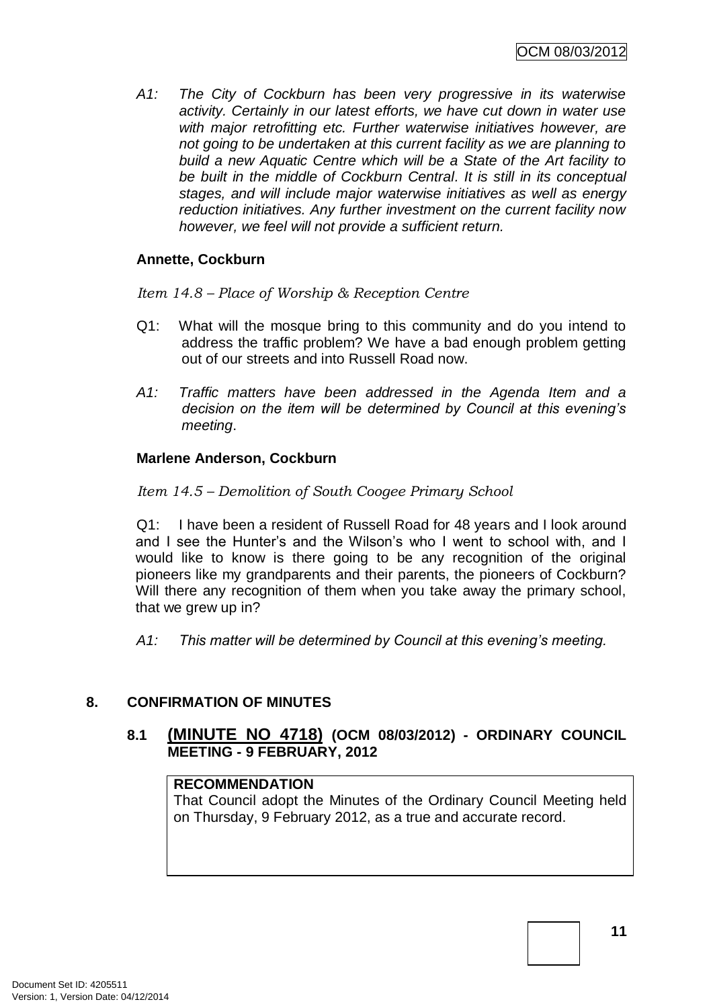*A1: The City of Cockburn has been very progressive in its waterwise activity. Certainly in our latest efforts, we have cut down in water use with major retrofitting etc. Further waterwise initiatives however, are not going to be undertaken at this current facility as we are planning to build a new Aquatic Centre which will be a State of the Art facility to be built in the middle of Cockburn Central. It is still in its conceptual stages, and will include major waterwise initiatives as well as energy reduction initiatives. Any further investment on the current facility now however, we feel will not provide a sufficient return.*

# **Annette, Cockburn**

*Item 14.8 – Place of Worship & Reception Centre* 

- Q1: What will the mosque bring to this community and do you intend to address the traffic problem? We have a bad enough problem getting out of our streets and into Russell Road now.
- *A1: Traffic matters have been addressed in the Agenda Item and a decision on the item will be determined by Council at this evening's meeting*.

# **Marlene Anderson, Cockburn**

#### *Item 14.5 – Demolition of South Coogee Primary School*

Q1: I have been a resident of Russell Road for 48 years and I look around and I see the Hunter"s and the Wilson"s who I went to school with, and I would like to know is there going to be any recognition of the original pioneers like my grandparents and their parents, the pioneers of Cockburn? Will there any recognition of them when you take away the primary school, that we grew up in?

*A1: This matter will be determined by Council at this evening's meeting.* 

# **8. CONFIRMATION OF MINUTES**

# **8.1 (MINUTE NO 4718) (OCM 08/03/2012) - ORDINARY COUNCIL MEETING - 9 FEBRUARY, 2012**

#### **RECOMMENDATION**

That Council adopt the Minutes of the Ordinary Council Meeting held on Thursday, 9 February 2012, as a true and accurate record.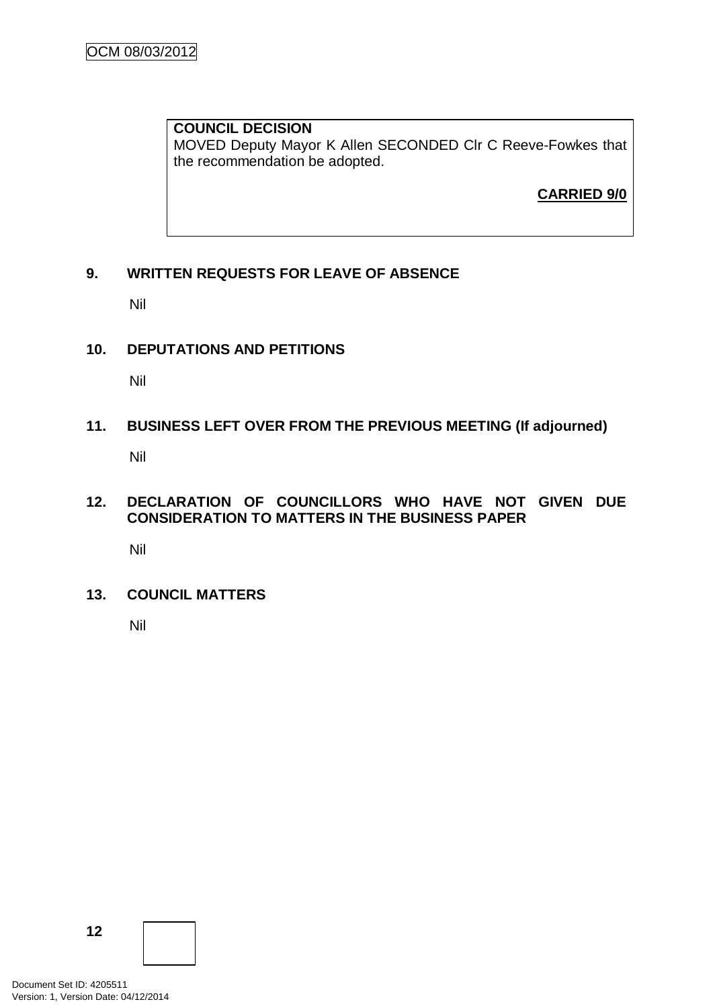# **COUNCIL DECISION**

MOVED Deputy Mayor K Allen SECONDED Clr C Reeve-Fowkes that the recommendation be adopted.

# **CARRIED 9/0**

# **9. WRITTEN REQUESTS FOR LEAVE OF ABSENCE**

Nil

# **10. DEPUTATIONS AND PETITIONS**

Nil

# **11. BUSINESS LEFT OVER FROM THE PREVIOUS MEETING (If adjourned)**

Nil

# **12. DECLARATION OF COUNCILLORS WHO HAVE NOT GIVEN DUE CONSIDERATION TO MATTERS IN THE BUSINESS PAPER**

Nil

# **13. COUNCIL MATTERS**

Nil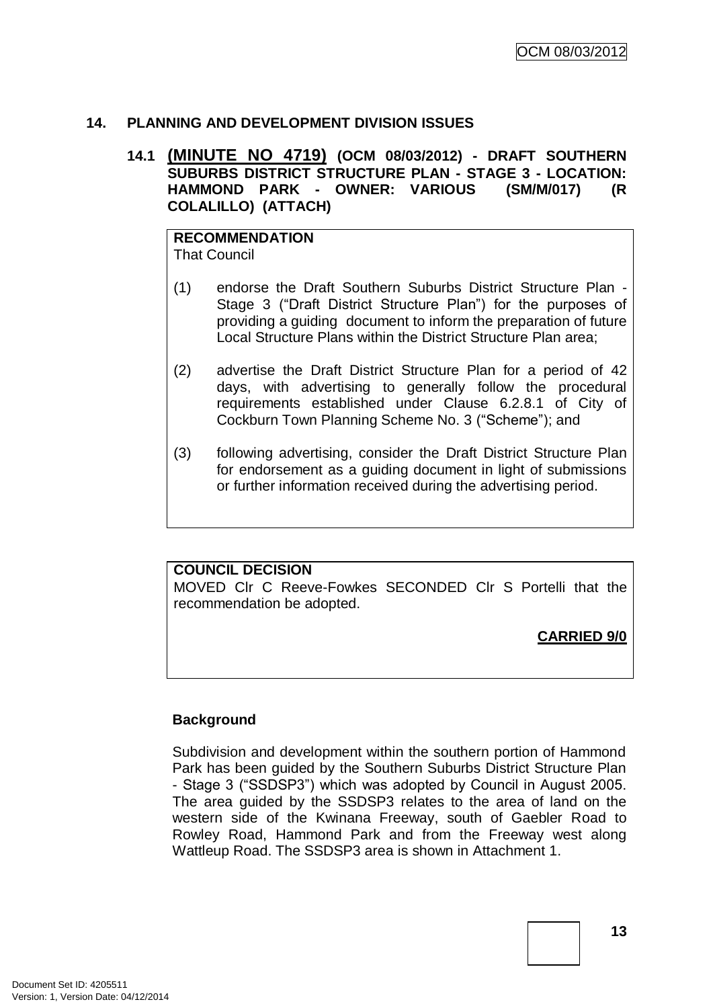# **14. PLANNING AND DEVELOPMENT DIVISION ISSUES**

**14.1 (MINUTE NO 4719) (OCM 08/03/2012) - DRAFT SOUTHERN SUBURBS DISTRICT STRUCTURE PLAN - STAGE 3 - LOCATION: HAMMOND PARK - OWNER: VARIOUS (SM/M/017) (R COLALILLO) (ATTACH)**

#### **RECOMMENDATION** That Council

- (1) endorse the Draft Southern Suburbs District Structure Plan Stage 3 ("Draft District Structure Plan") for the purposes of providing a guiding document to inform the preparation of future Local Structure Plans within the District Structure Plan area;
- (2) advertise the Draft District Structure Plan for a period of 42 days, with advertising to generally follow the procedural requirements established under Clause 6.2.8.1 of City of Cockburn Town Planning Scheme No. 3 ("Scheme"); and
- (3) following advertising, consider the Draft District Structure Plan for endorsement as a guiding document in light of submissions or further information received during the advertising period.

# **COUNCIL DECISION**

MOVED Clr C Reeve-Fowkes SECONDED Clr S Portelli that the recommendation be adopted.

**CARRIED 9/0**

# **Background**

Subdivision and development within the southern portion of Hammond Park has been guided by the Southern Suburbs District Structure Plan - Stage 3 ("SSDSP3") which was adopted by Council in August 2005. The area guided by the SSDSP3 relates to the area of land on the western side of the Kwinana Freeway, south of Gaebler Road to Rowley Road, Hammond Park and from the Freeway west along Wattleup Road. The SSDSP3 area is shown in Attachment 1.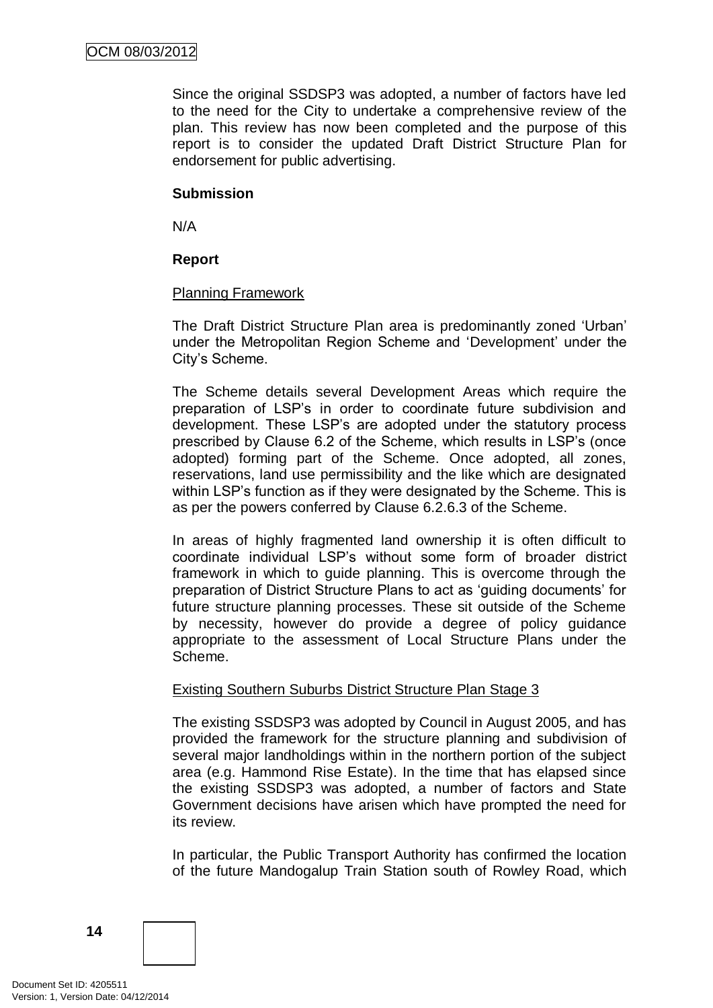Since the original SSDSP3 was adopted, a number of factors have led to the need for the City to undertake a comprehensive review of the plan. This review has now been completed and the purpose of this report is to consider the updated Draft District Structure Plan for endorsement for public advertising.

### **Submission**

N/A

# **Report**

# Planning Framework

The Draft District Structure Plan area is predominantly zoned "Urban" under the Metropolitan Region Scheme and "Development" under the City"s Scheme.

The Scheme details several Development Areas which require the preparation of LSP"s in order to coordinate future subdivision and development. These LSP"s are adopted under the statutory process prescribed by Clause 6.2 of the Scheme, which results in LSP"s (once adopted) forming part of the Scheme. Once adopted, all zones, reservations, land use permissibility and the like which are designated within LSP's function as if they were designated by the Scheme. This is as per the powers conferred by Clause 6.2.6.3 of the Scheme.

In areas of highly fragmented land ownership it is often difficult to coordinate individual LSP"s without some form of broader district framework in which to guide planning. This is overcome through the preparation of District Structure Plans to act as "guiding documents" for future structure planning processes. These sit outside of the Scheme by necessity, however do provide a degree of policy guidance appropriate to the assessment of Local Structure Plans under the Scheme.

# Existing Southern Suburbs District Structure Plan Stage 3

The existing SSDSP3 was adopted by Council in August 2005, and has provided the framework for the structure planning and subdivision of several major landholdings within in the northern portion of the subject area (e.g. Hammond Rise Estate). In the time that has elapsed since the existing SSDSP3 was adopted, a number of factors and State Government decisions have arisen which have prompted the need for its review.

In particular, the Public Transport Authority has confirmed the location of the future Mandogalup Train Station south of Rowley Road, which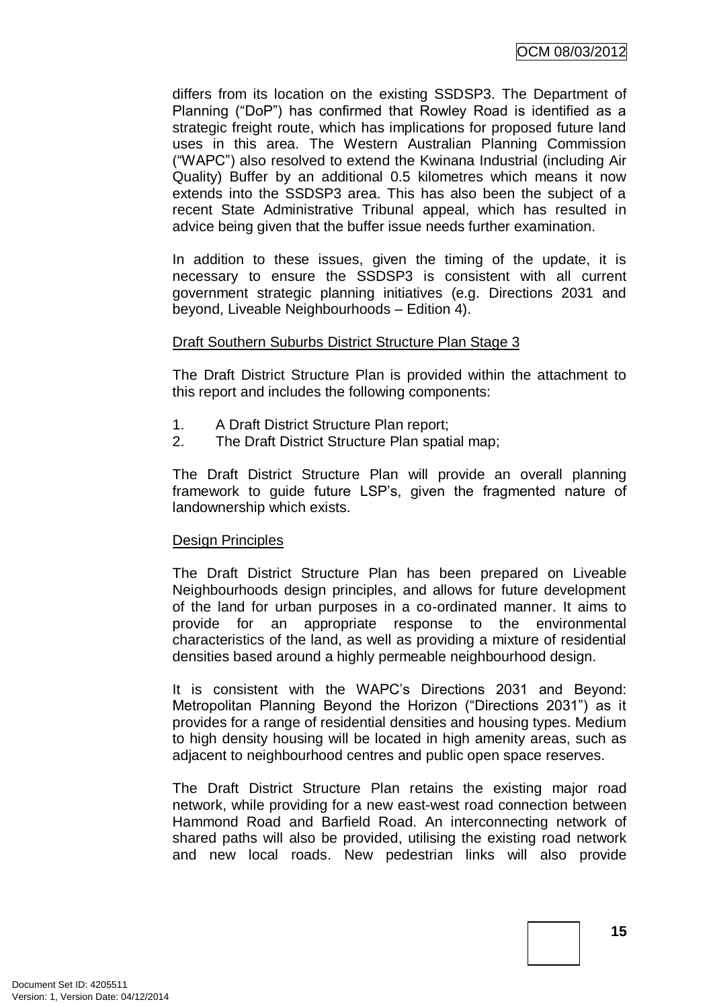differs from its location on the existing SSDSP3. The Department of Planning ("DoP") has confirmed that Rowley Road is identified as a strategic freight route, which has implications for proposed future land uses in this area. The Western Australian Planning Commission ("WAPC") also resolved to extend the Kwinana Industrial (including Air Quality) Buffer by an additional 0.5 kilometres which means it now extends into the SSDSP3 area. This has also been the subject of a recent State Administrative Tribunal appeal, which has resulted in advice being given that the buffer issue needs further examination.

In addition to these issues, given the timing of the update, it is necessary to ensure the SSDSP3 is consistent with all current government strategic planning initiatives (e.g. Directions 2031 and beyond, Liveable Neighbourhoods – Edition 4).

#### Draft Southern Suburbs District Structure Plan Stage 3

The Draft District Structure Plan is provided within the attachment to this report and includes the following components:

- 1. A Draft District Structure Plan report;
- 2. The Draft District Structure Plan spatial map;

The Draft District Structure Plan will provide an overall planning framework to guide future LSP"s, given the fragmented nature of landownership which exists.

# Design Principles

The Draft District Structure Plan has been prepared on Liveable Neighbourhoods design principles, and allows for future development of the land for urban purposes in a co-ordinated manner. It aims to provide for an appropriate response to the environmental characteristics of the land, as well as providing a mixture of residential densities based around a highly permeable neighbourhood design.

It is consistent with the WAPC"s Directions 2031 and Beyond: Metropolitan Planning Beyond the Horizon ("Directions 2031") as it provides for a range of residential densities and housing types. Medium to high density housing will be located in high amenity areas, such as adjacent to neighbourhood centres and public open space reserves.

The Draft District Structure Plan retains the existing major road network, while providing for a new east-west road connection between Hammond Road and Barfield Road. An interconnecting network of shared paths will also be provided, utilising the existing road network and new local roads. New pedestrian links will also provide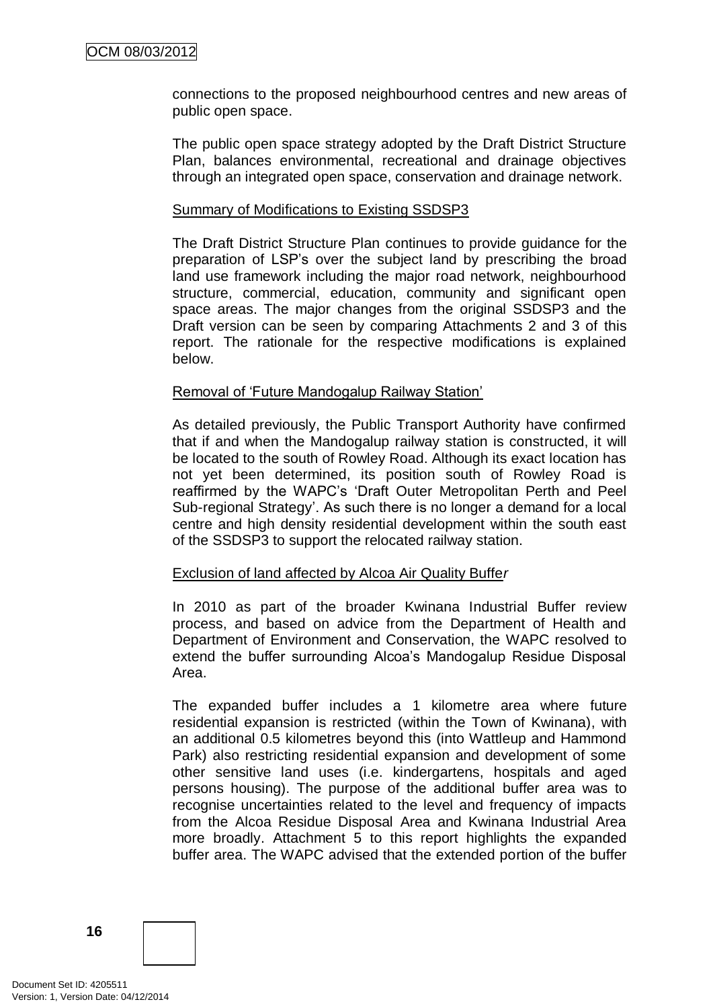connections to the proposed neighbourhood centres and new areas of public open space.

The public open space strategy adopted by the Draft District Structure Plan, balances environmental, recreational and drainage objectives through an integrated open space, conservation and drainage network.

#### Summary of Modifications to Existing SSDSP3

The Draft District Structure Plan continues to provide guidance for the preparation of LSP"s over the subject land by prescribing the broad land use framework including the major road network, neighbourhood structure, commercial, education, community and significant open space areas. The major changes from the original SSDSP3 and the Draft version can be seen by comparing Attachments 2 and 3 of this report. The rationale for the respective modifications is explained below.

#### Removal of "Future Mandogalup Railway Station"

As detailed previously, the Public Transport Authority have confirmed that if and when the Mandogalup railway station is constructed, it will be located to the south of Rowley Road. Although its exact location has not yet been determined, its position south of Rowley Road is reaffirmed by the WAPC"s "Draft Outer Metropolitan Perth and Peel Sub-regional Strategy". As such there is no longer a demand for a local centre and high density residential development within the south east of the SSDSP3 to support the relocated railway station.

#### Exclusion of land affected by Alcoa Air Quality Buffe*r*

In 2010 as part of the broader Kwinana Industrial Buffer review process, and based on advice from the Department of Health and Department of Environment and Conservation, the WAPC resolved to extend the buffer surrounding Alcoa's Mandogalup Residue Disposal Area.

The expanded buffer includes a 1 kilometre area where future residential expansion is restricted (within the Town of Kwinana), with an additional 0.5 kilometres beyond this (into Wattleup and Hammond Park) also restricting residential expansion and development of some other sensitive land uses (i.e. kindergartens, hospitals and aged persons housing). The purpose of the additional buffer area was to recognise uncertainties related to the level and frequency of impacts from the Alcoa Residue Disposal Area and Kwinana Industrial Area more broadly. Attachment 5 to this report highlights the expanded buffer area. The WAPC advised that the extended portion of the buffer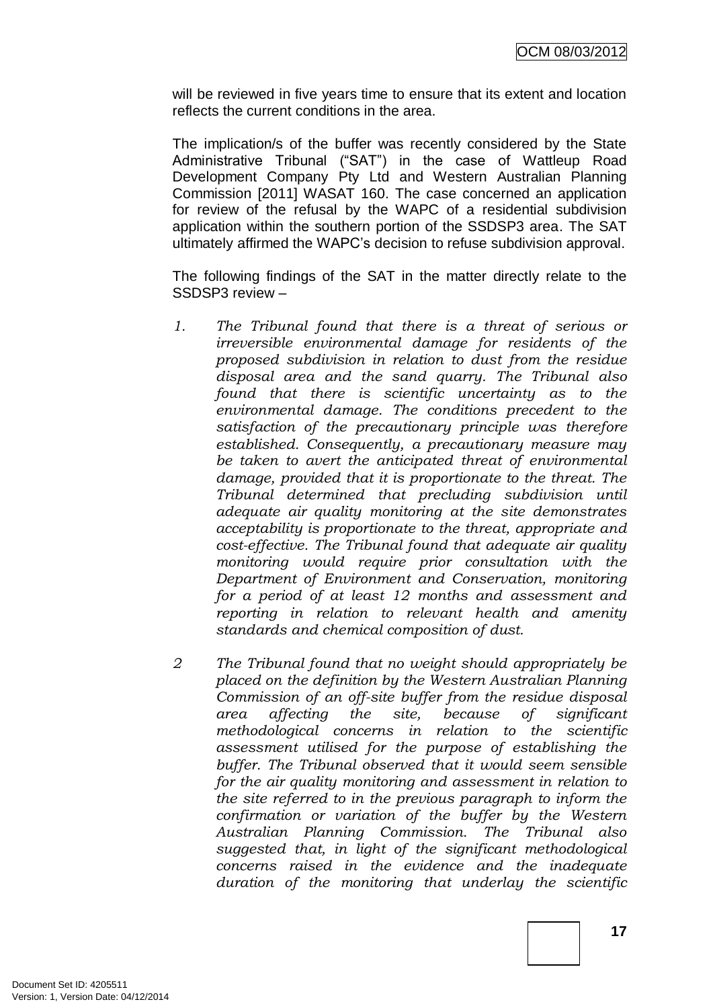will be reviewed in five years time to ensure that its extent and location reflects the current conditions in the area.

The implication/s of the buffer was recently considered by the State Administrative Tribunal ("SAT") in the case of Wattleup Road Development Company Pty Ltd and Western Australian Planning Commission [2011] WASAT 160. The case concerned an application for review of the refusal by the WAPC of a residential subdivision application within the southern portion of the SSDSP3 area. The SAT ultimately affirmed the WAPC"s decision to refuse subdivision approval.

The following findings of the SAT in the matter directly relate to the SSDSP3 review –

- *1. The Tribunal found that there is a threat of serious or irreversible environmental damage for residents of the proposed subdivision in relation to dust from the residue disposal area and the sand quarry. The Tribunal also found that there is scientific uncertainty as to the environmental damage. The conditions precedent to the satisfaction of the precautionary principle was therefore established. Consequently, a precautionary measure may be taken to avert the anticipated threat of environmental damage, provided that it is proportionate to the threat. The Tribunal determined that precluding subdivision until adequate air quality monitoring at the site demonstrates acceptability is proportionate to the threat, appropriate and cost-effective. The Tribunal found that adequate air quality monitoring would require prior consultation with the Department of Environment and Conservation, monitoring for a period of at least 12 months and assessment and reporting in relation to relevant health and amenity standards and chemical composition of dust.*
- *2 The Tribunal found that no weight should appropriately be placed on the definition by the Western Australian Planning Commission of an off-site buffer from the residue disposal area affecting the site, because of significant methodological concerns in relation to the scientific assessment utilised for the purpose of establishing the buffer. The Tribunal observed that it would seem sensible for the air quality monitoring and assessment in relation to the site referred to in the previous paragraph to inform the confirmation or variation of the buffer by the Western Australian Planning Commission. The Tribunal also suggested that, in light of the significant methodological concerns raised in the evidence and the inadequate duration of the monitoring that underlay the scientific*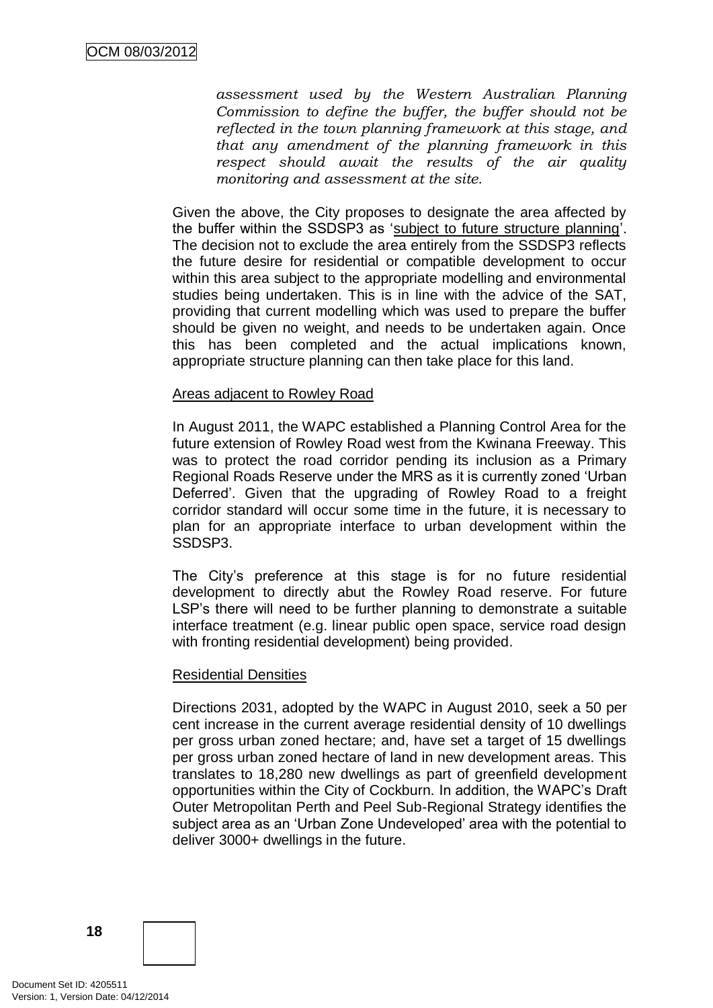*assessment used by the Western Australian Planning Commission to define the buffer, the buffer should not be reflected in the town planning framework at this stage, and that any amendment of the planning framework in this respect should await the results of the air quality monitoring and assessment at the site.*

Given the above, the City proposes to designate the area affected by the buffer within the SSDSP3 as "subject to future structure planning". The decision not to exclude the area entirely from the SSDSP3 reflects the future desire for residential or compatible development to occur within this area subject to the appropriate modelling and environmental studies being undertaken. This is in line with the advice of the SAT, providing that current modelling which was used to prepare the buffer should be given no weight, and needs to be undertaken again. Once this has been completed and the actual implications known, appropriate structure planning can then take place for this land.

#### Areas adjacent to Rowley Road

In August 2011, the WAPC established a Planning Control Area for the future extension of Rowley Road west from the Kwinana Freeway. This was to protect the road corridor pending its inclusion as a Primary Regional Roads Reserve under the MRS as it is currently zoned "Urban Deferred'. Given that the upgrading of Rowley Road to a freight corridor standard will occur some time in the future, it is necessary to plan for an appropriate interface to urban development within the SSDSP3.

The City"s preference at this stage is for no future residential development to directly abut the Rowley Road reserve. For future LSP"s there will need to be further planning to demonstrate a suitable interface treatment (e.g. linear public open space, service road design with fronting residential development) being provided.

#### Residential Densities

Directions 2031, adopted by the WAPC in August 2010, seek a 50 per cent increase in the current average residential density of 10 dwellings per gross urban zoned hectare; and, have set a target of 15 dwellings per gross urban zoned hectare of land in new development areas. This translates to 18,280 new dwellings as part of greenfield development opportunities within the City of Cockburn. In addition, the WAPC"s Draft Outer Metropolitan Perth and Peel Sub-Regional Strategy identifies the subject area as an "Urban Zone Undeveloped" area with the potential to deliver 3000+ dwellings in the future.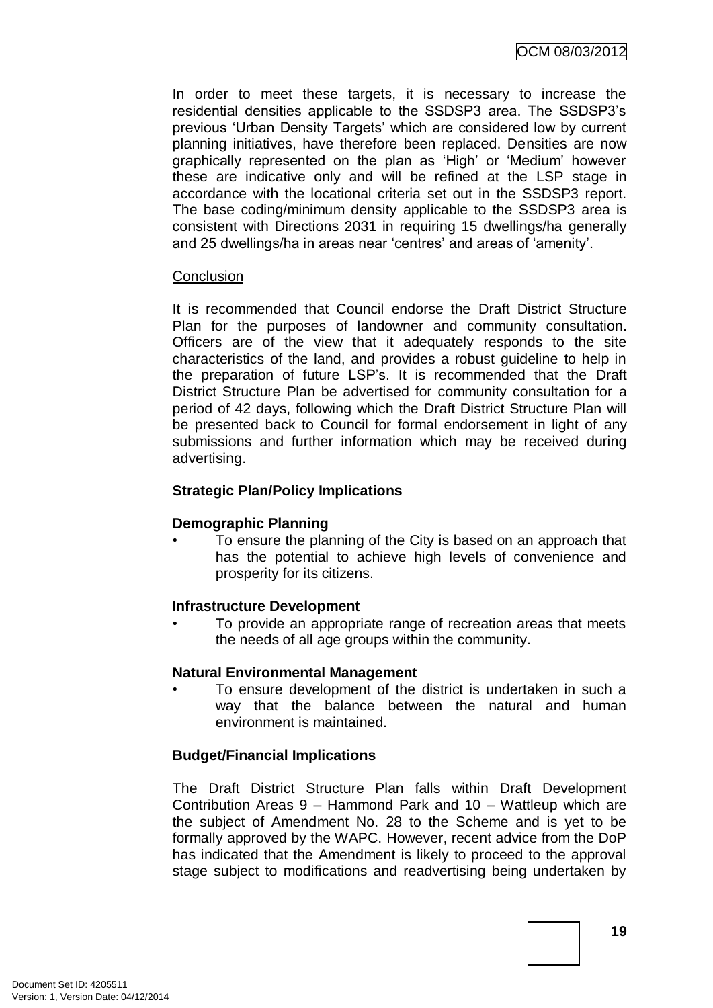In order to meet these targets, it is necessary to increase the residential densities applicable to the SSDSP3 area. The SSDSP3"s previous "Urban Density Targets" which are considered low by current planning initiatives, have therefore been replaced. Densities are now graphically represented on the plan as "High" or "Medium" however these are indicative only and will be refined at the LSP stage in accordance with the locational criteria set out in the SSDSP3 report. The base coding/minimum density applicable to the SSDSP3 area is consistent with Directions 2031 in requiring 15 dwellings/ha generally and 25 dwellings/ha in areas near 'centres' and areas of 'amenity'.

#### **Conclusion**

It is recommended that Council endorse the Draft District Structure Plan for the purposes of landowner and community consultation. Officers are of the view that it adequately responds to the site characteristics of the land, and provides a robust guideline to help in the preparation of future LSP"s. It is recommended that the Draft District Structure Plan be advertised for community consultation for a period of 42 days, following which the Draft District Structure Plan will be presented back to Council for formal endorsement in light of any submissions and further information which may be received during advertising.

# **Strategic Plan/Policy Implications**

# **Demographic Planning**

• To ensure the planning of the City is based on an approach that has the potential to achieve high levels of convenience and prosperity for its citizens.

# **Infrastructure Development**

• To provide an appropriate range of recreation areas that meets the needs of all age groups within the community.

#### **Natural Environmental Management**

To ensure development of the district is undertaken in such a way that the balance between the natural and human environment is maintained.

# **Budget/Financial Implications**

The Draft District Structure Plan falls within Draft Development Contribution Areas 9 – Hammond Park and 10 – Wattleup which are the subject of Amendment No. 28 to the Scheme and is yet to be formally approved by the WAPC. However, recent advice from the DoP has indicated that the Amendment is likely to proceed to the approval stage subject to modifications and readvertising being undertaken by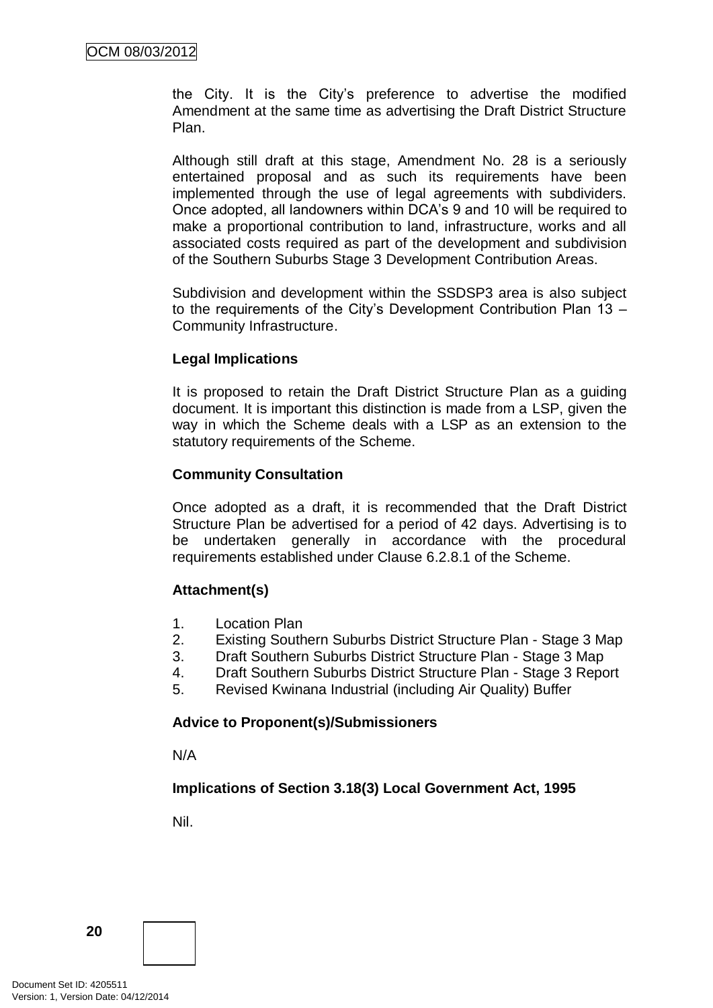the City. It is the City"s preference to advertise the modified Amendment at the same time as advertising the Draft District Structure Plan.

Although still draft at this stage, Amendment No. 28 is a seriously entertained proposal and as such its requirements have been implemented through the use of legal agreements with subdividers. Once adopted, all landowners within DCA"s 9 and 10 will be required to make a proportional contribution to land, infrastructure, works and all associated costs required as part of the development and subdivision of the Southern Suburbs Stage 3 Development Contribution Areas.

Subdivision and development within the SSDSP3 area is also subject to the requirements of the City"s Development Contribution Plan 13 – Community Infrastructure.

#### **Legal Implications**

It is proposed to retain the Draft District Structure Plan as a guiding document. It is important this distinction is made from a LSP, given the way in which the Scheme deals with a LSP as an extension to the statutory requirements of the Scheme.

#### **Community Consultation**

Once adopted as a draft, it is recommended that the Draft District Structure Plan be advertised for a period of 42 days. Advertising is to be undertaken generally in accordance with the procedural requirements established under Clause 6.2.8.1 of the Scheme.

# **Attachment(s)**

- 1. Location Plan
- 2. Existing Southern Suburbs District Structure Plan Stage 3 Map
- 3. Draft Southern Suburbs District Structure Plan Stage 3 Map
- 4. Draft Southern Suburbs District Structure Plan Stage 3 Report
- 5. Revised Kwinana Industrial (including Air Quality) Buffer

#### **Advice to Proponent(s)/Submissioners**

N/A

# **Implications of Section 3.18(3) Local Government Act, 1995**

Nil.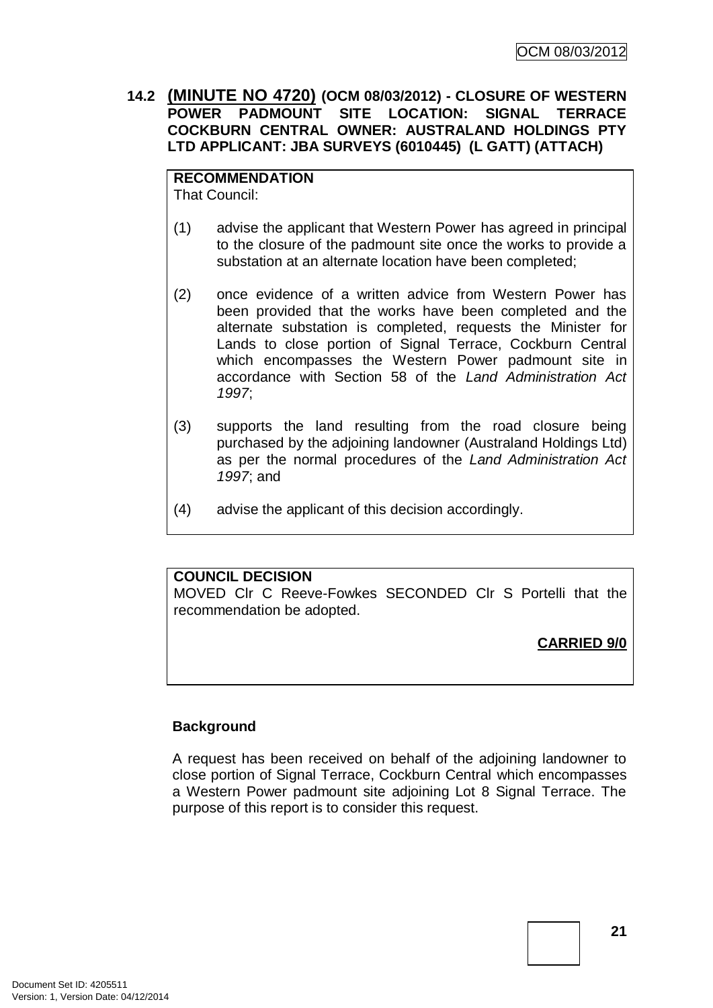**14.2 (MINUTE NO 4720) (OCM 08/03/2012) - CLOSURE OF WESTERN POWER PADMOUNT SITE LOCATION: SIGNAL TERRACE COCKBURN CENTRAL OWNER: AUSTRALAND HOLDINGS PTY LTD APPLICANT: JBA SURVEYS (6010445) (L GATT) (ATTACH)**

# **RECOMMENDATION**

That Council:

- (1) advise the applicant that Western Power has agreed in principal to the closure of the padmount site once the works to provide a substation at an alternate location have been completed;
- (2) once evidence of a written advice from Western Power has been provided that the works have been completed and the alternate substation is completed, requests the Minister for Lands to close portion of Signal Terrace, Cockburn Central which encompasses the Western Power padmount site in accordance with Section 58 of the *Land Administration Act 1997*;
- (3) supports the land resulting from the road closure being purchased by the adjoining landowner (Australand Holdings Ltd) as per the normal procedures of the *Land Administration Act 1997*; and
- (4) advise the applicant of this decision accordingly.

# **COUNCIL DECISION**

MOVED Clr C Reeve-Fowkes SECONDED Clr S Portelli that the recommendation be adopted.

# **CARRIED 9/0**

# **Background**

A request has been received on behalf of the adjoining landowner to close portion of Signal Terrace, Cockburn Central which encompasses a Western Power padmount site adjoining Lot 8 Signal Terrace. The purpose of this report is to consider this request.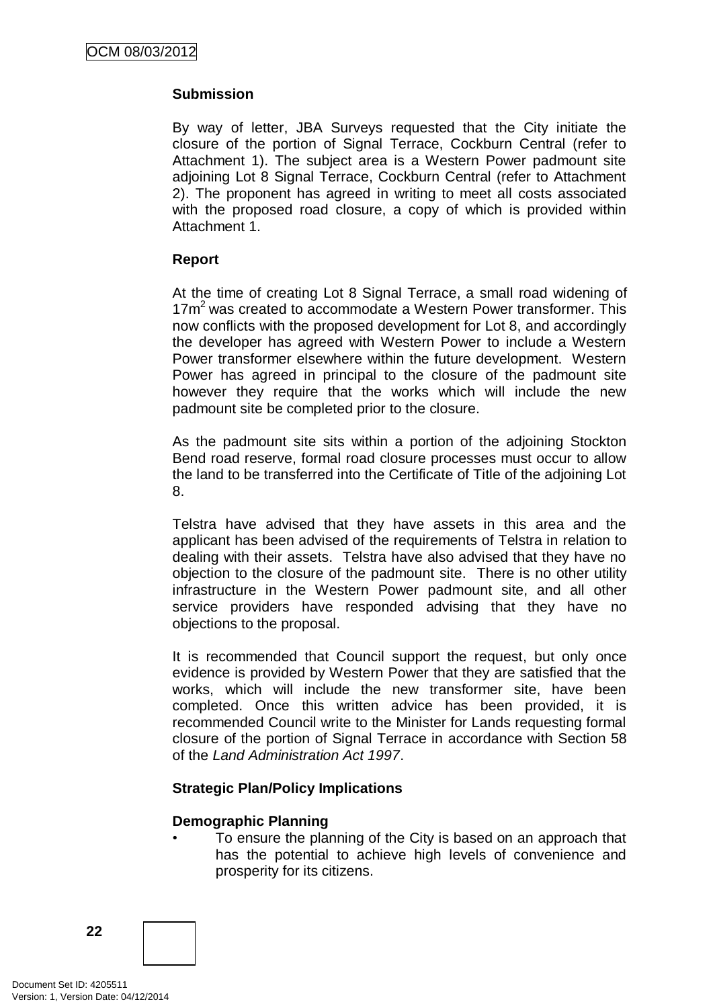# **Submission**

By way of letter, JBA Surveys requested that the City initiate the closure of the portion of Signal Terrace, Cockburn Central (refer to Attachment 1). The subject area is a Western Power padmount site adjoining Lot 8 Signal Terrace, Cockburn Central (refer to Attachment 2). The proponent has agreed in writing to meet all costs associated with the proposed road closure, a copy of which is provided within Attachment 1.

# **Report**

At the time of creating Lot 8 Signal Terrace, a small road widening of 17m<sup>2</sup> was created to accommodate a Western Power transformer. This now conflicts with the proposed development for Lot 8, and accordingly the developer has agreed with Western Power to include a Western Power transformer elsewhere within the future development. Western Power has agreed in principal to the closure of the padmount site however they require that the works which will include the new padmount site be completed prior to the closure.

As the padmount site sits within a portion of the adjoining Stockton Bend road reserve, formal road closure processes must occur to allow the land to be transferred into the Certificate of Title of the adjoining Lot 8.

Telstra have advised that they have assets in this area and the applicant has been advised of the requirements of Telstra in relation to dealing with their assets. Telstra have also advised that they have no objection to the closure of the padmount site. There is no other utility infrastructure in the Western Power padmount site, and all other service providers have responded advising that they have no objections to the proposal.

It is recommended that Council support the request, but only once evidence is provided by Western Power that they are satisfied that the works, which will include the new transformer site, have been completed. Once this written advice has been provided, it is recommended Council write to the Minister for Lands requesting formal closure of the portion of Signal Terrace in accordance with Section 58 of the *Land Administration Act 1997*.

# **Strategic Plan/Policy Implications**

# **Demographic Planning**

• To ensure the planning of the City is based on an approach that has the potential to achieve high levels of convenience and prosperity for its citizens.

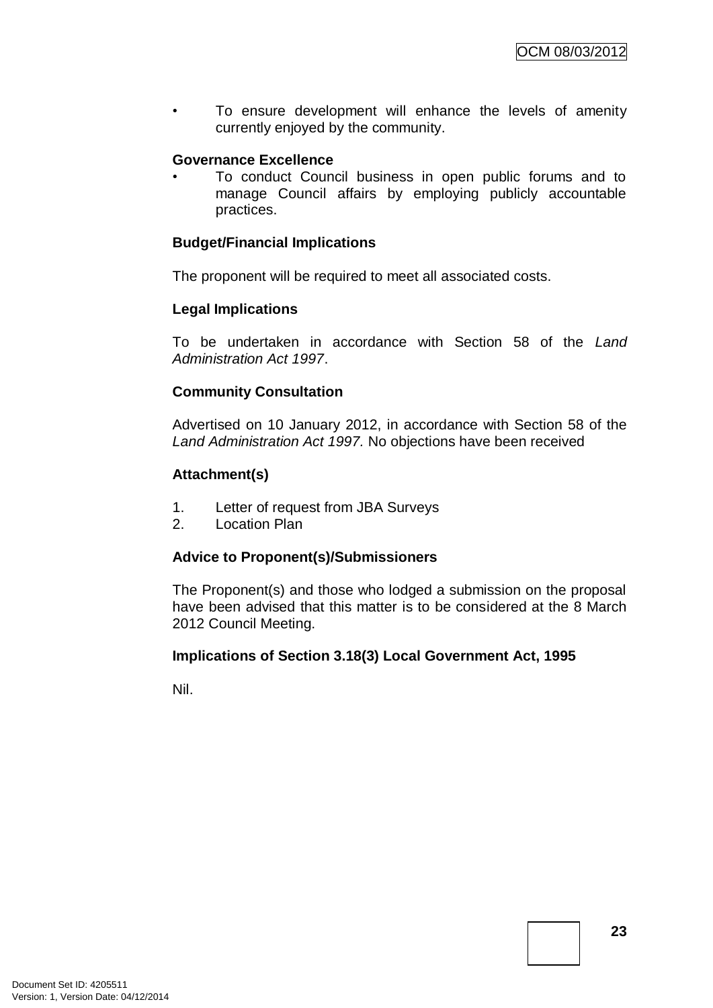• To ensure development will enhance the levels of amenity currently enjoyed by the community.

# **Governance Excellence**

• To conduct Council business in open public forums and to manage Council affairs by employing publicly accountable practices.

# **Budget/Financial Implications**

The proponent will be required to meet all associated costs.

# **Legal Implications**

To be undertaken in accordance with Section 58 of the *Land Administration Act 1997*.

# **Community Consultation**

Advertised on 10 January 2012, in accordance with Section 58 of the *Land Administration Act 1997.* No objections have been received

# **Attachment(s)**

- 1. Letter of request from JBA Surveys
- 2. Location Plan

# **Advice to Proponent(s)/Submissioners**

The Proponent(s) and those who lodged a submission on the proposal have been advised that this matter is to be considered at the 8 March 2012 Council Meeting.

# **Implications of Section 3.18(3) Local Government Act, 1995**

Nil.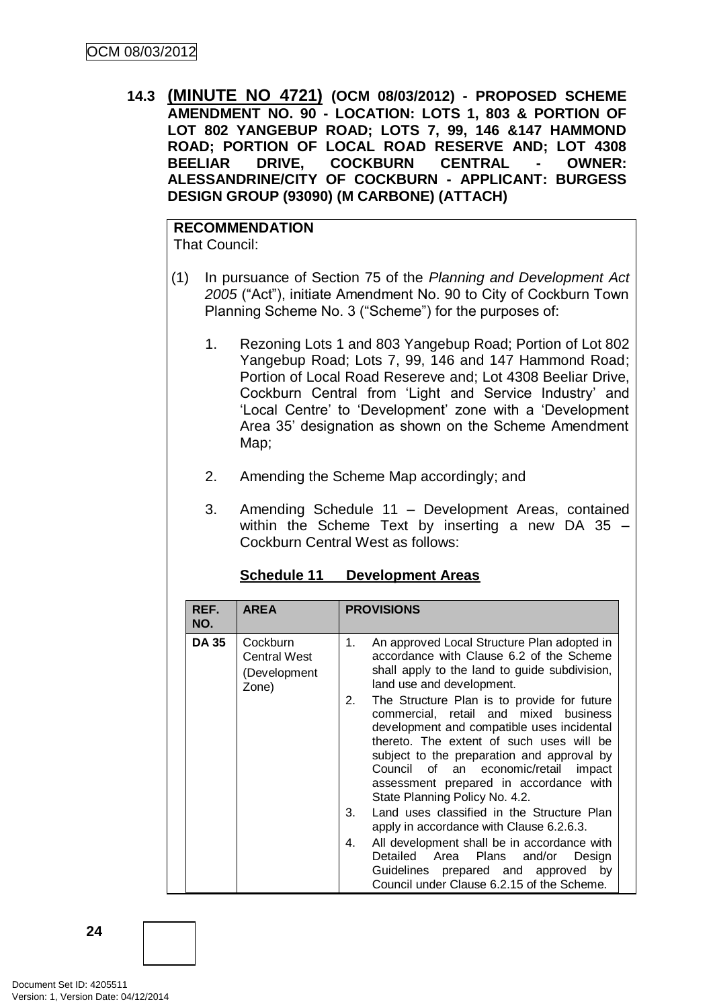**14.3 (MINUTE NO 4721) (OCM 08/03/2012) - PROPOSED SCHEME AMENDMENT NO. 90 - LOCATION: LOTS 1, 803 & PORTION OF LOT 802 YANGEBUP ROAD; LOTS 7, 99, 146 &147 HAMMOND ROAD; PORTION OF LOCAL ROAD RESERVE AND; LOT 4308 BEELIAR DRIVE, COCKBURN CENTRAL - OWNER: ALESSANDRINE/CITY OF COCKBURN - APPLICANT: BURGESS DESIGN GROUP (93090) (M CARBONE) (ATTACH)**

### **RECOMMENDATION**

That Council:

- (1) In pursuance of Section 75 of the *Planning and Development Act 2005* ("Act"), initiate Amendment No. 90 to City of Cockburn Town Planning Scheme No. 3 ("Scheme") for the purposes of:
	- 1. Rezoning Lots 1 and 803 Yangebup Road; Portion of Lot 802 Yangebup Road; Lots 7, 99, 146 and 147 Hammond Road; Portion of Local Road Resereve and; Lot 4308 Beeliar Drive, Cockburn Central from "Light and Service Industry" and 'Local Centre' to 'Development' zone with a 'Development Area 35" designation as shown on the Scheme Amendment Map;
	- 2. Amending the Scheme Map accordingly; and
	- 3. Amending Schedule 11 Development Areas, contained within the Scheme Text by inserting a new DA 35 -Cockburn Central West as follows:

| REF.<br>NO. | <b>AREA</b>                                              |    | <b>PROVISIONS</b>                                                                                                                                                                                                                                                                                                                                |
|-------------|----------------------------------------------------------|----|--------------------------------------------------------------------------------------------------------------------------------------------------------------------------------------------------------------------------------------------------------------------------------------------------------------------------------------------------|
| DA 35       | Cockburn<br><b>Central West</b><br>(Development<br>Zone) | 1. | An approved Local Structure Plan adopted in<br>accordance with Clause 6.2 of the Scheme<br>shall apply to the land to guide subdivision,<br>land use and development.                                                                                                                                                                            |
|             |                                                          | 2. | The Structure Plan is to provide for future<br>commercial, retail and mixed business<br>development and compatible uses incidental<br>thereto. The extent of such uses will be<br>subject to the preparation and approval by<br>Council of an economic/retail impact<br>assessment prepared in accordance with<br>State Planning Policy No. 4.2. |
|             |                                                          | 3. | Land uses classified in the Structure Plan<br>apply in accordance with Clause 6.2.6.3.                                                                                                                                                                                                                                                           |
|             |                                                          | 4. | All development shall be in accordance with<br>Detailed Area Plans and/or<br>Design<br>Guidelines prepared and approved<br>by<br>Council under Clause 6.2.15 of the Scheme.                                                                                                                                                                      |

# **Schedule 11 Development Areas**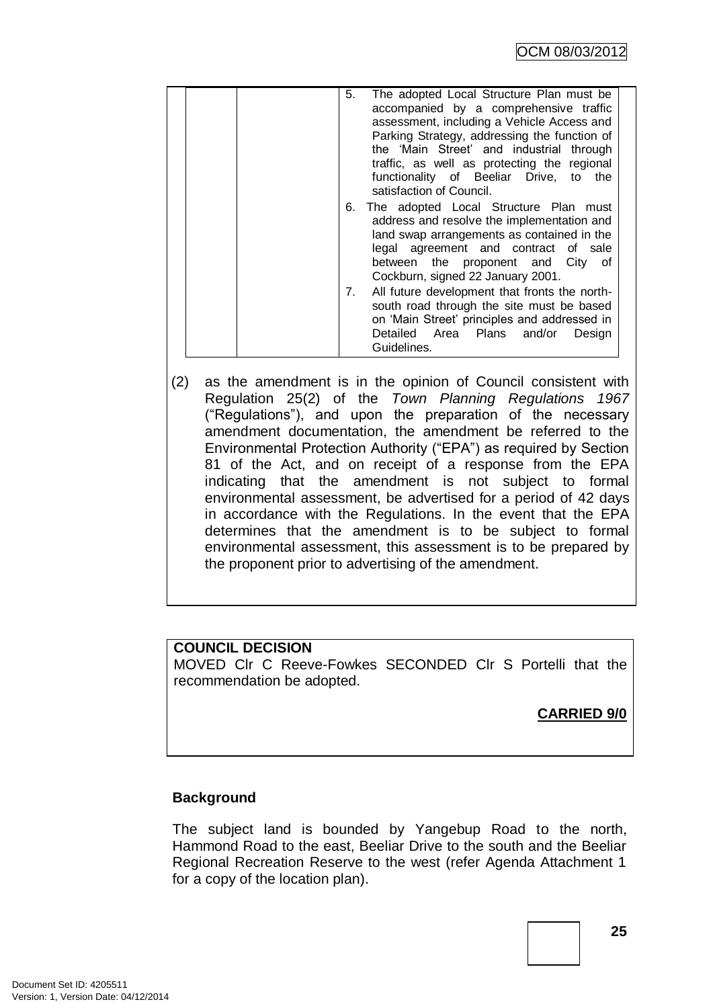| The adopted Local Structure Plan must be<br>5.<br>accompanied by a comprehensive traffic<br>assessment, including a Vehicle Access and<br>Parking Strategy, addressing the function of<br>the 'Main Street' and industrial through<br>traffic, as well as protecting the regional<br>functionality of Beeliar Drive, to the<br>satisfaction of Council. |
|---------------------------------------------------------------------------------------------------------------------------------------------------------------------------------------------------------------------------------------------------------------------------------------------------------------------------------------------------------|
| 6. The adopted Local Structure Plan must<br>address and resolve the implementation and<br>land swap arrangements as contained in the<br>legal agreement and contract of sale<br>between the proponent and City of<br>Cockburn, signed 22 January 2001.                                                                                                  |
| 7. All future development that fronts the north-<br>south road through the site must be based<br>on 'Main Street' principles and addressed in<br>Detailed Area Plans and/or<br>Design<br>Guidelines.                                                                                                                                                    |

(2) as the amendment is in the opinion of Council consistent with Regulation 25(2) of the *Town Planning Regulations 1967* ("Regulations"), and upon the preparation of the necessary amendment documentation, the amendment be referred to the Environmental Protection Authority ("EPA") as required by Section 81 of the Act, and on receipt of a response from the EPA indicating that the amendment is not subject to formal environmental assessment, be advertised for a period of 42 days in accordance with the Regulations. In the event that the EPA determines that the amendment is to be subject to formal environmental assessment, this assessment is to be prepared by the proponent prior to advertising of the amendment.

# **COUNCIL DECISION**

MOVED Clr C Reeve-Fowkes SECONDED Clr S Portelli that the recommendation be adopted.

# **CARRIED 9/0**

# **Background**

The subject land is bounded by Yangebup Road to the north, Hammond Road to the east, Beeliar Drive to the south and the Beeliar Regional Recreation Reserve to the west (refer Agenda Attachment 1 for a copy of the location plan).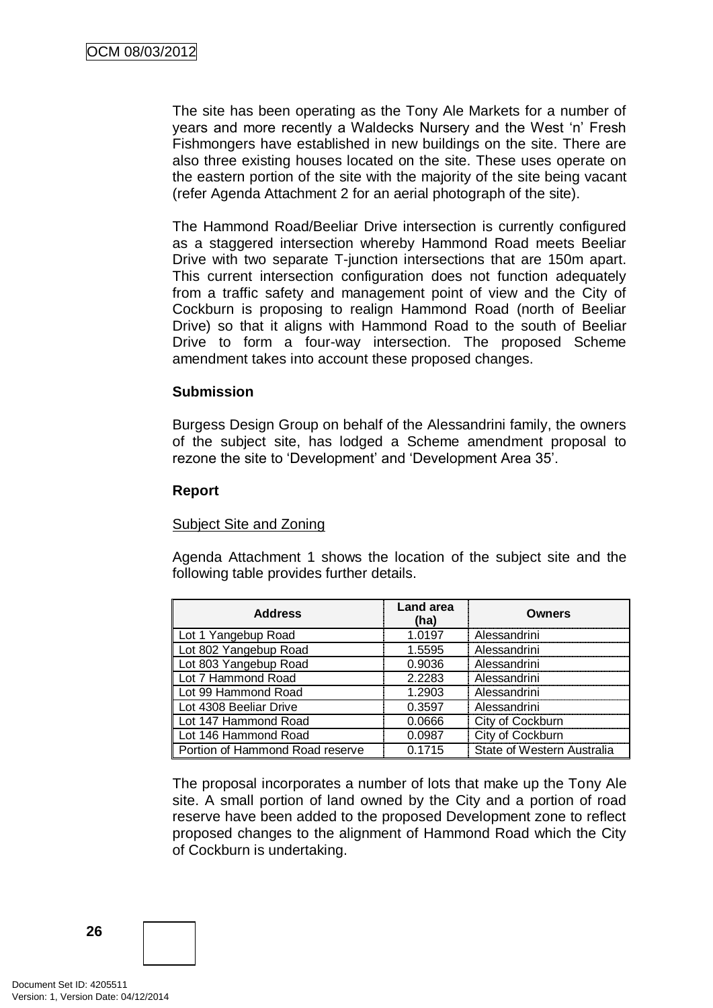The site has been operating as the Tony Ale Markets for a number of years and more recently a Waldecks Nursery and the West "n" Fresh Fishmongers have established in new buildings on the site. There are also three existing houses located on the site. These uses operate on the eastern portion of the site with the majority of the site being vacant (refer Agenda Attachment 2 for an aerial photograph of the site).

The Hammond Road/Beeliar Drive intersection is currently configured as a staggered intersection whereby Hammond Road meets Beeliar Drive with two separate T-junction intersections that are 150m apart. This current intersection configuration does not function adequately from a traffic safety and management point of view and the City of Cockburn is proposing to realign Hammond Road (north of Beeliar Drive) so that it aligns with Hammond Road to the south of Beeliar Drive to form a four-way intersection. The proposed Scheme amendment takes into account these proposed changes.

#### **Submission**

Burgess Design Group on behalf of the Alessandrini family, the owners of the subject site, has lodged a Scheme amendment proposal to rezone the site to 'Development' and 'Development Area 35'.

#### **Report**

# Subject Site and Zoning

Agenda Attachment 1 shows the location of the subject site and the following table provides further details.

| <b>Address</b>                  | <b>Land area</b><br>(ha) | <b>Owners</b>              |
|---------------------------------|--------------------------|----------------------------|
| Lot 1 Yangebup Road             | 1.0197                   | Alessandrini               |
| Lot 802 Yangebup Road           | 1.5595                   | Alessandrini               |
| Lot 803 Yangebup Road           | 0.9036                   | Alessandrini               |
| Lot 7 Hammond Road              | 2.2283                   | Alessandrini               |
| Lot 99 Hammond Road             | 1.2903                   | Alessandrini               |
| Lot 4308 Beeliar Drive          | 0.3597                   | Alessandrini               |
| Lot 147 Hammond Road            | 0.0666                   | City of Cockburn           |
| Lot 146 Hammond Road            | 0.0987                   | City of Cockburn           |
| Portion of Hammond Road reserve | 0.1715                   | State of Western Australia |

The proposal incorporates a number of lots that make up the Tony Ale site. A small portion of land owned by the City and a portion of road reserve have been added to the proposed Development zone to reflect proposed changes to the alignment of Hammond Road which the City of Cockburn is undertaking.

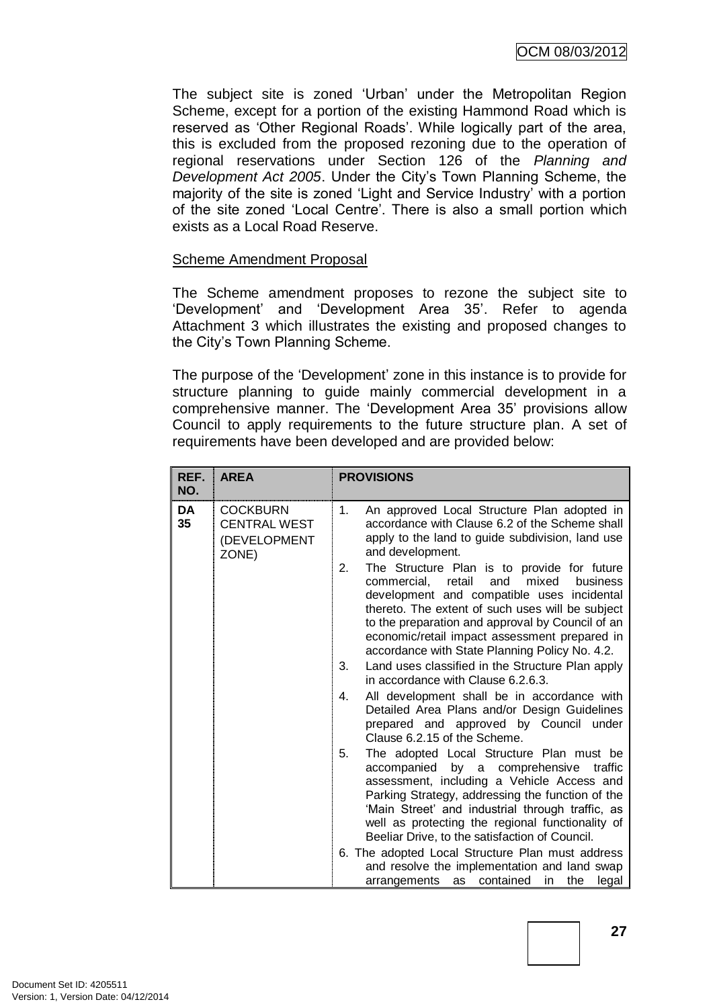The subject site is zoned "Urban" under the Metropolitan Region Scheme, except for a portion of the existing Hammond Road which is reserved as "Other Regional Roads". While logically part of the area, this is excluded from the proposed rezoning due to the operation of regional reservations under Section 126 of the *Planning and Development Act 2005*. Under the City"s Town Planning Scheme, the majority of the site is zoned "Light and Service Industry" with a portion of the site zoned "Local Centre". There is also a small portion which exists as a Local Road Reserve.

#### Scheme Amendment Proposal

The Scheme amendment proposes to rezone the subject site to "Development" and "Development Area 35". Refer to agenda Attachment 3 which illustrates the existing and proposed changes to the City"s Town Planning Scheme.

The purpose of the "Development" zone in this instance is to provide for structure planning to guide mainly commercial development in a comprehensive manner. The "Development Area 35" provisions allow Council to apply requirements to the future structure plan. A set of requirements have been developed and are provided below:

| REF.<br>NO. | <b>AREA</b>                                                     | <b>PROVISIONS</b>                                                                                                                                                                                                                                                                                                                                                                                                                                                                                                                                                                                                                                                                                                                                                                                                                                                                                                               |
|-------------|-----------------------------------------------------------------|---------------------------------------------------------------------------------------------------------------------------------------------------------------------------------------------------------------------------------------------------------------------------------------------------------------------------------------------------------------------------------------------------------------------------------------------------------------------------------------------------------------------------------------------------------------------------------------------------------------------------------------------------------------------------------------------------------------------------------------------------------------------------------------------------------------------------------------------------------------------------------------------------------------------------------|
| DA<br>35    | <b>COCKBURN</b><br><b>CENTRAL WEST</b><br>(DEVELOPMENT<br>ZONE) | An approved Local Structure Plan adopted in<br>1.<br>accordance with Clause 6.2 of the Scheme shall<br>apply to the land to guide subdivision, land use<br>and development.<br>The Structure Plan is to provide for future<br>2.<br>retail<br>commercial,<br>and<br>mixed<br>business<br>development and compatible uses incidental<br>thereto. The extent of such uses will be subject<br>to the preparation and approval by Council of an<br>economic/retail impact assessment prepared in<br>accordance with State Planning Policy No. 4.2.<br>Land uses classified in the Structure Plan apply<br>3.<br>in accordance with Clause 6.2.6.3.<br>All development shall be in accordance with<br>4.<br>Detailed Area Plans and/or Design Guidelines<br>prepared and approved by Council under<br>Clause 6.2.15 of the Scheme.<br>The adopted Local Structure Plan must be<br>5.<br>accompanied<br>by a comprehensive<br>traffic |
|             |                                                                 | assessment, including a Vehicle Access and<br>Parking Strategy, addressing the function of the<br>'Main Street' and industrial through traffic, as<br>well as protecting the regional functionality of<br>Beeliar Drive, to the satisfaction of Council.<br>6. The adopted Local Structure Plan must address<br>and resolve the implementation and land swap<br>arrangements<br>as contained<br>the<br>in.<br>legal                                                                                                                                                                                                                                                                                                                                                                                                                                                                                                             |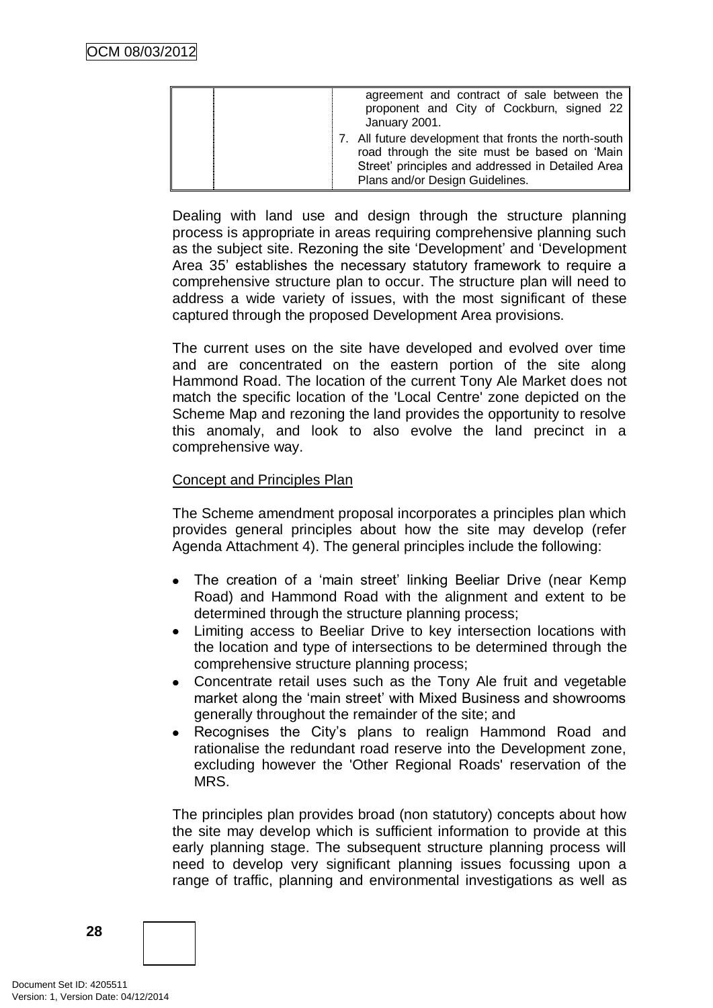| agreement and contract of sale between the<br>proponent and City of Cockburn, signed 22                                                                                                               |
|-------------------------------------------------------------------------------------------------------------------------------------------------------------------------------------------------------|
| January 2001.                                                                                                                                                                                         |
| 7. All future development that fronts the north-south   <br>road through the site must be based on 'Main   <br>Street' principles and addressed in Detailed Area  <br>Plans and/or Design Guidelines. |

Dealing with land use and design through the structure planning process is appropriate in areas requiring comprehensive planning such as the subject site. Rezoning the site "Development" and "Development Area 35" establishes the necessary statutory framework to require a comprehensive structure plan to occur. The structure plan will need to address a wide variety of issues, with the most significant of these captured through the proposed Development Area provisions.

The current uses on the site have developed and evolved over time and are concentrated on the eastern portion of the site along Hammond Road. The location of the current Tony Ale Market does not match the specific location of the 'Local Centre' zone depicted on the Scheme Map and rezoning the land provides the opportunity to resolve this anomaly, and look to also evolve the land precinct in a comprehensive way.

# Concept and Principles Plan

The Scheme amendment proposal incorporates a principles plan which provides general principles about how the site may develop (refer Agenda Attachment 4). The general principles include the following:

- The creation of a 'main street' linking Beeliar Drive (near Kemp Road) and Hammond Road with the alignment and extent to be determined through the structure planning process;
- Limiting access to Beeliar Drive to key intersection locations with the location and type of intersections to be determined through the comprehensive structure planning process;
- Concentrate retail uses such as the Tony Ale fruit and vegetable market along the "main street" with Mixed Business and showrooms generally throughout the remainder of the site; and
- Recognises the City"s plans to realign Hammond Road and rationalise the redundant road reserve into the Development zone, excluding however the 'Other Regional Roads' reservation of the MRS.

The principles plan provides broad (non statutory) concepts about how the site may develop which is sufficient information to provide at this early planning stage. The subsequent structure planning process will need to develop very significant planning issues focussing upon a range of traffic, planning and environmental investigations as well as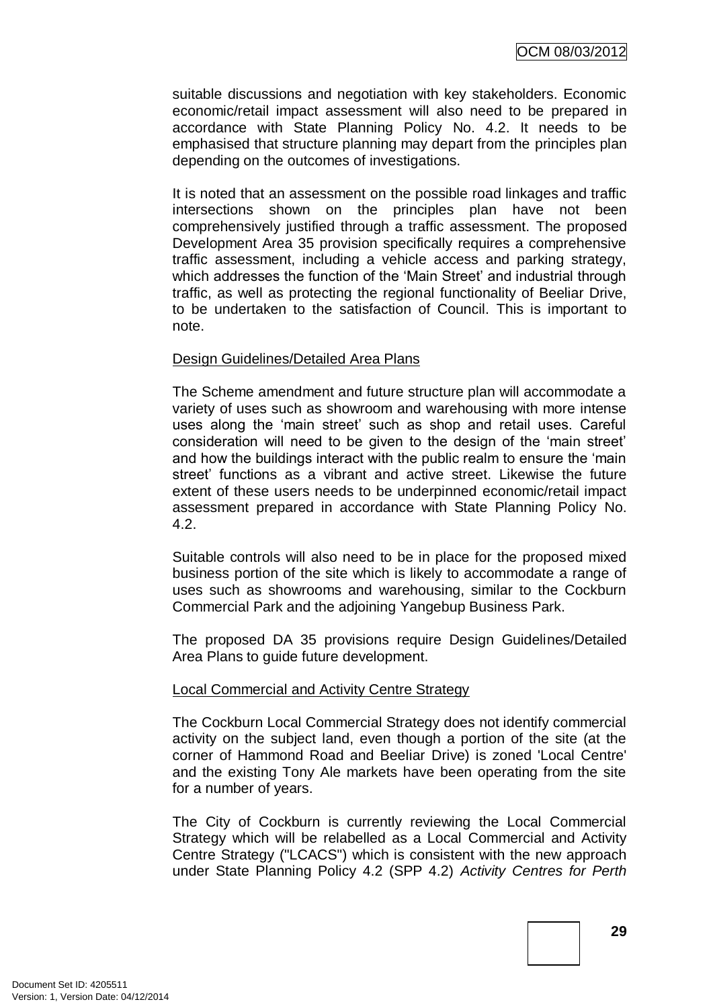suitable discussions and negotiation with key stakeholders. Economic economic/retail impact assessment will also need to be prepared in accordance with State Planning Policy No. 4.2. It needs to be emphasised that structure planning may depart from the principles plan depending on the outcomes of investigations.

It is noted that an assessment on the possible road linkages and traffic intersections shown on the principles plan have not been comprehensively justified through a traffic assessment. The proposed Development Area 35 provision specifically requires a comprehensive traffic assessment, including a vehicle access and parking strategy, which addresses the function of the 'Main Street' and industrial through traffic, as well as protecting the regional functionality of Beeliar Drive, to be undertaken to the satisfaction of Council. This is important to note.

#### Design Guidelines/Detailed Area Plans

The Scheme amendment and future structure plan will accommodate a variety of uses such as showroom and warehousing with more intense uses along the "main street" such as shop and retail uses. Careful consideration will need to be given to the design of the "main street" and how the buildings interact with the public realm to ensure the "main street' functions as a vibrant and active street. Likewise the future extent of these users needs to be underpinned economic/retail impact assessment prepared in accordance with State Planning Policy No. 4.2.

Suitable controls will also need to be in place for the proposed mixed business portion of the site which is likely to accommodate a range of uses such as showrooms and warehousing, similar to the Cockburn Commercial Park and the adjoining Yangebup Business Park.

The proposed DA 35 provisions require Design Guidelines/Detailed Area Plans to guide future development.

# Local Commercial and Activity Centre Strategy

The Cockburn Local Commercial Strategy does not identify commercial activity on the subject land, even though a portion of the site (at the corner of Hammond Road and Beeliar Drive) is zoned 'Local Centre' and the existing Tony Ale markets have been operating from the site for a number of years.

The City of Cockburn is currently reviewing the Local Commercial Strategy which will be relabelled as a Local Commercial and Activity Centre Strategy ("LCACS") which is consistent with the new approach under State Planning Policy 4.2 (SPP 4.2) *Activity Centres for Perth*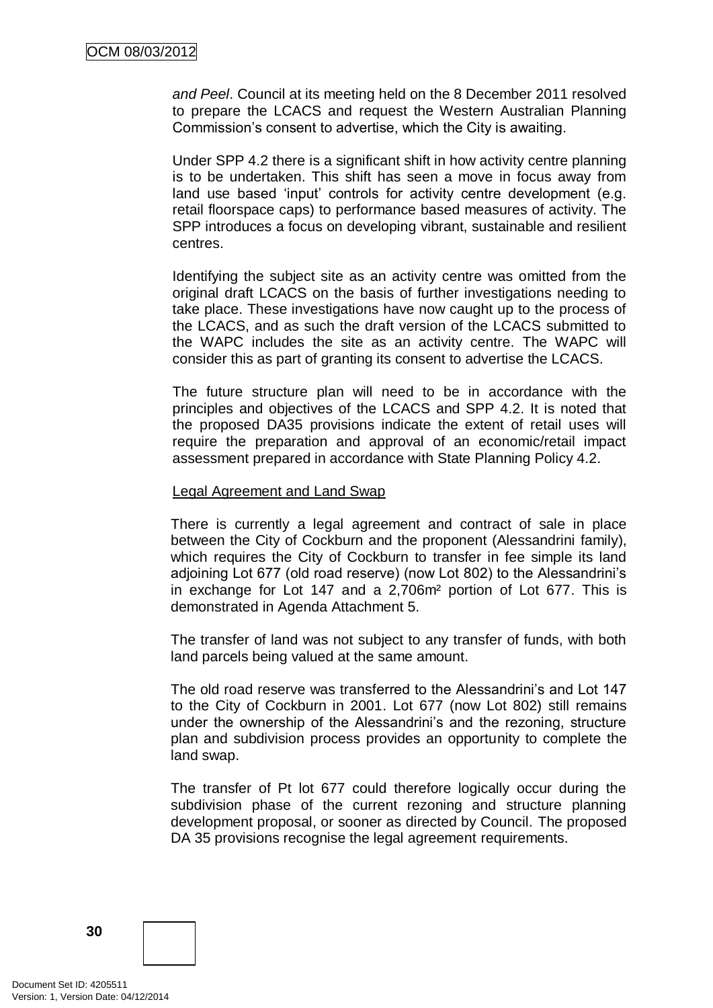*and Peel*. Council at its meeting held on the 8 December 2011 resolved to prepare the LCACS and request the Western Australian Planning Commission"s consent to advertise, which the City is awaiting.

Under SPP 4.2 there is a significant shift in how activity centre planning is to be undertaken. This shift has seen a move in focus away from land use based "input" controls for activity centre development (e.g. retail floorspace caps) to performance based measures of activity. The SPP introduces a focus on developing vibrant, sustainable and resilient centres.

Identifying the subject site as an activity centre was omitted from the original draft LCACS on the basis of further investigations needing to take place. These investigations have now caught up to the process of the LCACS, and as such the draft version of the LCACS submitted to the WAPC includes the site as an activity centre. The WAPC will consider this as part of granting its consent to advertise the LCACS.

The future structure plan will need to be in accordance with the principles and objectives of the LCACS and SPP 4.2. It is noted that the proposed DA35 provisions indicate the extent of retail uses will require the preparation and approval of an economic/retail impact assessment prepared in accordance with State Planning Policy 4.2.

#### Legal Agreement and Land Swap

There is currently a legal agreement and contract of sale in place between the City of Cockburn and the proponent (Alessandrini family), which requires the City of Cockburn to transfer in fee simple its land adjoining Lot 677 (old road reserve) (now Lot 802) to the Alessandrini"s in exchange for Lot 147 and a 2,706m² portion of Lot 677. This is demonstrated in Agenda Attachment 5.

The transfer of land was not subject to any transfer of funds, with both land parcels being valued at the same amount.

The old road reserve was transferred to the Alessandrini"s and Lot 147 to the City of Cockburn in 2001. Lot 677 (now Lot 802) still remains under the ownership of the Alessandrini"s and the rezoning, structure plan and subdivision process provides an opportunity to complete the land swap.

The transfer of Pt lot 677 could therefore logically occur during the subdivision phase of the current rezoning and structure planning development proposal, or sooner as directed by Council. The proposed DA 35 provisions recognise the legal agreement requirements.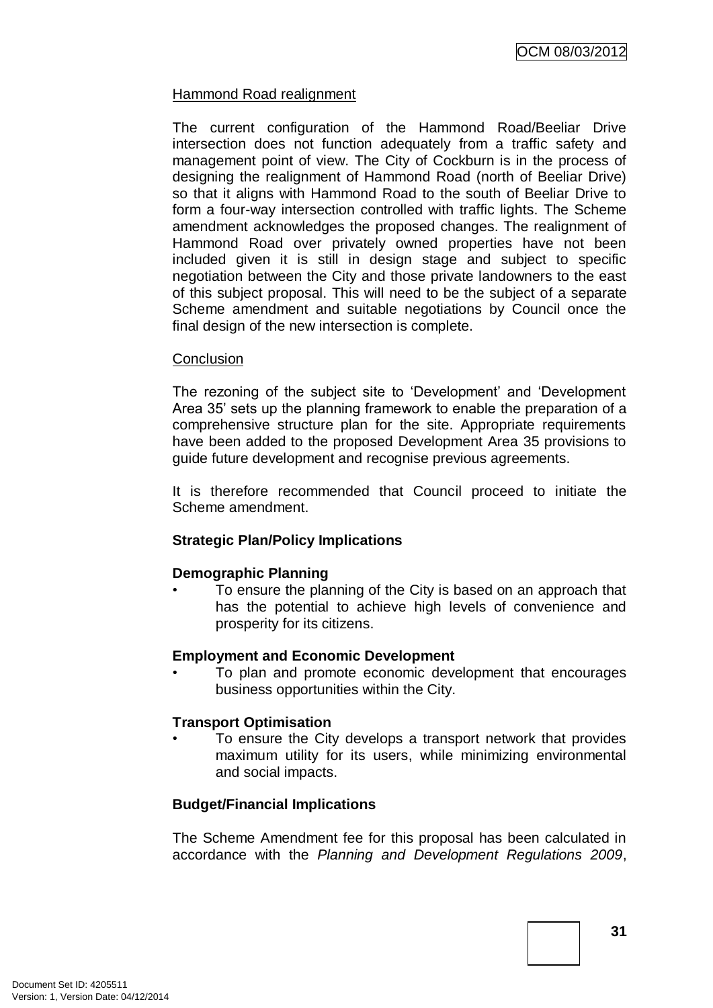# Hammond Road realignment

The current configuration of the Hammond Road/Beeliar Drive intersection does not function adequately from a traffic safety and management point of view. The City of Cockburn is in the process of designing the realignment of Hammond Road (north of Beeliar Drive) so that it aligns with Hammond Road to the south of Beeliar Drive to form a four-way intersection controlled with traffic lights. The Scheme amendment acknowledges the proposed changes. The realignment of Hammond Road over privately owned properties have not been included given it is still in design stage and subject to specific negotiation between the City and those private landowners to the east of this subject proposal. This will need to be the subject of a separate Scheme amendment and suitable negotiations by Council once the final design of the new intersection is complete.

#### **Conclusion**

The rezoning of the subject site to "Development" and "Development Area 35" sets up the planning framework to enable the preparation of a comprehensive structure plan for the site. Appropriate requirements have been added to the proposed Development Area 35 provisions to guide future development and recognise previous agreements.

It is therefore recommended that Council proceed to initiate the Scheme amendment.

# **Strategic Plan/Policy Implications**

#### **Demographic Planning**

• To ensure the planning of the City is based on an approach that has the potential to achieve high levels of convenience and prosperity for its citizens.

#### **Employment and Economic Development**

• To plan and promote economic development that encourages business opportunities within the City.

#### **Transport Optimisation**

To ensure the City develops a transport network that provides maximum utility for its users, while minimizing environmental and social impacts.

# **Budget/Financial Implications**

The Scheme Amendment fee for this proposal has been calculated in accordance with the *Planning and Development Regulations 2009*,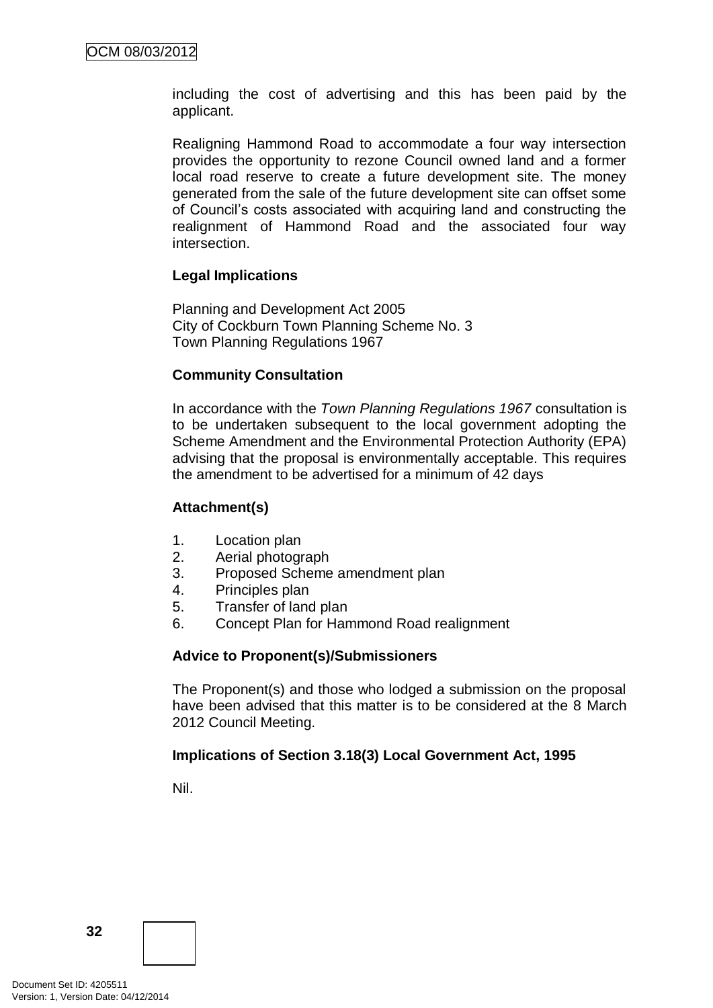including the cost of advertising and this has been paid by the applicant.

Realigning Hammond Road to accommodate a four way intersection provides the opportunity to rezone Council owned land and a former local road reserve to create a future development site. The money generated from the sale of the future development site can offset some of Council"s costs associated with acquiring land and constructing the realignment of Hammond Road and the associated four way intersection.

#### **Legal Implications**

Planning and Development Act 2005 City of Cockburn Town Planning Scheme No. 3 Town Planning Regulations 1967

#### **Community Consultation**

In accordance with the *Town Planning Regulations 1967* consultation is to be undertaken subsequent to the local government adopting the Scheme Amendment and the Environmental Protection Authority (EPA) advising that the proposal is environmentally acceptable. This requires the amendment to be advertised for a minimum of 42 days

### **Attachment(s)**

- 1. Location plan
- 2. Aerial photograph
- 3. Proposed Scheme amendment plan
- 4. Principles plan
- 5. Transfer of land plan
- 6. Concept Plan for Hammond Road realignment

# **Advice to Proponent(s)/Submissioners**

The Proponent(s) and those who lodged a submission on the proposal have been advised that this matter is to be considered at the 8 March 2012 Council Meeting.

# **Implications of Section 3.18(3) Local Government Act, 1995**

Nil.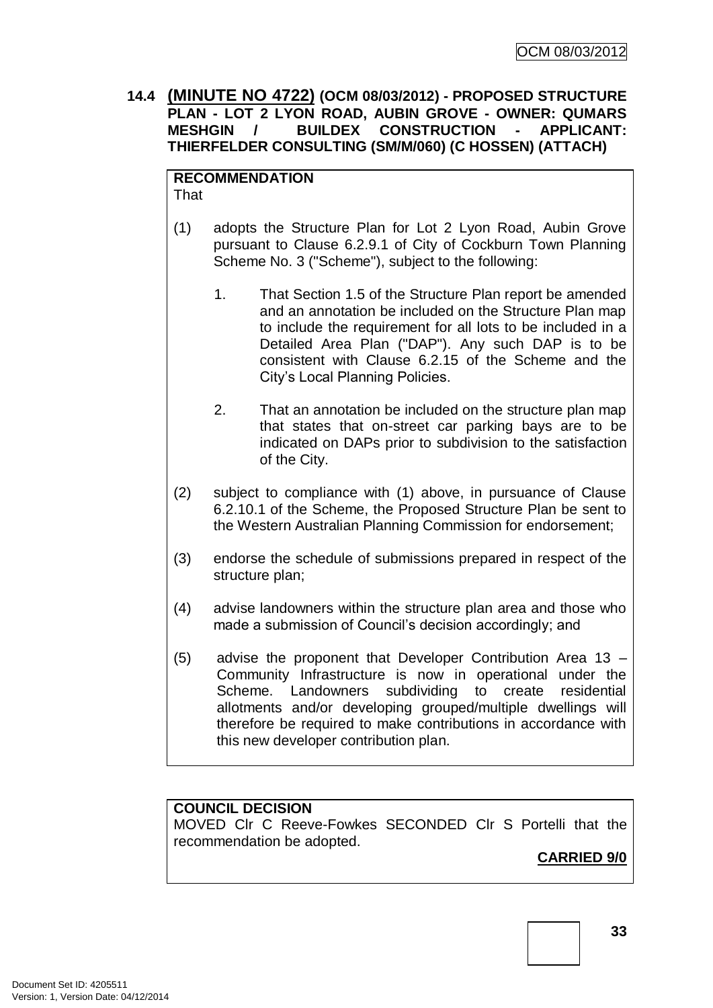## **14.4 (MINUTE NO 4722) (OCM 08/03/2012) - PROPOSED STRUCTURE PLAN - LOT 2 LYON ROAD, AUBIN GROVE - OWNER: QUMARS MESHGIN / BUILDEX CONSTRUCTION - APPLICANT: THIERFELDER CONSULTING (SM/M/060) (C HOSSEN) (ATTACH)**

# **RECOMMENDATION**

That

- (1) adopts the Structure Plan for Lot 2 Lyon Road, Aubin Grove pursuant to Clause 6.2.9.1 of City of Cockburn Town Planning Scheme No. 3 ("Scheme"), subject to the following:
	- 1. That Section 1.5 of the Structure Plan report be amended and an annotation be included on the Structure Plan map to include the requirement for all lots to be included in a Detailed Area Plan ("DAP"). Any such DAP is to be consistent with Clause 6.2.15 of the Scheme and the City"s Local Planning Policies.
	- 2. That an annotation be included on the structure plan map that states that on-street car parking bays are to be indicated on DAPs prior to subdivision to the satisfaction of the City.
- (2) subject to compliance with (1) above, in pursuance of Clause 6.2.10.1 of the Scheme, the Proposed Structure Plan be sent to the Western Australian Planning Commission for endorsement;
- (3) endorse the schedule of submissions prepared in respect of the structure plan;
- (4) advise landowners within the structure plan area and those who made a submission of Council's decision accordingly; and
- (5) advise the proponent that Developer Contribution Area 13 Community Infrastructure is now in operational under the Scheme. Landowners subdividing to create residential allotments and/or developing grouped/multiple dwellings will therefore be required to make contributions in accordance with this new developer contribution plan.

# **COUNCIL DECISION**

MOVED Clr C Reeve-Fowkes SECONDED Clr S Portelli that the recommendation be adopted.

# **CARRIED 9/0**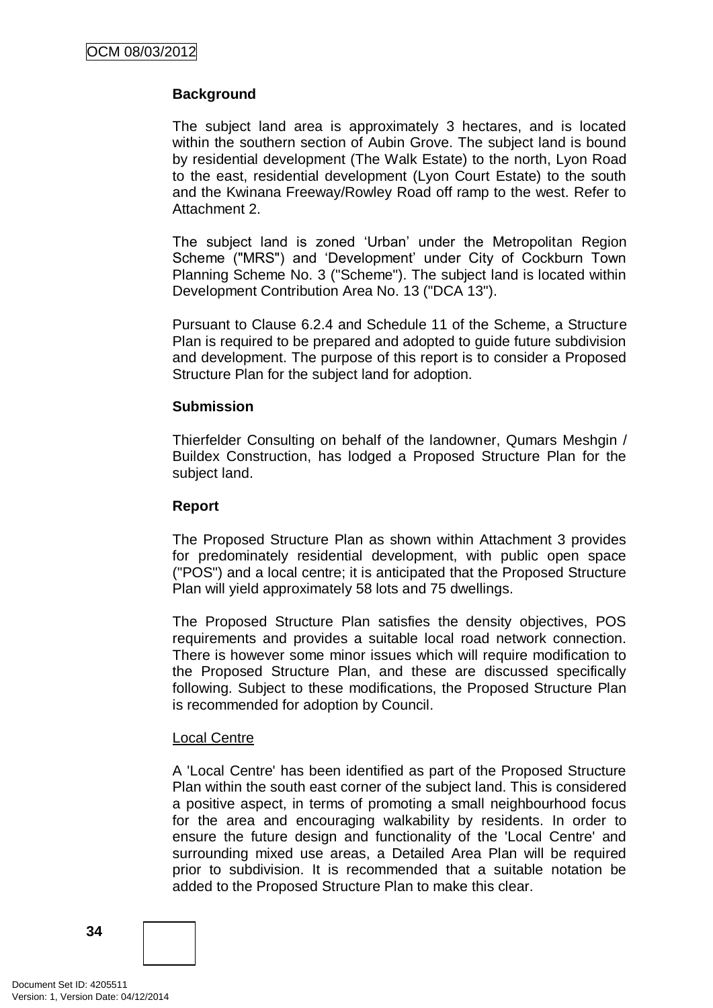## **Background**

The subject land area is approximately 3 hectares, and is located within the southern section of Aubin Grove. The subject land is bound by residential development (The Walk Estate) to the north, Lyon Road to the east, residential development (Lyon Court Estate) to the south and the Kwinana Freeway/Rowley Road off ramp to the west. Refer to Attachment 2.

The subject land is zoned "Urban" under the Metropolitan Region Scheme ("MRS") and "Development" under City of Cockburn Town Planning Scheme No. 3 ("Scheme"). The subject land is located within Development Contribution Area No. 13 ("DCA 13").

Pursuant to Clause 6.2.4 and Schedule 11 of the Scheme, a Structure Plan is required to be prepared and adopted to guide future subdivision and development. The purpose of this report is to consider a Proposed Structure Plan for the subject land for adoption.

#### **Submission**

Thierfelder Consulting on behalf of the landowner, Qumars Meshgin / Buildex Construction, has lodged a Proposed Structure Plan for the subject land.

#### **Report**

The Proposed Structure Plan as shown within Attachment 3 provides for predominately residential development, with public open space ("POS") and a local centre; it is anticipated that the Proposed Structure Plan will yield approximately 58 lots and 75 dwellings.

The Proposed Structure Plan satisfies the density objectives, POS requirements and provides a suitable local road network connection. There is however some minor issues which will require modification to the Proposed Structure Plan, and these are discussed specifically following. Subject to these modifications, the Proposed Structure Plan is recommended for adoption by Council.

#### Local Centre

A 'Local Centre' has been identified as part of the Proposed Structure Plan within the south east corner of the subject land. This is considered a positive aspect, in terms of promoting a small neighbourhood focus for the area and encouraging walkability by residents. In order to ensure the future design and functionality of the 'Local Centre' and surrounding mixed use areas, a Detailed Area Plan will be required prior to subdivision. It is recommended that a suitable notation be added to the Proposed Structure Plan to make this clear.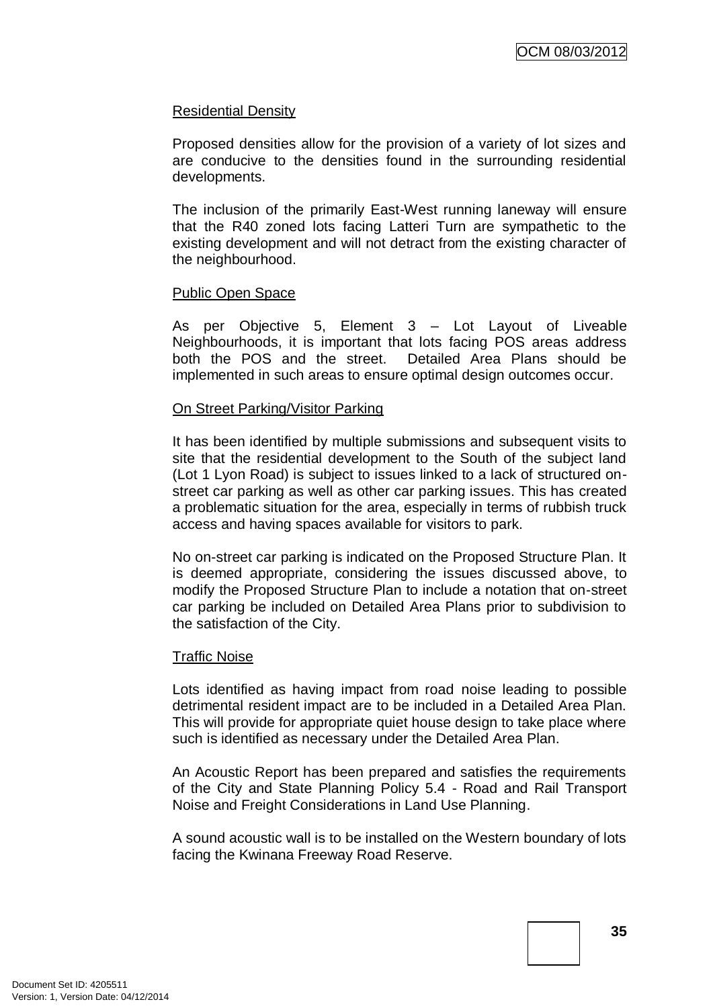#### Residential Density

Proposed densities allow for the provision of a variety of lot sizes and are conducive to the densities found in the surrounding residential developments.

The inclusion of the primarily East-West running laneway will ensure that the R40 zoned lots facing Latteri Turn are sympathetic to the existing development and will not detract from the existing character of the neighbourhood.

#### Public Open Space

As per Objective 5, Element 3 – Lot Layout of Liveable Neighbourhoods, it is important that lots facing POS areas address both the POS and the street. Detailed Area Plans should be implemented in such areas to ensure optimal design outcomes occur.

#### On Street Parking/Visitor Parking

It has been identified by multiple submissions and subsequent visits to site that the residential development to the South of the subject land (Lot 1 Lyon Road) is subject to issues linked to a lack of structured onstreet car parking as well as other car parking issues. This has created a problematic situation for the area, especially in terms of rubbish truck access and having spaces available for visitors to park.

No on-street car parking is indicated on the Proposed Structure Plan. It is deemed appropriate, considering the issues discussed above, to modify the Proposed Structure Plan to include a notation that on-street car parking be included on Detailed Area Plans prior to subdivision to the satisfaction of the City.

#### Traffic Noise

Lots identified as having impact from road noise leading to possible detrimental resident impact are to be included in a Detailed Area Plan. This will provide for appropriate quiet house design to take place where such is identified as necessary under the Detailed Area Plan.

An Acoustic Report has been prepared and satisfies the requirements of the City and State Planning Policy 5.4 - Road and Rail Transport Noise and Freight Considerations in Land Use Planning.

A sound acoustic wall is to be installed on the Western boundary of lots facing the Kwinana Freeway Road Reserve.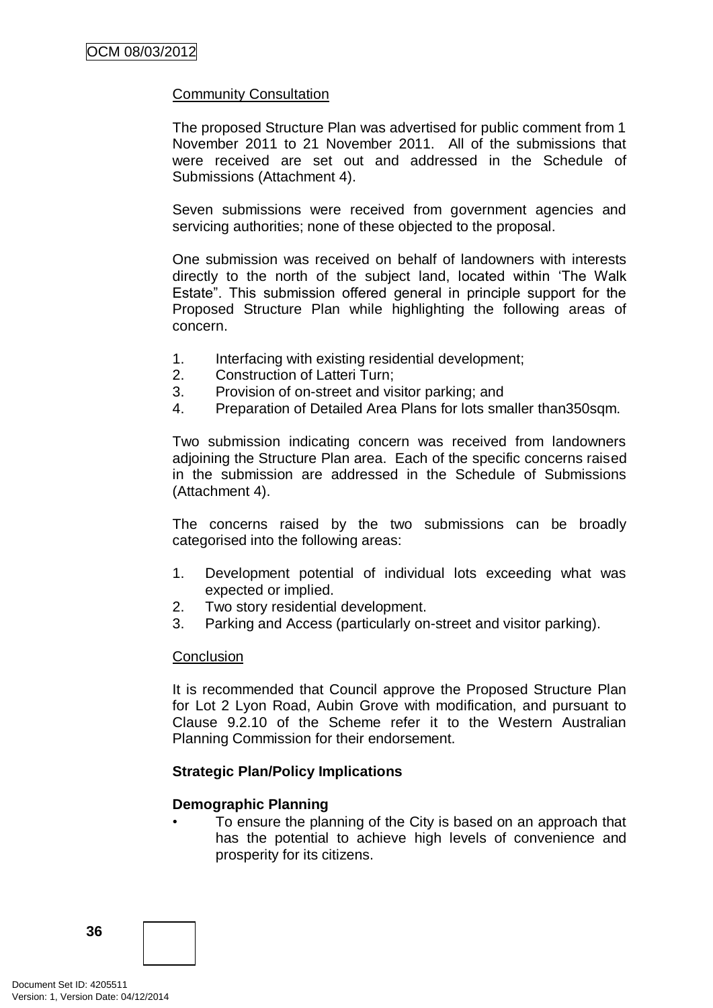### Community Consultation

The proposed Structure Plan was advertised for public comment from 1 November 2011 to 21 November 2011. All of the submissions that were received are set out and addressed in the Schedule of Submissions (Attachment 4).

Seven submissions were received from government agencies and servicing authorities; none of these objected to the proposal.

One submission was received on behalf of landowners with interests directly to the north of the subject land, located within "The Walk Estate". This submission offered general in principle support for the Proposed Structure Plan while highlighting the following areas of concern.

- 1. Interfacing with existing residential development;
- 2. Construction of Latteri Turn;
- 3. Provision of on-street and visitor parking; and
- 4. Preparation of Detailed Area Plans for lots smaller than350sqm.

Two submission indicating concern was received from landowners adjoining the Structure Plan area. Each of the specific concerns raised in the submission are addressed in the Schedule of Submissions (Attachment 4).

The concerns raised by the two submissions can be broadly categorised into the following areas:

- 1. Development potential of individual lots exceeding what was expected or implied.
- 2. Two story residential development.
- 3. Parking and Access (particularly on-street and visitor parking).

#### **Conclusion**

It is recommended that Council approve the Proposed Structure Plan for Lot 2 Lyon Road, Aubin Grove with modification, and pursuant to Clause 9.2.10 of the Scheme refer it to the Western Australian Planning Commission for their endorsement.

#### **Strategic Plan/Policy Implications**

#### **Demographic Planning**

• To ensure the planning of the City is based on an approach that has the potential to achieve high levels of convenience and prosperity for its citizens.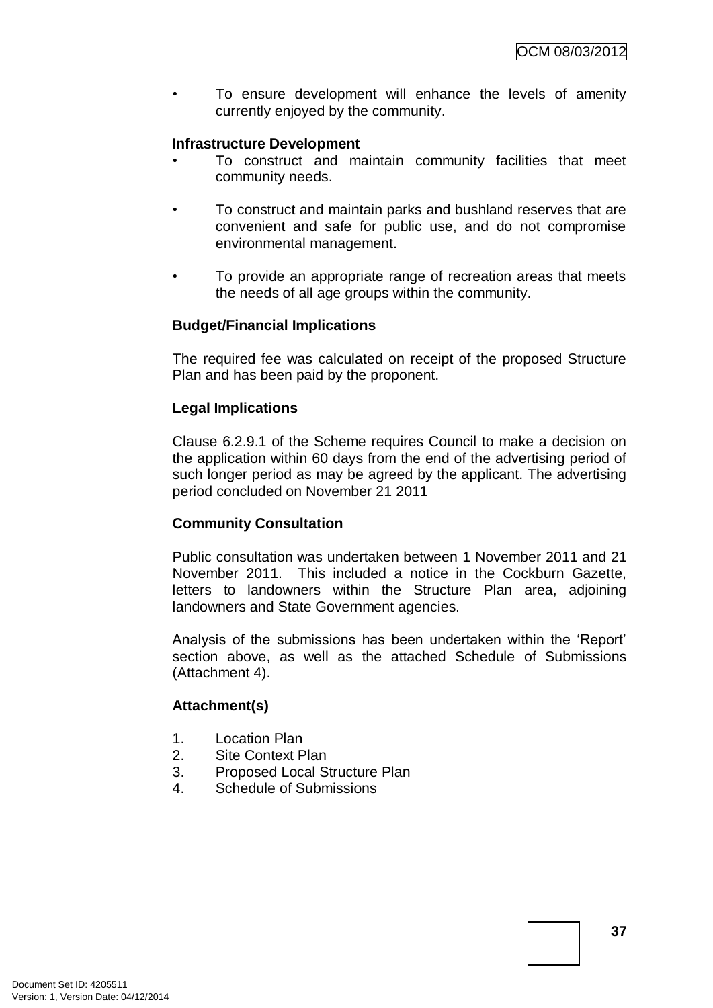• To ensure development will enhance the levels of amenity currently enjoyed by the community.

#### **Infrastructure Development**

- To construct and maintain community facilities that meet community needs.
- To construct and maintain parks and bushland reserves that are convenient and safe for public use, and do not compromise environmental management.
- To provide an appropriate range of recreation areas that meets the needs of all age groups within the community.

#### **Budget/Financial Implications**

The required fee was calculated on receipt of the proposed Structure Plan and has been paid by the proponent.

## **Legal Implications**

Clause 6.2.9.1 of the Scheme requires Council to make a decision on the application within 60 days from the end of the advertising period of such longer period as may be agreed by the applicant. The advertising period concluded on November 21 2011

#### **Community Consultation**

Public consultation was undertaken between 1 November 2011 and 21 November 2011. This included a notice in the Cockburn Gazette, letters to landowners within the Structure Plan area, adjoining landowners and State Government agencies.

Analysis of the submissions has been undertaken within the "Report" section above, as well as the attached Schedule of Submissions (Attachment 4).

# **Attachment(s)**

- 1. Location Plan
- 2. Site Context Plan
- 3. Proposed Local Structure Plan
- 4. Schedule of Submissions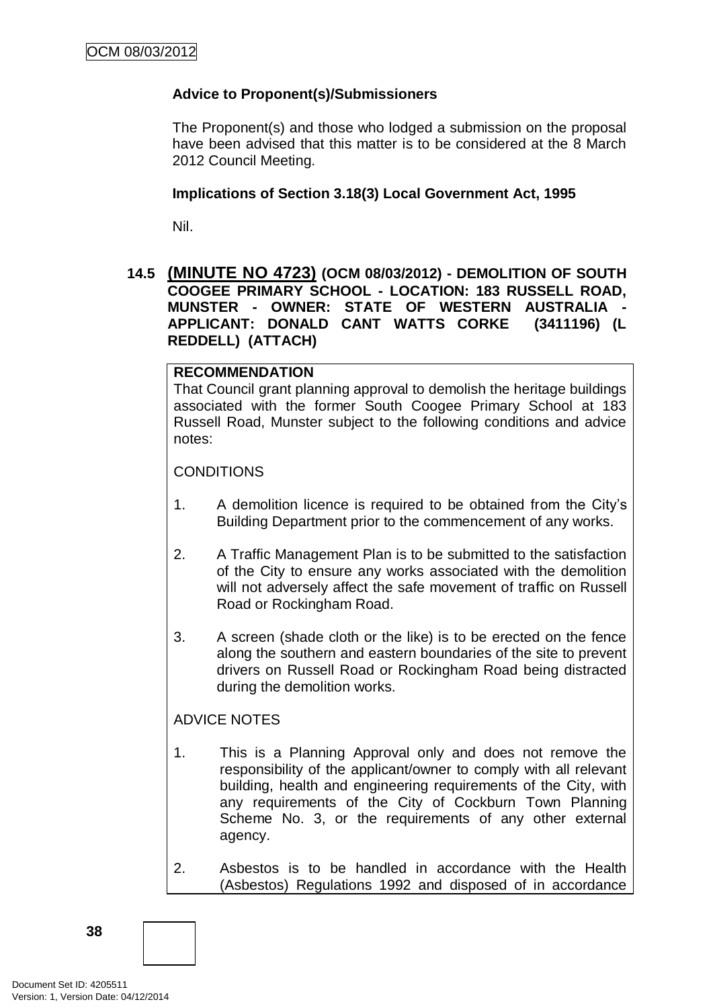## **Advice to Proponent(s)/Submissioners**

The Proponent(s) and those who lodged a submission on the proposal have been advised that this matter is to be considered at the 8 March 2012 Council Meeting.

#### **Implications of Section 3.18(3) Local Government Act, 1995**

Nil.

## **14.5 (MINUTE NO 4723) (OCM 08/03/2012) - DEMOLITION OF SOUTH COOGEE PRIMARY SCHOOL - LOCATION: 183 RUSSELL ROAD, MUNSTER - OWNER: STATE OF WESTERN AUSTRALIA - APPLICANT: DONALD CANT WATTS CORKE (3411196) (L REDDELL) (ATTACH)**

#### **RECOMMENDATION**

That Council grant planning approval to demolish the heritage buildings associated with the former South Coogee Primary School at 183 Russell Road, Munster subject to the following conditions and advice notes:

**CONDITIONS** 

- 1. A demolition licence is required to be obtained from the City"s Building Department prior to the commencement of any works.
- 2. A Traffic Management Plan is to be submitted to the satisfaction of the City to ensure any works associated with the demolition will not adversely affect the safe movement of traffic on Russell Road or Rockingham Road.
- 3. A screen (shade cloth or the like) is to be erected on the fence along the southern and eastern boundaries of the site to prevent drivers on Russell Road or Rockingham Road being distracted during the demolition works.

ADVICE NOTES

- 1. This is a Planning Approval only and does not remove the responsibility of the applicant/owner to comply with all relevant building, health and engineering requirements of the City, with any requirements of the City of Cockburn Town Planning Scheme No. 3, or the requirements of any other external agency.
- 2. Asbestos is to be handled in accordance with the Health (Asbestos) Regulations 1992 and disposed of in accordance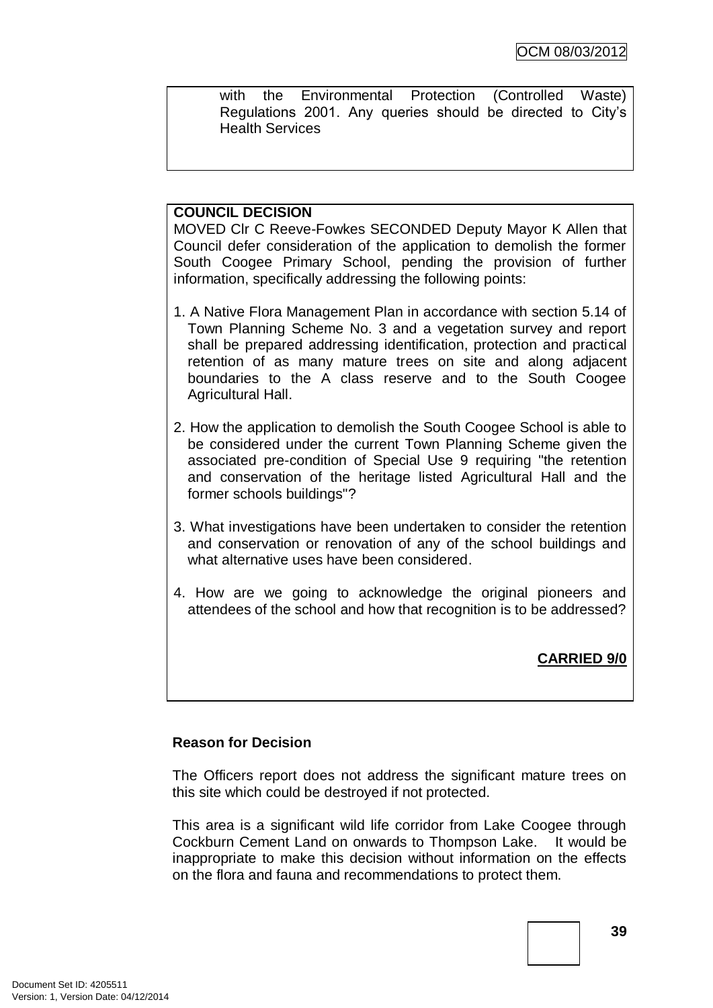with the Environmental Protection (Controlled Waste) Regulations 2001. Any queries should be directed to City"s Health Services

## **COUNCIL DECISION**

MOVED Clr C Reeve-Fowkes SECONDED Deputy Mayor K Allen that Council defer consideration of the application to demolish the former South Coogee Primary School, pending the provision of further information, specifically addressing the following points:

- 1. A Native Flora Management Plan in accordance with section 5.14 of Town Planning Scheme No. 3 and a vegetation survey and report shall be prepared addressing identification, protection and practical retention of as many mature trees on site and along adjacent boundaries to the A class reserve and to the South Coogee Agricultural Hall.
- 2. How the application to demolish the South Coogee School is able to be considered under the current Town Planning Scheme given the associated pre-condition of Special Use 9 requiring "the retention and conservation of the heritage listed Agricultural Hall and the former schools buildings"?
- 3. What investigations have been undertaken to consider the retention and conservation or renovation of any of the school buildings and what alternative uses have been considered.
- 4. How are we going to acknowledge the original pioneers and attendees of the school and how that recognition is to be addressed?

**CARRIED 9/0**

# **Reason for Decision**

The Officers report does not address the significant mature trees on this site which could be destroyed if not protected.

This area is a significant wild life corridor from Lake Coogee through Cockburn Cement Land on onwards to Thompson Lake. It would be inappropriate to make this decision without information on the effects on the flora and fauna and recommendations to protect them.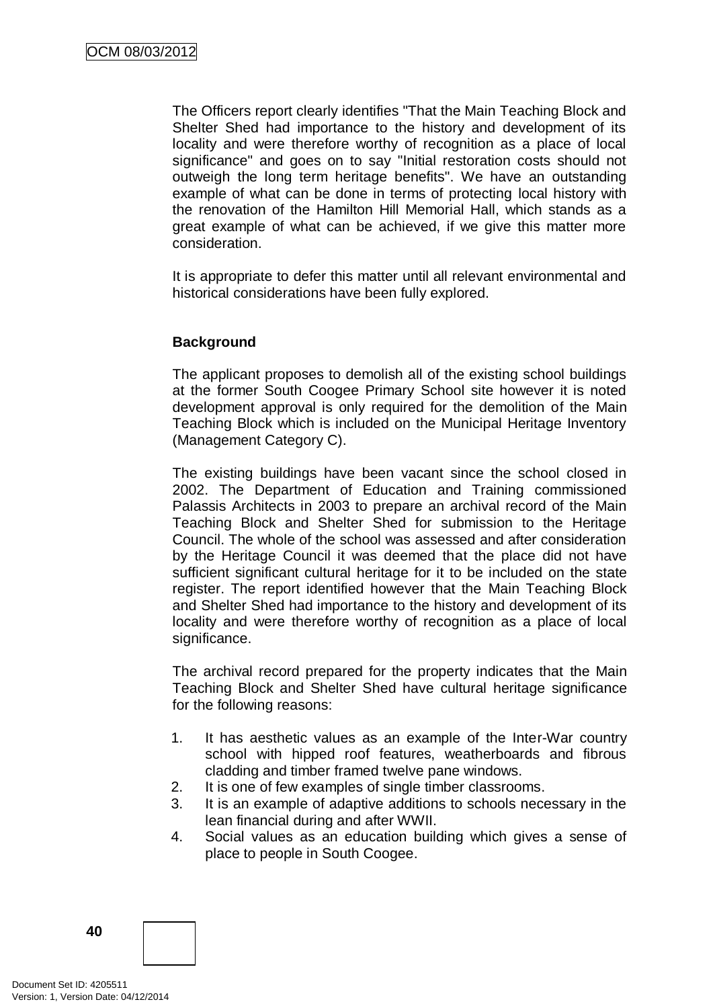The Officers report clearly identifies "That the Main Teaching Block and Shelter Shed had importance to the history and development of its locality and were therefore worthy of recognition as a place of local significance" and goes on to say "Initial restoration costs should not outweigh the long term heritage benefits". We have an outstanding example of what can be done in terms of protecting local history with the renovation of the Hamilton Hill Memorial Hall, which stands as a great example of what can be achieved, if we give this matter more consideration.

It is appropriate to defer this matter until all relevant environmental and historical considerations have been fully explored.

## **Background**

The applicant proposes to demolish all of the existing school buildings at the former South Coogee Primary School site however it is noted development approval is only required for the demolition of the Main Teaching Block which is included on the Municipal Heritage Inventory (Management Category C).

The existing buildings have been vacant since the school closed in 2002. The Department of Education and Training commissioned Palassis Architects in 2003 to prepare an archival record of the Main Teaching Block and Shelter Shed for submission to the Heritage Council. The whole of the school was assessed and after consideration by the Heritage Council it was deemed that the place did not have sufficient significant cultural heritage for it to be included on the state register. The report identified however that the Main Teaching Block and Shelter Shed had importance to the history and development of its locality and were therefore worthy of recognition as a place of local significance.

The archival record prepared for the property indicates that the Main Teaching Block and Shelter Shed have cultural heritage significance for the following reasons:

- 1. It has aesthetic values as an example of the Inter-War country school with hipped roof features, weatherboards and fibrous cladding and timber framed twelve pane windows.
- 2. It is one of few examples of single timber classrooms.
- 3. It is an example of adaptive additions to schools necessary in the lean financial during and after WWII.
- 4. Social values as an education building which gives a sense of place to people in South Coogee.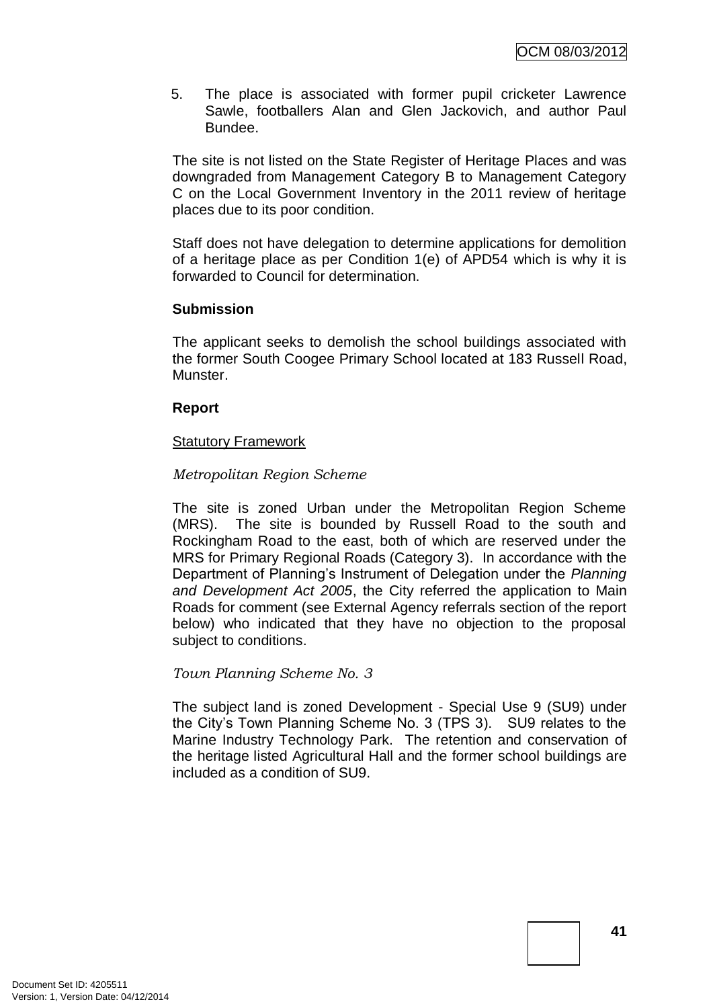5. The place is associated with former pupil cricketer Lawrence Sawle, footballers Alan and Glen Jackovich, and author Paul Bundee.

The site is not listed on the State Register of Heritage Places and was downgraded from Management Category B to Management Category C on the Local Government Inventory in the 2011 review of heritage places due to its poor condition.

Staff does not have delegation to determine applications for demolition of a heritage place as per Condition 1(e) of APD54 which is why it is forwarded to Council for determination.

#### **Submission**

The applicant seeks to demolish the school buildings associated with the former South Coogee Primary School located at 183 Russell Road, Munster.

#### **Report**

#### Statutory Framework

#### *Metropolitan Region Scheme*

The site is zoned Urban under the Metropolitan Region Scheme (MRS). The site is bounded by Russell Road to the south and Rockingham Road to the east, both of which are reserved under the MRS for Primary Regional Roads (Category 3). In accordance with the Department of Planning"s Instrument of Delegation under the *Planning and Development Act 2005*, the City referred the application to Main Roads for comment (see External Agency referrals section of the report below) who indicated that they have no objection to the proposal subject to conditions.

#### *Town Planning Scheme No. 3*

The subject land is zoned Development - Special Use 9 (SU9) under the City"s Town Planning Scheme No. 3 (TPS 3). SU9 relates to the Marine Industry Technology Park. The retention and conservation of the heritage listed Agricultural Hall and the former school buildings are included as a condition of SU9.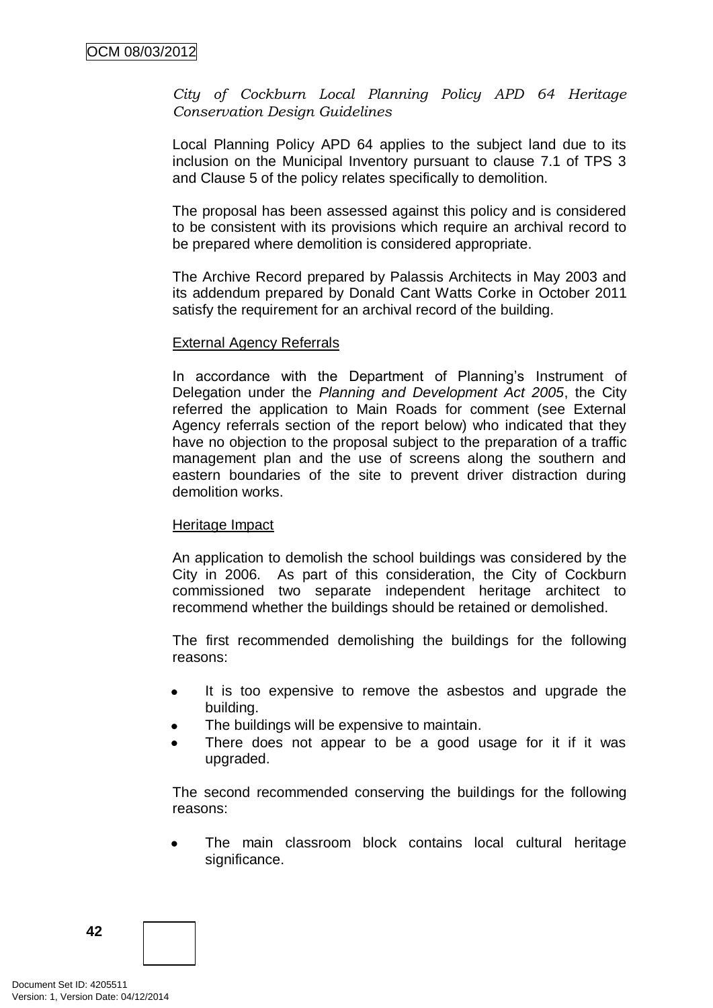*City of Cockburn Local Planning Policy APD 64 Heritage Conservation Design Guidelines*

Local Planning Policy APD 64 applies to the subject land due to its inclusion on the Municipal Inventory pursuant to clause 7.1 of TPS 3 and Clause 5 of the policy relates specifically to demolition.

The proposal has been assessed against this policy and is considered to be consistent with its provisions which require an archival record to be prepared where demolition is considered appropriate.

The Archive Record prepared by Palassis Architects in May 2003 and its addendum prepared by Donald Cant Watts Corke in October 2011 satisfy the requirement for an archival record of the building.

#### External Agency Referrals

In accordance with the Department of Planning's Instrument of Delegation under the *Planning and Development Act 2005*, the City referred the application to Main Roads for comment (see External Agency referrals section of the report below) who indicated that they have no objection to the proposal subject to the preparation of a traffic management plan and the use of screens along the southern and eastern boundaries of the site to prevent driver distraction during demolition works.

#### Heritage Impact

An application to demolish the school buildings was considered by the City in 2006. As part of this consideration, the City of Cockburn commissioned two separate independent heritage architect to recommend whether the buildings should be retained or demolished.

The first recommended demolishing the buildings for the following reasons:

- It is too expensive to remove the asbestos and upgrade the  $\bullet$ building.
- The buildings will be expensive to maintain.
- There does not appear to be a good usage for it if it was upgraded.

The second recommended conserving the buildings for the following reasons:

The main classroom block contains local cultural heritage significance.

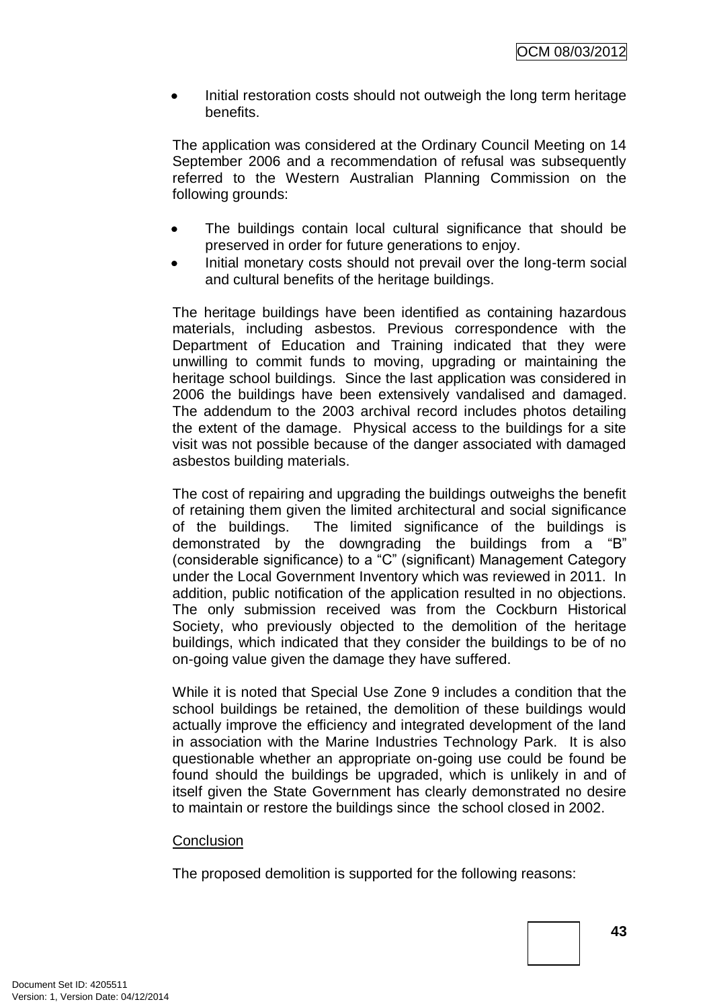Initial restoration costs should not outweigh the long term heritage  $\bullet$ benefits.

The application was considered at the Ordinary Council Meeting on 14 September 2006 and a recommendation of refusal was subsequently referred to the Western Australian Planning Commission on the following grounds:

- The buildings contain local cultural significance that should be  $\bullet$ preserved in order for future generations to enjoy.
- Initial monetary costs should not prevail over the long-term social and cultural benefits of the heritage buildings.

The heritage buildings have been identified as containing hazardous materials, including asbestos. Previous correspondence with the Department of Education and Training indicated that they were unwilling to commit funds to moving, upgrading or maintaining the heritage school buildings. Since the last application was considered in 2006 the buildings have been extensively vandalised and damaged. The addendum to the 2003 archival record includes photos detailing the extent of the damage. Physical access to the buildings for a site visit was not possible because of the danger associated with damaged asbestos building materials.

The cost of repairing and upgrading the buildings outweighs the benefit of retaining them given the limited architectural and social significance of the buildings. The limited significance of the buildings is demonstrated by the downgrading the buildings from a "B" (considerable significance) to a "C" (significant) Management Category under the Local Government Inventory which was reviewed in 2011. In addition, public notification of the application resulted in no objections. The only submission received was from the Cockburn Historical Society, who previously objected to the demolition of the heritage buildings, which indicated that they consider the buildings to be of no on-going value given the damage they have suffered.

While it is noted that Special Use Zone 9 includes a condition that the school buildings be retained, the demolition of these buildings would actually improve the efficiency and integrated development of the land in association with the Marine Industries Technology Park. It is also questionable whether an appropriate on-going use could be found be found should the buildings be upgraded, which is unlikely in and of itself given the State Government has clearly demonstrated no desire to maintain or restore the buildings since the school closed in 2002.

#### **Conclusion**

The proposed demolition is supported for the following reasons: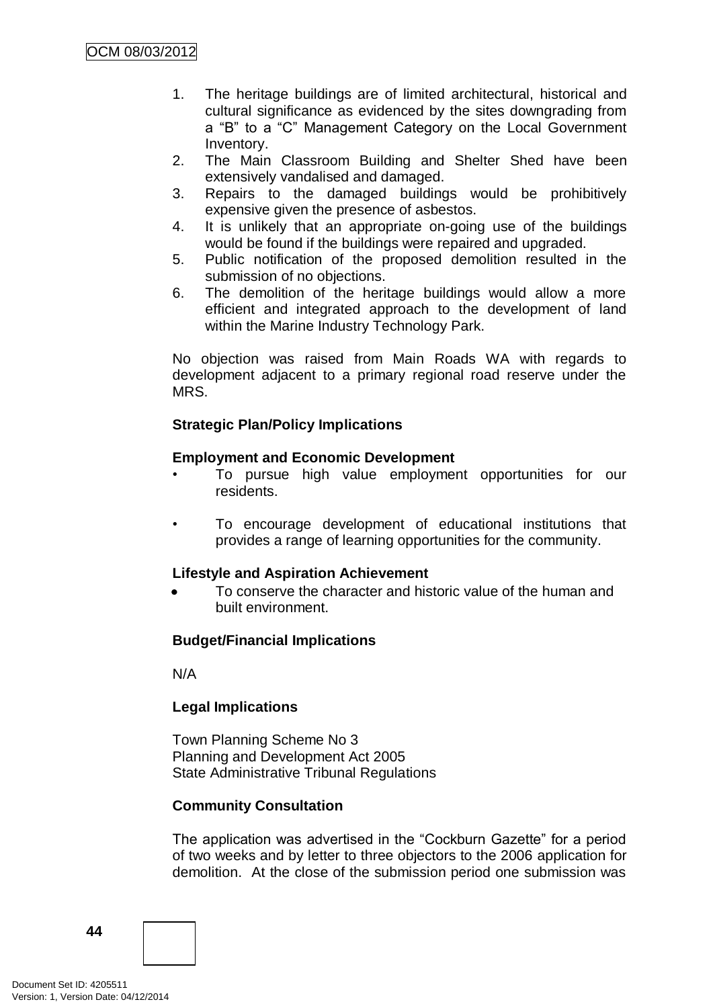- 1. The heritage buildings are of limited architectural, historical and cultural significance as evidenced by the sites downgrading from a "B" to a "C" Management Category on the Local Government Inventory.
- 2. The Main Classroom Building and Shelter Shed have been extensively vandalised and damaged.
- 3. Repairs to the damaged buildings would be prohibitively expensive given the presence of asbestos.
- 4. It is unlikely that an appropriate on-going use of the buildings would be found if the buildings were repaired and upgraded.
- 5. Public notification of the proposed demolition resulted in the submission of no objections.
- 6. The demolition of the heritage buildings would allow a more efficient and integrated approach to the development of land within the Marine Industry Technology Park.

No objection was raised from Main Roads WA with regards to development adjacent to a primary regional road reserve under the MRS.

# **Strategic Plan/Policy Implications**

#### **Employment and Economic Development**

- To pursue high value employment opportunities for our residents.
- To encourage development of educational institutions that provides a range of learning opportunities for the community.

#### **Lifestyle and Aspiration Achievement**

To conserve the character and historic value of the human and built environment.

#### **Budget/Financial Implications**

N/A

#### **Legal Implications**

Town Planning Scheme No 3 Planning and Development Act 2005 State Administrative Tribunal Regulations

#### **Community Consultation**

The application was advertised in the "Cockburn Gazette" for a period of two weeks and by letter to three objectors to the 2006 application for demolition. At the close of the submission period one submission was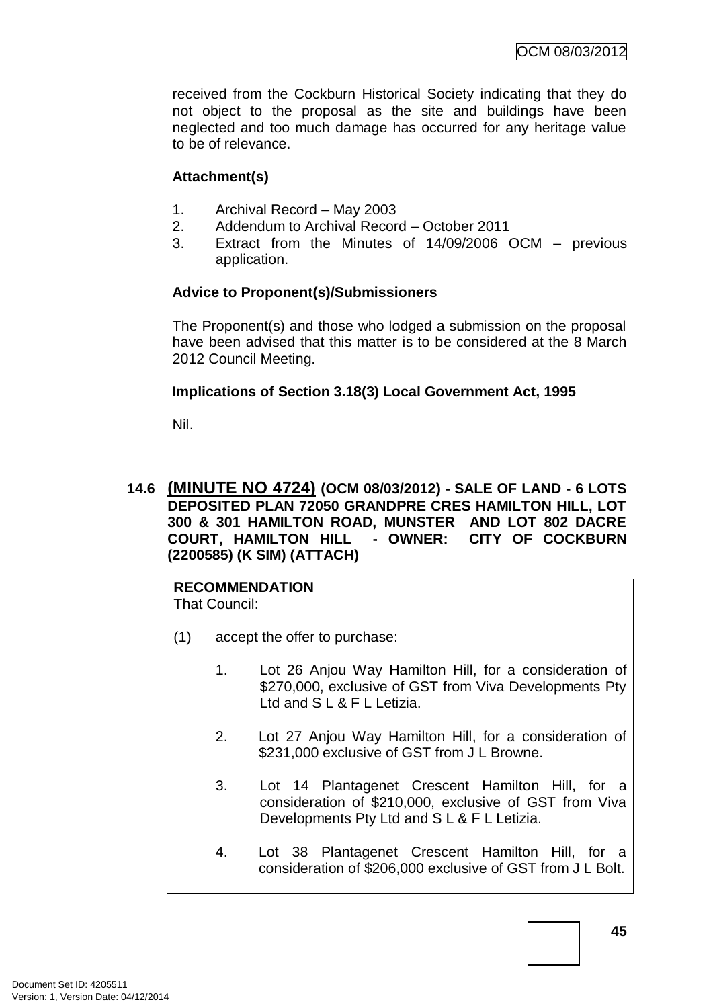received from the Cockburn Historical Society indicating that they do not object to the proposal as the site and buildings have been neglected and too much damage has occurred for any heritage value to be of relevance.

## **Attachment(s)**

- 1. Archival Record May 2003
- 2. Addendum to Archival Record October 2011
- 3. Extract from the Minutes of 14/09/2006 OCM previous application.

## **Advice to Proponent(s)/Submissioners**

The Proponent(s) and those who lodged a submission on the proposal have been advised that this matter is to be considered at the 8 March 2012 Council Meeting.

## **Implications of Section 3.18(3) Local Government Act, 1995**

Nil.

**14.6 (MINUTE NO 4724) (OCM 08/03/2012) - SALE OF LAND - 6 LOTS DEPOSITED PLAN 72050 GRANDPRE CRES HAMILTON HILL, LOT 300 & 301 HAMILTON ROAD, MUNSTER AND LOT 802 DACRE COURT, HAMILTON HILL - OWNER: CITY OF COCKBURN (2200585) (K SIM) (ATTACH)**

# **RECOMMENDATION**

That Council:

- (1) accept the offer to purchase:
	- 1. Lot 26 Anjou Way Hamilton Hill, for a consideration of \$270,000, exclusive of GST from Viva Developments Pty Ltd and S L & F L Letizia.
	- 2. Lot 27 Anjou Way Hamilton Hill, for a consideration of \$231,000 exclusive of GST from J L Browne.
	- 3. Lot 14 Plantagenet Crescent Hamilton Hill, for a consideration of \$210,000, exclusive of GST from Viva Developments Pty Ltd and S L & F L Letizia.
	- 4. Lot 38 Plantagenet Crescent Hamilton Hill, for a consideration of \$206,000 exclusive of GST from J L Bolt.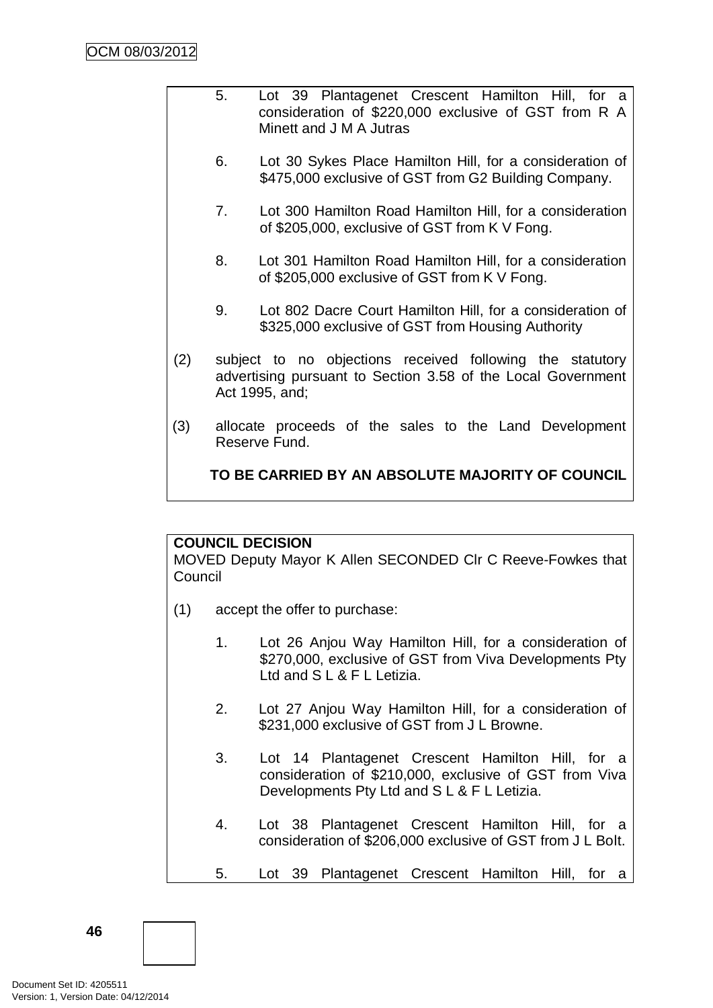- 5. Lot 39 Plantagenet Crescent Hamilton Hill, for a consideration of \$220,000 exclusive of GST from R A Minett and J M A Jutras
- 6. Lot 30 Sykes Place Hamilton Hill, for a consideration of \$475,000 exclusive of GST from G2 Building Company.
- 7. Lot 300 Hamilton Road Hamilton Hill, for a consideration of \$205,000, exclusive of GST from K V Fong.
- 8. Lot 301 Hamilton Road Hamilton Hill, for a consideration of \$205,000 exclusive of GST from K V Fong.
- 9. Lot 802 Dacre Court Hamilton Hill, for a consideration of \$325,000 exclusive of GST from Housing Authority
- (2) subject to no objections received following the statutory advertising pursuant to Section 3.58 of the Local Government Act 1995, and;
- (3) allocate proceeds of the sales to the Land Development Reserve Fund.

**TO BE CARRIED BY AN ABSOLUTE MAJORITY OF COUNCIL**

#### **COUNCIL DECISION**

MOVED Deputy Mayor K Allen SECONDED Clr C Reeve-Fowkes that **Council** 

- (1) accept the offer to purchase:
	- 1. Lot 26 Anjou Way Hamilton Hill, for a consideration of \$270,000, exclusive of GST from Viva Developments Pty Ltd and S L & F L Letizia.
	- 2. Lot 27 Anjou Way Hamilton Hill, for a consideration of \$231,000 exclusive of GST from J L Browne.
	- 3. Lot 14 Plantagenet Crescent Hamilton Hill, for a consideration of \$210,000, exclusive of GST from Viva Developments Pty Ltd and S L & F L Letizia.
	- 4. Lot 38 Plantagenet Crescent Hamilton Hill, for a consideration of \$206,000 exclusive of GST from J L Bolt.
	- 5. Lot 39 Plantagenet Crescent Hamilton Hill, for a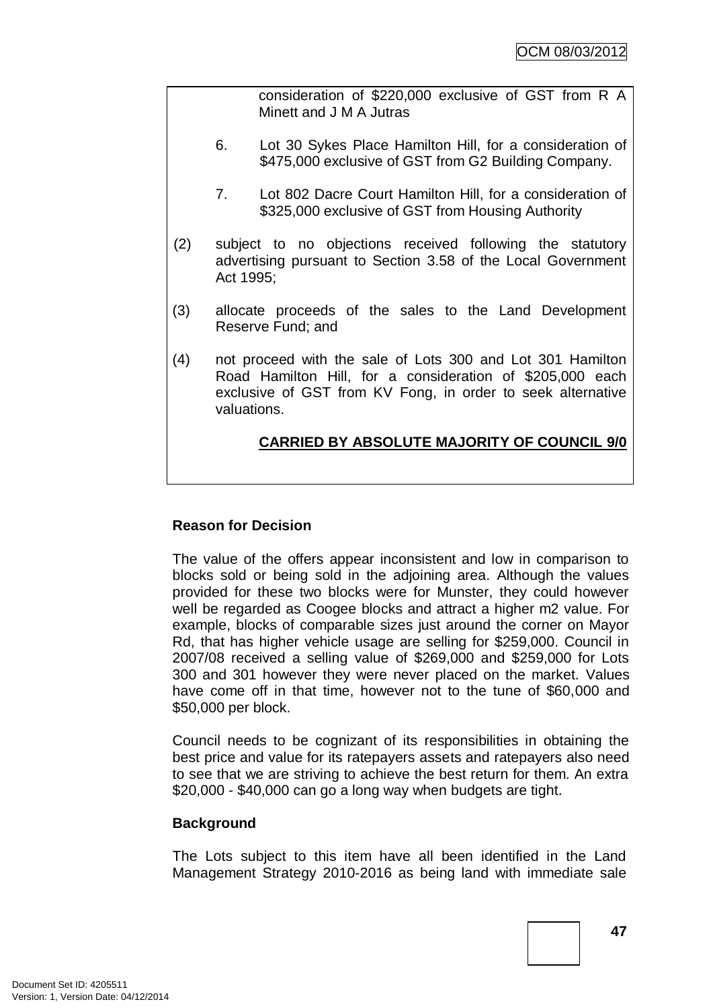consideration of \$220,000 exclusive of GST from R A Minett and J M A Jutras

- 6. Lot 30 Sykes Place Hamilton Hill, for a consideration of \$475,000 exclusive of GST from G2 Building Company.
- 7. Lot 802 Dacre Court Hamilton Hill, for a consideration of \$325,000 exclusive of GST from Housing Authority
- (2) subject to no objections received following the statutory advertising pursuant to Section 3.58 of the Local Government Act 1995;
- (3) allocate proceeds of the sales to the Land Development Reserve Fund; and
- (4) not proceed with the sale of Lots 300 and Lot 301 Hamilton Road Hamilton Hill, for a consideration of \$205,000 each exclusive of GST from KV Fong, in order to seek alternative valuations.

# **CARRIED BY ABSOLUTE MAJORITY OF COUNCIL 9/0**

# **Reason for Decision**

The value of the offers appear inconsistent and low in comparison to blocks sold or being sold in the adjoining area. Although the values provided for these two blocks were for Munster, they could however well be regarded as Coogee blocks and attract a higher m2 value. For example, blocks of comparable sizes just around the corner on Mayor Rd, that has higher vehicle usage are selling for \$259,000. Council in 2007/08 received a selling value of \$269,000 and \$259,000 for Lots 300 and 301 however they were never placed on the market. Values have come off in that time, however not to the tune of \$60,000 and \$50,000 per block.

Council needs to be cognizant of its responsibilities in obtaining the best price and value for its ratepayers assets and ratepayers also need to see that we are striving to achieve the best return for them. An extra \$20,000 - \$40,000 can go a long way when budgets are tight.

#### **Background**

The Lots subject to this item have all been identified in the Land Management Strategy 2010-2016 as being land with immediate sale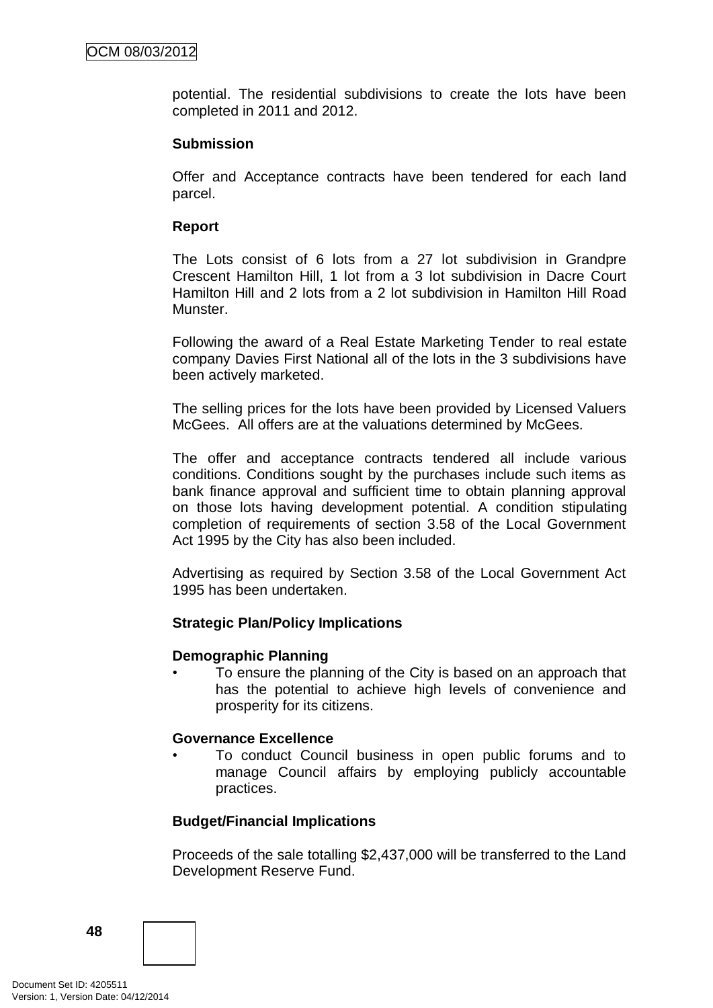potential. The residential subdivisions to create the lots have been completed in 2011 and 2012.

#### **Submission**

Offer and Acceptance contracts have been tendered for each land parcel.

#### **Report**

The Lots consist of 6 lots from a 27 lot subdivision in Grandpre Crescent Hamilton Hill, 1 lot from a 3 lot subdivision in Dacre Court Hamilton Hill and 2 lots from a 2 lot subdivision in Hamilton Hill Road Munster.

Following the award of a Real Estate Marketing Tender to real estate company Davies First National all of the lots in the 3 subdivisions have been actively marketed.

The selling prices for the lots have been provided by Licensed Valuers McGees. All offers are at the valuations determined by McGees.

The offer and acceptance contracts tendered all include various conditions. Conditions sought by the purchases include such items as bank finance approval and sufficient time to obtain planning approval on those lots having development potential. A condition stipulating completion of requirements of section 3.58 of the Local Government Act 1995 by the City has also been included.

Advertising as required by Section 3.58 of the Local Government Act 1995 has been undertaken.

#### **Strategic Plan/Policy Implications**

#### **Demographic Planning**

• To ensure the planning of the City is based on an approach that has the potential to achieve high levels of convenience and prosperity for its citizens.

#### **Governance Excellence**

• To conduct Council business in open public forums and to manage Council affairs by employing publicly accountable practices.

#### **Budget/Financial Implications**

Proceeds of the sale totalling \$2,437,000 will be transferred to the Land Development Reserve Fund.

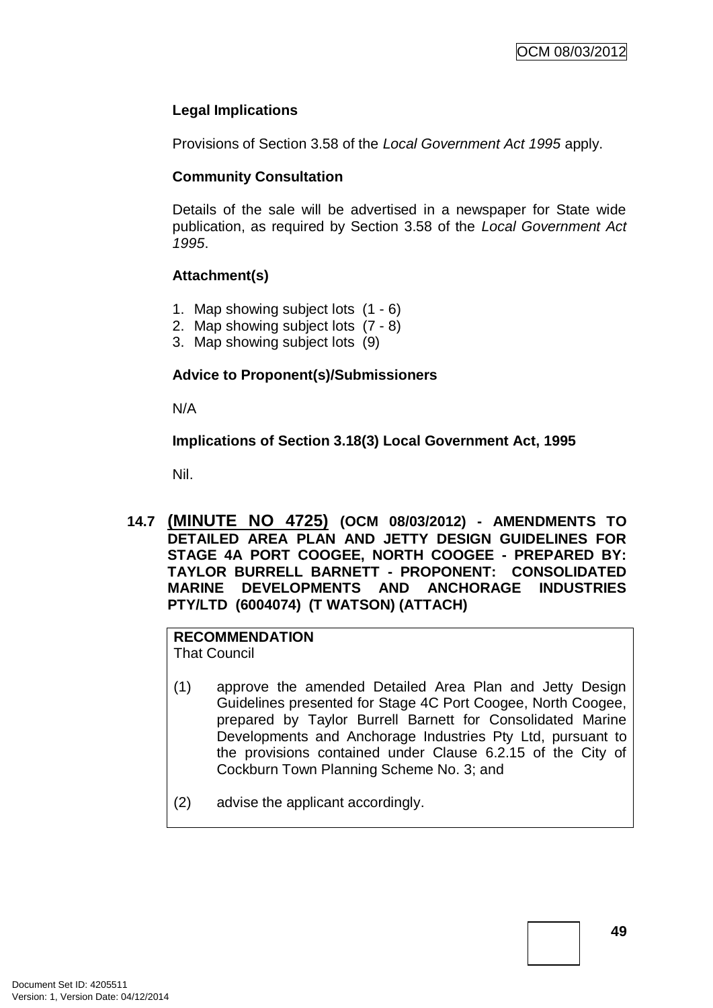## **Legal Implications**

Provisions of Section 3.58 of the *Local Government Act 1995* apply.

#### **Community Consultation**

Details of the sale will be advertised in a newspaper for State wide publication, as required by Section 3.58 of the *Local Government Act 1995*.

#### **Attachment(s)**

- 1. Map showing subject lots (1 6)
- 2. Map showing subject lots (7 8)
- 3. Map showing subject lots (9)

#### **Advice to Proponent(s)/Submissioners**

N/A

#### **Implications of Section 3.18(3) Local Government Act, 1995**

Nil.

**14.7 (MINUTE NO 4725) (OCM 08/03/2012) - AMENDMENTS TO DETAILED AREA PLAN AND JETTY DESIGN GUIDELINES FOR STAGE 4A PORT COOGEE, NORTH COOGEE - PREPARED BY: TAYLOR BURRELL BARNETT - PROPONENT: CONSOLIDATED MARINE DEVELOPMENTS AND ANCHORAGE INDUSTRIES PTY/LTD (6004074) (T WATSON) (ATTACH)**

# **RECOMMENDATION**

That Council

- (1) approve the amended Detailed Area Plan and Jetty Design Guidelines presented for Stage 4C Port Coogee, North Coogee, prepared by Taylor Burrell Barnett for Consolidated Marine Developments and Anchorage Industries Pty Ltd, pursuant to the provisions contained under Clause 6.2.15 of the City of Cockburn Town Planning Scheme No. 3; and
- (2) advise the applicant accordingly.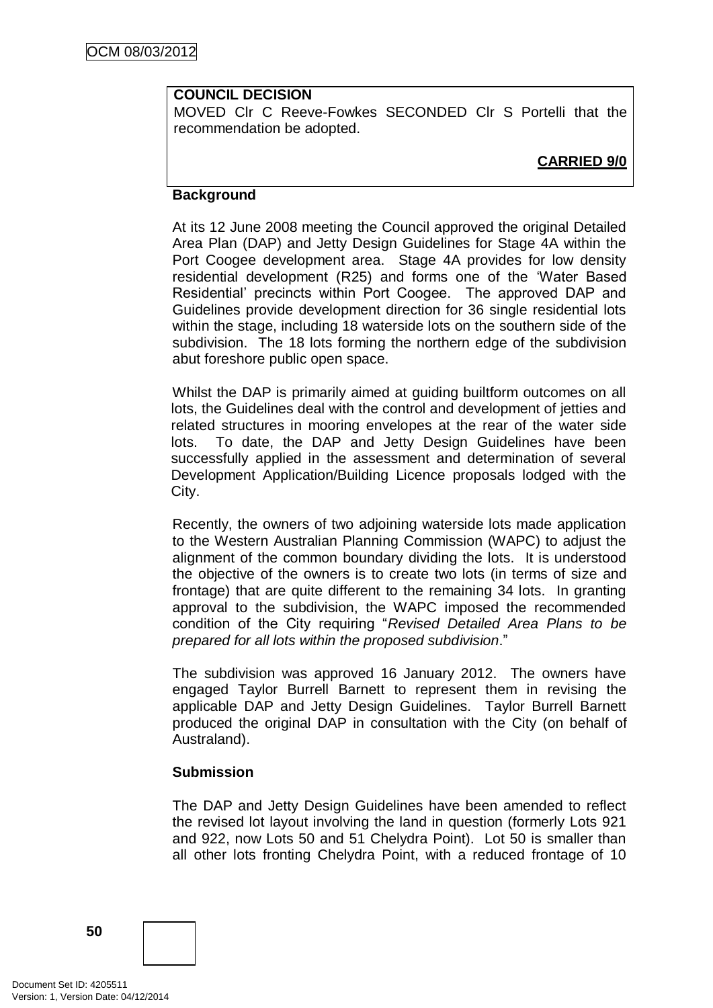# **COUNCIL DECISION**

MOVED Clr C Reeve-Fowkes SECONDED Clr S Portelli that the recommendation be adopted.

# **CARRIED 9/0**

#### **Background**

At its 12 June 2008 meeting the Council approved the original Detailed Area Plan (DAP) and Jetty Design Guidelines for Stage 4A within the Port Coogee development area. Stage 4A provides for low density residential development (R25) and forms one of the "Water Based Residential" precincts within Port Coogee. The approved DAP and Guidelines provide development direction for 36 single residential lots within the stage, including 18 waterside lots on the southern side of the subdivision. The 18 lots forming the northern edge of the subdivision abut foreshore public open space.

Whilst the DAP is primarily aimed at guiding builtform outcomes on all lots, the Guidelines deal with the control and development of jetties and related structures in mooring envelopes at the rear of the water side lots. To date, the DAP and Jetty Design Guidelines have been successfully applied in the assessment and determination of several Development Application/Building Licence proposals lodged with the City.

Recently, the owners of two adjoining waterside lots made application to the Western Australian Planning Commission (WAPC) to adjust the alignment of the common boundary dividing the lots. It is understood the objective of the owners is to create two lots (in terms of size and frontage) that are quite different to the remaining 34 lots. In granting approval to the subdivision, the WAPC imposed the recommended condition of the City requiring "*Revised Detailed Area Plans to be prepared for all lots within the proposed subdivision*."

The subdivision was approved 16 January 2012. The owners have engaged Taylor Burrell Barnett to represent them in revising the applicable DAP and Jetty Design Guidelines. Taylor Burrell Barnett produced the original DAP in consultation with the City (on behalf of Australand).

#### **Submission**

The DAP and Jetty Design Guidelines have been amended to reflect the revised lot layout involving the land in question (formerly Lots 921 and 922, now Lots 50 and 51 Chelydra Point). Lot 50 is smaller than all other lots fronting Chelydra Point, with a reduced frontage of 10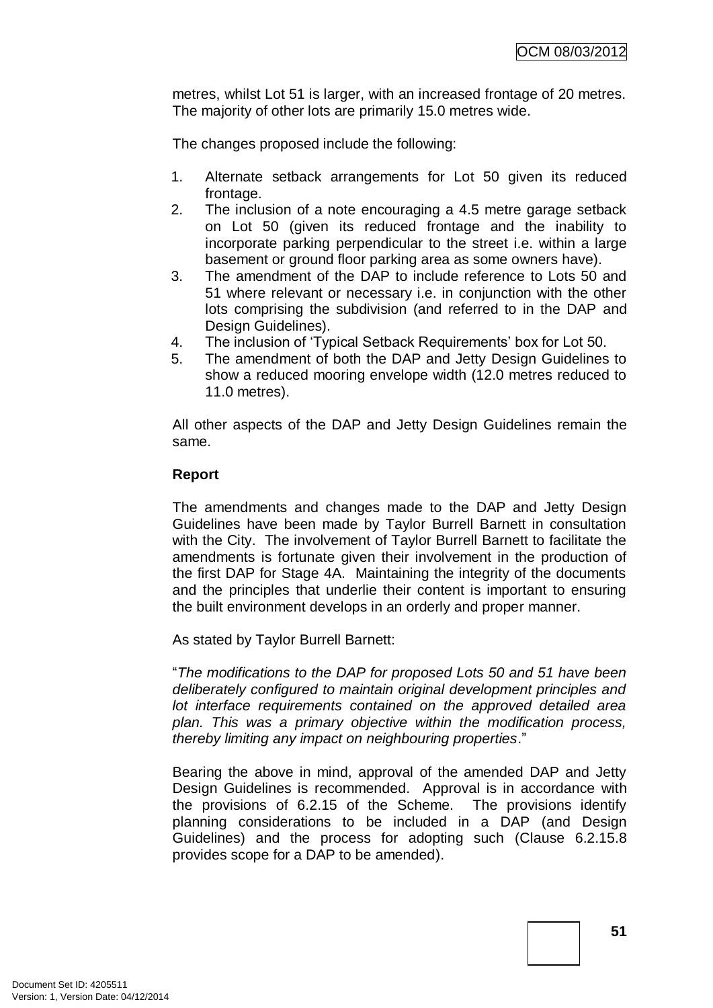metres, whilst Lot 51 is larger, with an increased frontage of 20 metres. The majority of other lots are primarily 15.0 metres wide.

The changes proposed include the following:

- 1. Alternate setback arrangements for Lot 50 given its reduced frontage.
- 2. The inclusion of a note encouraging a 4.5 metre garage setback on Lot 50 (given its reduced frontage and the inability to incorporate parking perpendicular to the street i.e. within a large basement or ground floor parking area as some owners have).
- 3. The amendment of the DAP to include reference to Lots 50 and 51 where relevant or necessary i.e. in conjunction with the other lots comprising the subdivision (and referred to in the DAP and Design Guidelines).
- 4. The inclusion of "Typical Setback Requirements" box for Lot 50.
- 5. The amendment of both the DAP and Jetty Design Guidelines to show a reduced mooring envelope width (12.0 metres reduced to 11.0 metres).

All other aspects of the DAP and Jetty Design Guidelines remain the same.

#### **Report**

The amendments and changes made to the DAP and Jetty Design Guidelines have been made by Taylor Burrell Barnett in consultation with the City. The involvement of Taylor Burrell Barnett to facilitate the amendments is fortunate given their involvement in the production of the first DAP for Stage 4A. Maintaining the integrity of the documents and the principles that underlie their content is important to ensuring the built environment develops in an orderly and proper manner.

As stated by Taylor Burrell Barnett:

"*The modifications to the DAP for proposed Lots 50 and 51 have been deliberately configured to maintain original development principles and lot interface requirements contained on the approved detailed area plan. This was a primary objective within the modification process, thereby limiting any impact on neighbouring properties*."

Bearing the above in mind, approval of the amended DAP and Jetty Design Guidelines is recommended. Approval is in accordance with the provisions of 6.2.15 of the Scheme. The provisions identify planning considerations to be included in a DAP (and Design Guidelines) and the process for adopting such (Clause 6.2.15.8 provides scope for a DAP to be amended).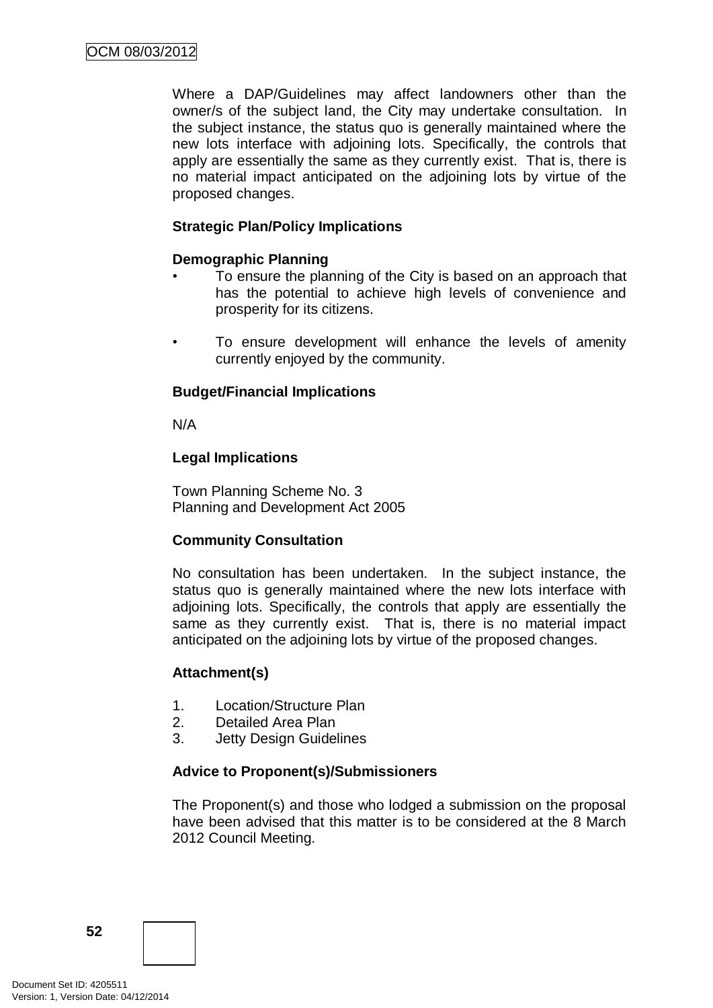Where a DAP/Guidelines may affect landowners other than the owner/s of the subject land, the City may undertake consultation. In the subject instance, the status quo is generally maintained where the new lots interface with adjoining lots. Specifically, the controls that apply are essentially the same as they currently exist. That is, there is no material impact anticipated on the adjoining lots by virtue of the proposed changes.

#### **Strategic Plan/Policy Implications**

### **Demographic Planning**

- To ensure the planning of the City is based on an approach that has the potential to achieve high levels of convenience and prosperity for its citizens.
- To ensure development will enhance the levels of amenity currently enjoyed by the community.

## **Budget/Financial Implications**

N/A

## **Legal Implications**

Town Planning Scheme No. 3 Planning and Development Act 2005

#### **Community Consultation**

No consultation has been undertaken. In the subject instance, the status quo is generally maintained where the new lots interface with adjoining lots. Specifically, the controls that apply are essentially the same as they currently exist. That is, there is no material impact anticipated on the adjoining lots by virtue of the proposed changes.

#### **Attachment(s)**

- 1. Location/Structure Plan
- 2. Detailed Area Plan
- 3. Jetty Design Guidelines

# **Advice to Proponent(s)/Submissioners**

The Proponent(s) and those who lodged a submission on the proposal have been advised that this matter is to be considered at the 8 March 2012 Council Meeting.

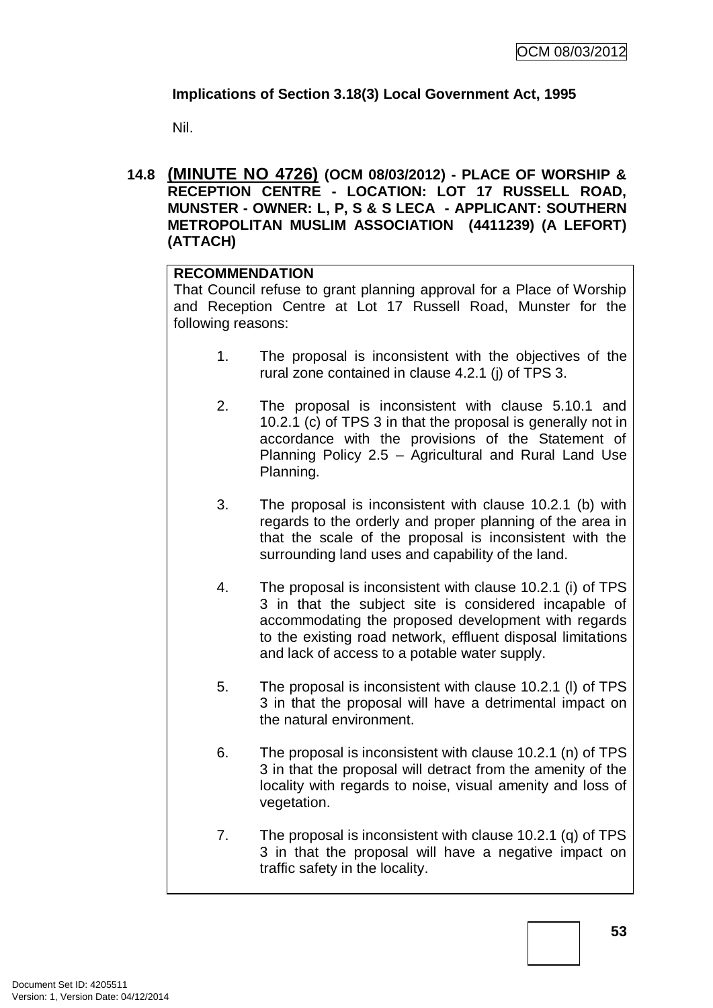## **Implications of Section 3.18(3) Local Government Act, 1995**

Nil.

## **14.8 (MINUTE NO 4726) (OCM 08/03/2012) - PLACE OF WORSHIP & RECEPTION CENTRE - LOCATION: LOT 17 RUSSELL ROAD, MUNSTER - OWNER: L, P, S & S LECA - APPLICANT: SOUTHERN METROPOLITAN MUSLIM ASSOCIATION (4411239) (A LEFORT) (ATTACH)**

## **RECOMMENDATION**

That Council refuse to grant planning approval for a Place of Worship and Reception Centre at Lot 17 Russell Road, Munster for the following reasons:

- 1. The proposal is inconsistent with the objectives of the rural zone contained in clause 4.2.1 (j) of TPS 3.
- 2. The proposal is inconsistent with clause 5.10.1 and 10.2.1 (c) of TPS 3 in that the proposal is generally not in accordance with the provisions of the Statement of Planning Policy 2.5 – Agricultural and Rural Land Use Planning.
- 3. The proposal is inconsistent with clause 10.2.1 (b) with regards to the orderly and proper planning of the area in that the scale of the proposal is inconsistent with the surrounding land uses and capability of the land.
- 4. The proposal is inconsistent with clause 10.2.1 (i) of TPS 3 in that the subject site is considered incapable of accommodating the proposed development with regards to the existing road network, effluent disposal limitations and lack of access to a potable water supply.
- 5. The proposal is inconsistent with clause 10.2.1 (l) of TPS 3 in that the proposal will have a detrimental impact on the natural environment.
- 6. The proposal is inconsistent with clause 10.2.1 (n) of TPS 3 in that the proposal will detract from the amenity of the locality with regards to noise, visual amenity and loss of vegetation.
- 7. The proposal is inconsistent with clause 10.2.1 (q) of TPS 3 in that the proposal will have a negative impact on traffic safety in the locality.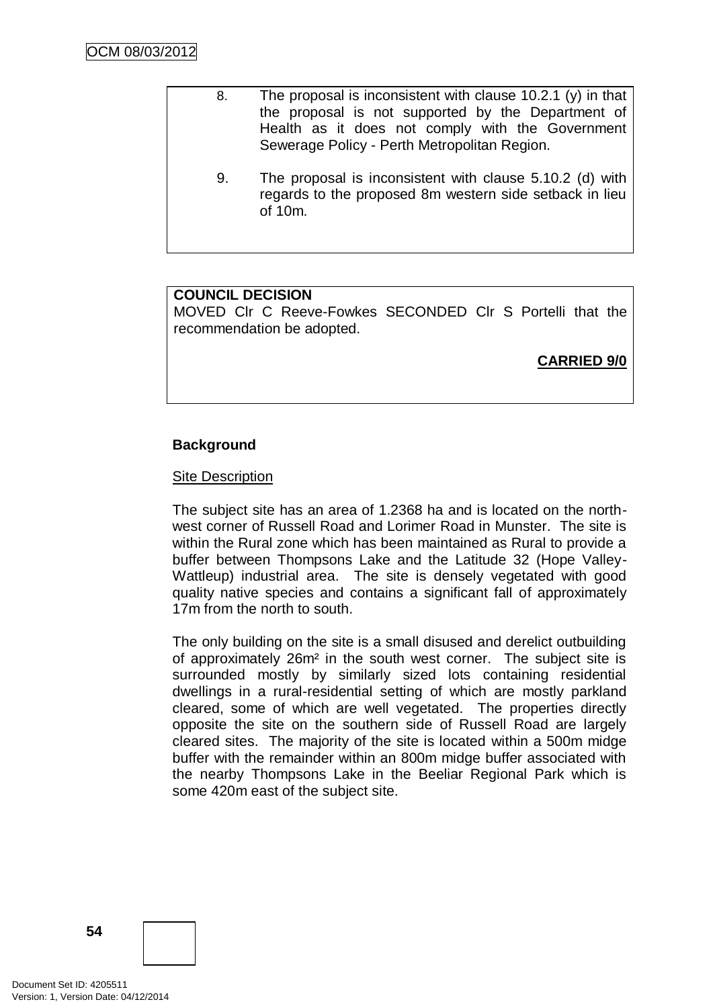- 8. The proposal is inconsistent with clause 10.2.1 (y) in that the proposal is not supported by the Department of Health as it does not comply with the Government Sewerage Policy - Perth Metropolitan Region.
	- 9. The proposal is inconsistent with clause 5.10.2 (d) with regards to the proposed 8m western side setback in lieu of 10m.

#### **COUNCIL DECISION**

MOVED Clr C Reeve-Fowkes SECONDED Clr S Portelli that the recommendation be adopted.

**CARRIED 9/0**

## **Background**

#### **Site Description**

The subject site has an area of 1.2368 ha and is located on the northwest corner of Russell Road and Lorimer Road in Munster. The site is within the Rural zone which has been maintained as Rural to provide a buffer between Thompsons Lake and the Latitude 32 (Hope Valley-Wattleup) industrial area. The site is densely vegetated with good quality native species and contains a significant fall of approximately 17m from the north to south.

The only building on the site is a small disused and derelict outbuilding of approximately 26m² in the south west corner. The subject site is surrounded mostly by similarly sized lots containing residential dwellings in a rural-residential setting of which are mostly parkland cleared, some of which are well vegetated. The properties directly opposite the site on the southern side of Russell Road are largely cleared sites. The majority of the site is located within a 500m midge buffer with the remainder within an 800m midge buffer associated with the nearby Thompsons Lake in the Beeliar Regional Park which is some 420m east of the subject site.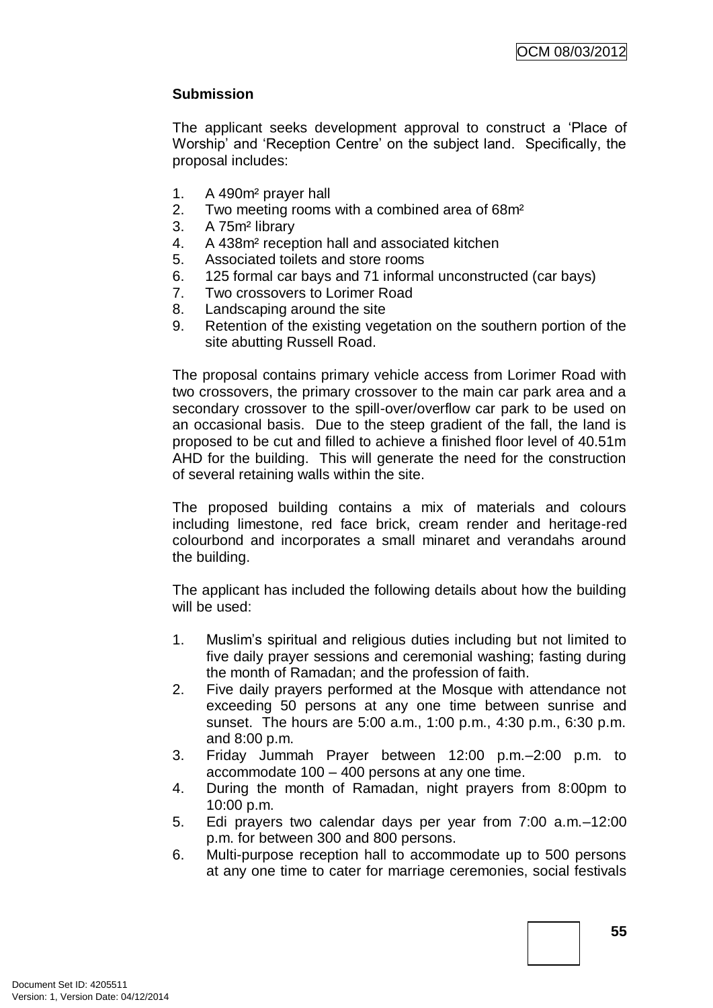## **Submission**

The applicant seeks development approval to construct a "Place of Worship" and "Reception Centre" on the subject land. Specifically, the proposal includes:

- 1. A 490m² prayer hall
- 2. Two meeting rooms with a combined area of 68m²
- 3. A 75m² library
- 4. A 438m² reception hall and associated kitchen
- 5. Associated toilets and store rooms
- 6. 125 formal car bays and 71 informal unconstructed (car bays)
- 7. Two crossovers to Lorimer Road
- 8. Landscaping around the site
- 9. Retention of the existing vegetation on the southern portion of the site abutting Russell Road.

The proposal contains primary vehicle access from Lorimer Road with two crossovers, the primary crossover to the main car park area and a secondary crossover to the spill-over/overflow car park to be used on an occasional basis. Due to the steep gradient of the fall, the land is proposed to be cut and filled to achieve a finished floor level of 40.51m AHD for the building. This will generate the need for the construction of several retaining walls within the site.

The proposed building contains a mix of materials and colours including limestone, red face brick, cream render and heritage-red colourbond and incorporates a small minaret and verandahs around the building.

The applicant has included the following details about how the building will be used:

- 1. Muslim"s spiritual and religious duties including but not limited to five daily prayer sessions and ceremonial washing; fasting during the month of Ramadan; and the profession of faith.
- 2. Five daily prayers performed at the Mosque with attendance not exceeding 50 persons at any one time between sunrise and sunset. The hours are 5:00 a.m., 1:00 p.m., 4:30 p.m., 6:30 p.m. and 8:00 p.m.
- 3. Friday Jummah Prayer between 12:00 p.m.–2:00 p.m. to accommodate 100 – 400 persons at any one time.
- 4. During the month of Ramadan, night prayers from 8:00pm to 10:00 p.m.
- 5. Edi prayers two calendar days per year from 7:00 a.m.–12:00 p.m. for between 300 and 800 persons.
- 6. Multi-purpose reception hall to accommodate up to 500 persons at any one time to cater for marriage ceremonies, social festivals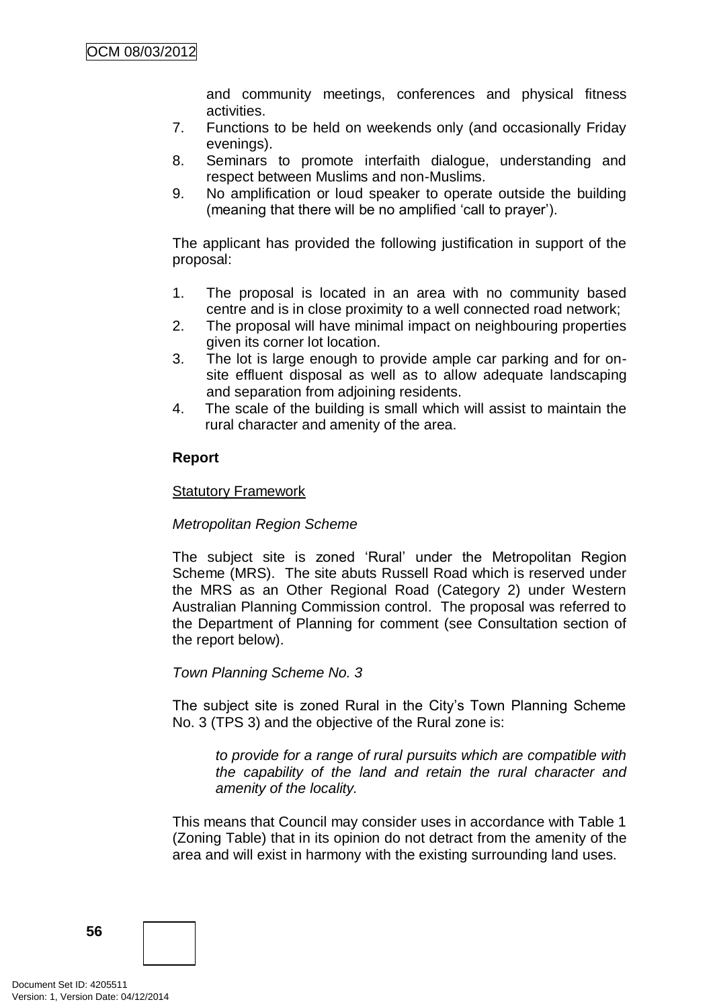and community meetings, conferences and physical fitness activities.

- 7. Functions to be held on weekends only (and occasionally Friday evenings).
- 8. Seminars to promote interfaith dialogue, understanding and respect between Muslims and non-Muslims.
- 9. No amplification or loud speaker to operate outside the building (meaning that there will be no amplified "call to prayer").

The applicant has provided the following justification in support of the proposal:

- 1. The proposal is located in an area with no community based centre and is in close proximity to a well connected road network;
- 2. The proposal will have minimal impact on neighbouring properties given its corner lot location.
- 3. The lot is large enough to provide ample car parking and for onsite effluent disposal as well as to allow adequate landscaping and separation from adjoining residents.
- 4. The scale of the building is small which will assist to maintain the rural character and amenity of the area.

# **Report**

# Statutory Framework

# *Metropolitan Region Scheme*

The subject site is zoned "Rural" under the Metropolitan Region Scheme (MRS). The site abuts Russell Road which is reserved under the MRS as an Other Regional Road (Category 2) under Western Australian Planning Commission control. The proposal was referred to the Department of Planning for comment (see Consultation section of the report below).

# *Town Planning Scheme No. 3*

The subject site is zoned Rural in the City"s Town Planning Scheme No. 3 (TPS 3) and the objective of the Rural zone is:

*to provide for a range of rural pursuits which are compatible with the capability of the land and retain the rural character and amenity of the locality.*

This means that Council may consider uses in accordance with Table 1 (Zoning Table) that in its opinion do not detract from the amenity of the area and will exist in harmony with the existing surrounding land uses.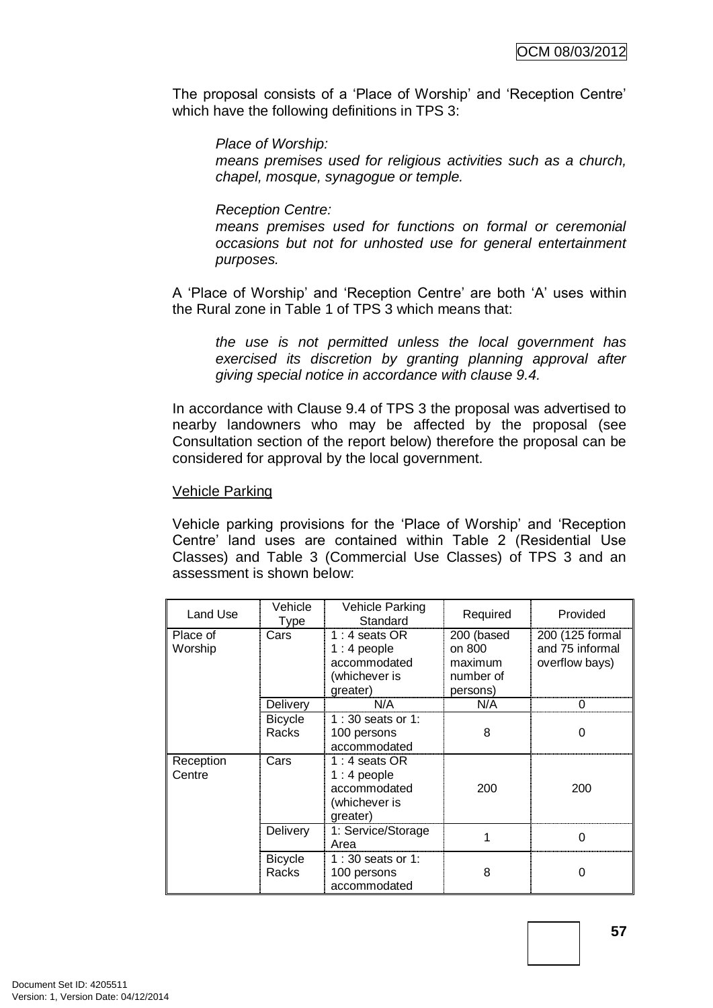The proposal consists of a "Place of Worship" and "Reception Centre" which have the following definitions in TPS 3:

*Place of Worship:*

*means premises used for religious activities such as a church, chapel, mosque, synagogue or temple.*

*Reception Centre:*

*means premises used for functions on formal or ceremonial occasions but not for unhosted use for general entertainment purposes.*

A "Place of Worship" and "Reception Centre" are both "A" uses within the Rural zone in Table 1 of TPS 3 which means that:

*the use is not permitted unless the local government has exercised its discretion by granting planning approval after giving special notice in accordance with clause 9.4.*

In accordance with Clause 9.4 of TPS 3 the proposal was advertised to nearby landowners who may be affected by the proposal (see Consultation section of the report below) therefore the proposal can be considered for approval by the local government.

#### Vehicle Parking

Vehicle parking provisions for the "Place of Worship" and "Reception Centre" land uses are contained within Table 2 (Residential Use Classes) and Table 3 (Commercial Use Classes) of TPS 3 and an assessment is shown below:

| Land Use            | Vehicle<br>Type         | Vehicle Parking<br>Standard                                                 | Required                                                 | Provided                                             |
|---------------------|-------------------------|-----------------------------------------------------------------------------|----------------------------------------------------------|------------------------------------------------------|
| Place of<br>Worship | Cars                    | 1 : 4 seats OR<br>1 : 4 people<br>accommodated<br>(whichever is<br>greater) | 200 (based<br>on 800<br>maximum<br>number of<br>persons) | 200 (125 formal<br>and 75 informal<br>overflow bays) |
|                     | <b>Delivery</b>         | N/A                                                                         | N/A                                                      |                                                      |
|                     | <b>Bicycle</b><br>Racks | 1 : 30 seats or 1:<br>100 persons<br>accommodated                           | 8                                                        | O                                                    |
| Reception<br>Centre | Cars                    | 1 : 4 seats OR<br>1 : 4 people<br>accommodated<br>(whichever is<br>greater) | 200                                                      | 200                                                  |
|                     | <b>Delivery</b>         | 1: Service/Storage<br>Area                                                  |                                                          | 0                                                    |
|                     | <b>Bicycle</b><br>Racks | 1:30 seats or 1:<br>100 persons<br>accommodated                             | 8                                                        | O                                                    |

Document Set ID: 4205511<br>Version: 1, Version Date: 04/12/2014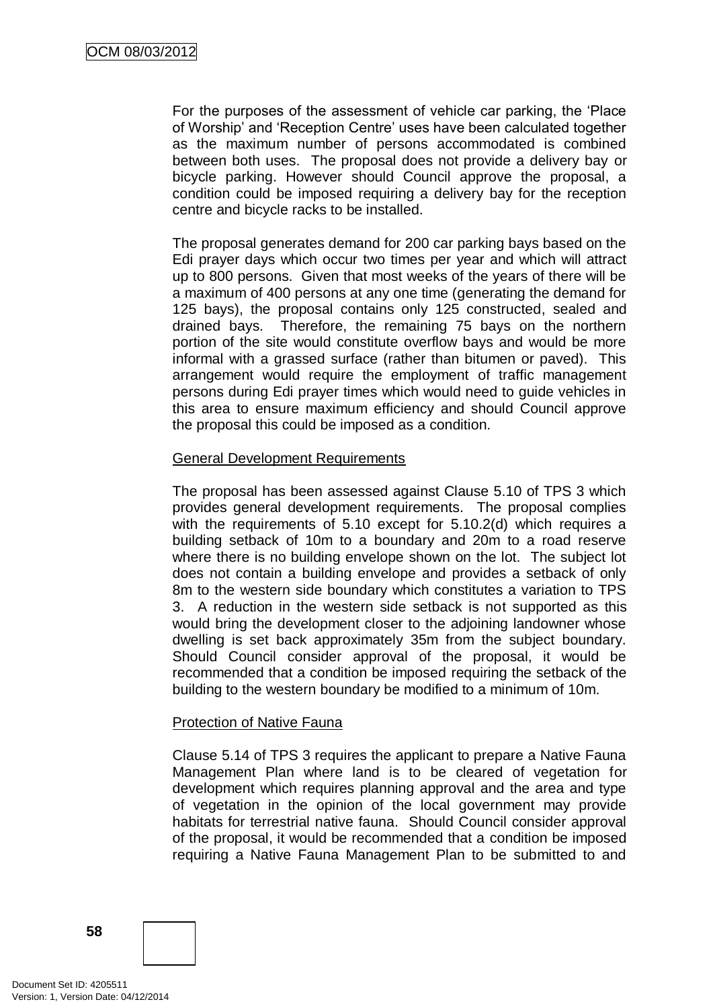For the purposes of the assessment of vehicle car parking, the "Place of Worship" and "Reception Centre" uses have been calculated together as the maximum number of persons accommodated is combined between both uses. The proposal does not provide a delivery bay or bicycle parking. However should Council approve the proposal, a condition could be imposed requiring a delivery bay for the reception centre and bicycle racks to be installed.

The proposal generates demand for 200 car parking bays based on the Edi prayer days which occur two times per year and which will attract up to 800 persons. Given that most weeks of the years of there will be a maximum of 400 persons at any one time (generating the demand for 125 bays), the proposal contains only 125 constructed, sealed and drained bays. Therefore, the remaining 75 bays on the northern portion of the site would constitute overflow bays and would be more informal with a grassed surface (rather than bitumen or paved). This arrangement would require the employment of traffic management persons during Edi prayer times which would need to guide vehicles in this area to ensure maximum efficiency and should Council approve the proposal this could be imposed as a condition.

#### General Development Requirements

The proposal has been assessed against Clause 5.10 of TPS 3 which provides general development requirements. The proposal complies with the requirements of 5.10 except for 5.10.2(d) which requires a building setback of 10m to a boundary and 20m to a road reserve where there is no building envelope shown on the lot. The subject lot does not contain a building envelope and provides a setback of only 8m to the western side boundary which constitutes a variation to TPS 3. A reduction in the western side setback is not supported as this would bring the development closer to the adjoining landowner whose dwelling is set back approximately 35m from the subject boundary. Should Council consider approval of the proposal, it would be recommended that a condition be imposed requiring the setback of the building to the western boundary be modified to a minimum of 10m.

#### Protection of Native Fauna

Clause 5.14 of TPS 3 requires the applicant to prepare a Native Fauna Management Plan where land is to be cleared of vegetation for development which requires planning approval and the area and type of vegetation in the opinion of the local government may provide habitats for terrestrial native fauna. Should Council consider approval of the proposal, it would be recommended that a condition be imposed requiring a Native Fauna Management Plan to be submitted to and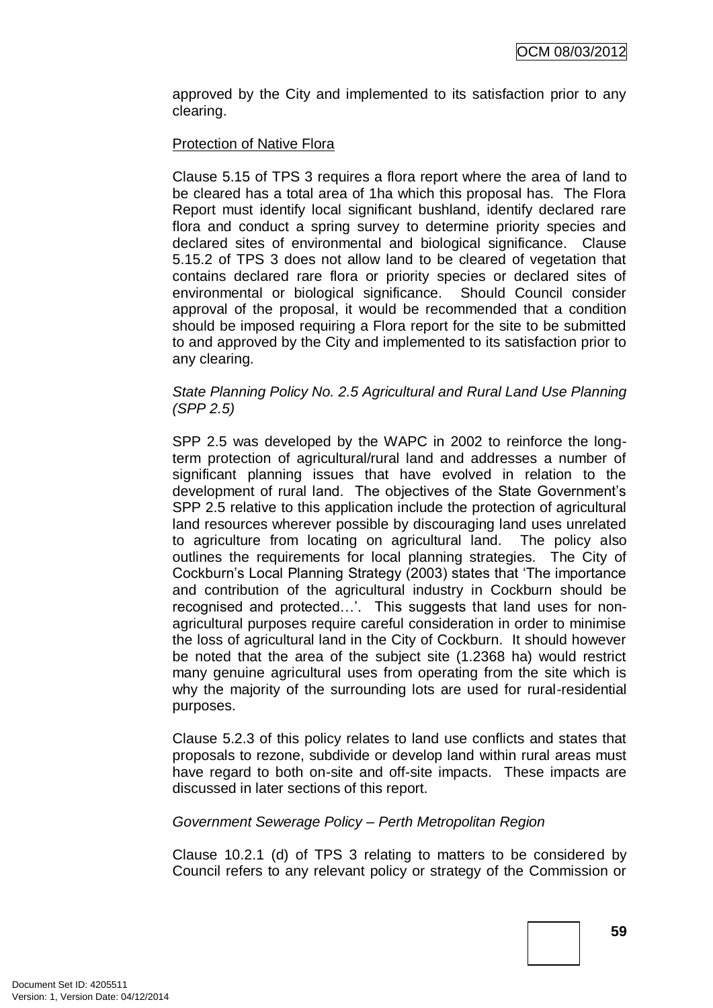approved by the City and implemented to its satisfaction prior to any clearing.

## Protection of Native Flora

Clause 5.15 of TPS 3 requires a flora report where the area of land to be cleared has a total area of 1ha which this proposal has. The Flora Report must identify local significant bushland, identify declared rare flora and conduct a spring survey to determine priority species and declared sites of environmental and biological significance. Clause 5.15.2 of TPS 3 does not allow land to be cleared of vegetation that contains declared rare flora or priority species or declared sites of environmental or biological significance. Should Council consider approval of the proposal, it would be recommended that a condition should be imposed requiring a Flora report for the site to be submitted to and approved by the City and implemented to its satisfaction prior to any clearing.

#### *State Planning Policy No. 2.5 Agricultural and Rural Land Use Planning (SPP 2.5)*

SPP 2.5 was developed by the WAPC in 2002 to reinforce the longterm protection of agricultural/rural land and addresses a number of significant planning issues that have evolved in relation to the development of rural land. The objectives of the State Government"s SPP 2.5 relative to this application include the protection of agricultural land resources wherever possible by discouraging land uses unrelated to agriculture from locating on agricultural land. The policy also outlines the requirements for local planning strategies. The City of Cockburn"s Local Planning Strategy (2003) states that "The importance and contribution of the agricultural industry in Cockburn should be recognised and protected...'. This suggests that land uses for nonagricultural purposes require careful consideration in order to minimise the loss of agricultural land in the City of Cockburn. It should however be noted that the area of the subject site (1.2368 ha) would restrict many genuine agricultural uses from operating from the site which is why the majority of the surrounding lots are used for rural-residential purposes.

Clause 5.2.3 of this policy relates to land use conflicts and states that proposals to rezone, subdivide or develop land within rural areas must have regard to both on-site and off-site impacts. These impacts are discussed in later sections of this report.

#### *Government Sewerage Policy – Perth Metropolitan Region*

Clause 10.2.1 (d) of TPS 3 relating to matters to be considered by Council refers to any relevant policy or strategy of the Commission or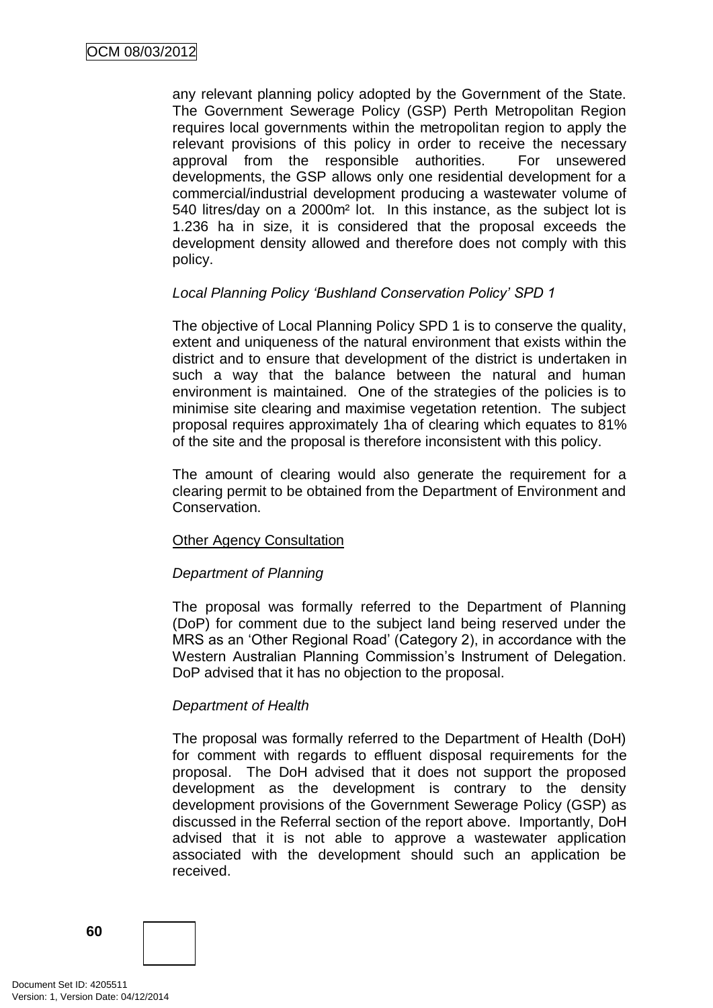any relevant planning policy adopted by the Government of the State. The Government Sewerage Policy (GSP) Perth Metropolitan Region requires local governments within the metropolitan region to apply the relevant provisions of this policy in order to receive the necessary approval from the responsible authorities. For unsewered developments, the GSP allows only one residential development for a commercial/industrial development producing a wastewater volume of 540 litres/day on a 2000m² lot. In this instance, as the subject lot is 1.236 ha in size, it is considered that the proposal exceeds the development density allowed and therefore does not comply with this policy.

#### *Local Planning Policy 'Bushland Conservation Policy' SPD 1*

The objective of Local Planning Policy SPD 1 is to conserve the quality, extent and uniqueness of the natural environment that exists within the district and to ensure that development of the district is undertaken in such a way that the balance between the natural and human environment is maintained. One of the strategies of the policies is to minimise site clearing and maximise vegetation retention. The subject proposal requires approximately 1ha of clearing which equates to 81% of the site and the proposal is therefore inconsistent with this policy.

The amount of clearing would also generate the requirement for a clearing permit to be obtained from the Department of Environment and Conservation.

#### Other Agency Consultation

#### *Department of Planning*

The proposal was formally referred to the Department of Planning (DoP) for comment due to the subject land being reserved under the MRS as an "Other Regional Road" (Category 2), in accordance with the Western Australian Planning Commission"s Instrument of Delegation. DoP advised that it has no objection to the proposal.

#### *Department of Health*

The proposal was formally referred to the Department of Health (DoH) for comment with regards to effluent disposal requirements for the proposal. The DoH advised that it does not support the proposed development as the development is contrary to the density development provisions of the Government Sewerage Policy (GSP) as discussed in the Referral section of the report above. Importantly, DoH advised that it is not able to approve a wastewater application associated with the development should such an application be received.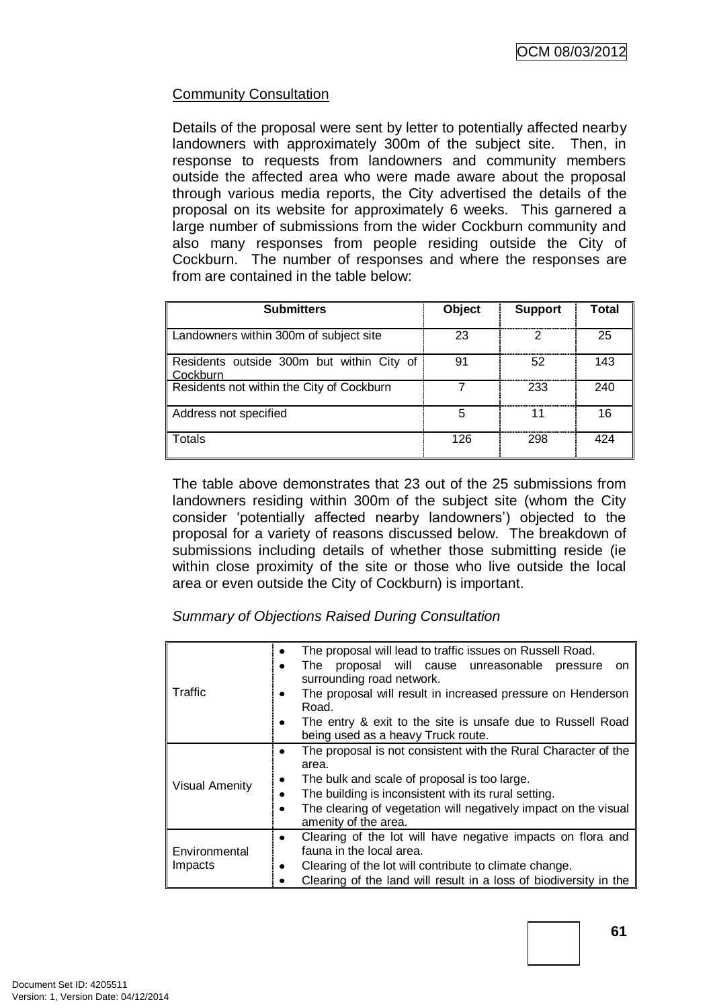## Community Consultation

Details of the proposal were sent by letter to potentially affected nearby landowners with approximately 300m of the subject site. Then, in response to requests from landowners and community members outside the affected area who were made aware about the proposal through various media reports, the City advertised the details of the proposal on its website for approximately 6 weeks. This garnered a large number of submissions from the wider Cockburn community and also many responses from people residing outside the City of Cockburn. The number of responses and where the responses are from are contained in the table below:

| <b>Submitters</b>                                     | <b>Object</b> | <b>Support</b> | Total |
|-------------------------------------------------------|---------------|----------------|-------|
| Landowners within 300m of subject site                | 23            | 2              | 25    |
| Residents outside 300m but within City of<br>Cockburn | 91            | 52             | 143   |
| Residents not within the City of Cockburn             |               | 233            | 240   |
| Address not specified                                 | 5             | 11             | 16    |
| Totals                                                | 126           | 298            | 424   |

The table above demonstrates that 23 out of the 25 submissions from landowners residing within 300m of the subject site (whom the City consider "potentially affected nearby landowners") objected to the proposal for a variety of reasons discussed below. The breakdown of submissions including details of whether those submitting reside (ie within close proximity of the site or those who live outside the local area or even outside the City of Cockburn) is important.

#### *Summary of Objections Raised During Consultation*

|                          | The proposal will lead to traffic issues on Russell Road.<br>$\bullet$       |  |  |
|--------------------------|------------------------------------------------------------------------------|--|--|
|                          | The proposal will cause unreasonable<br>pressure<br><b>on</b><br>٠           |  |  |
|                          | surrounding road network.                                                    |  |  |
| Traffic                  | The proposal will result in increased pressure on Henderson<br>٠             |  |  |
|                          | Road.                                                                        |  |  |
|                          | The entry & exit to the site is unsafe due to Russell Road<br>$\bullet$      |  |  |
|                          | being used as a heavy Truck route.                                           |  |  |
|                          | The proposal is not consistent with the Rural Character of the<br>$\bullet$  |  |  |
|                          | area.                                                                        |  |  |
| <b>Visual Amenity</b>    | The bulk and scale of proposal is too large.                                 |  |  |
|                          | The building is inconsistent with its rural setting.                         |  |  |
|                          | The clearing of vegetation will negatively impact on the visual<br>$\bullet$ |  |  |
|                          | amenity of the area.                                                         |  |  |
|                          | Clearing of the lot will have negative impacts on flora and<br>$\bullet$     |  |  |
| Environmental<br>Impacts | fauna in the local area.                                                     |  |  |
|                          | Clearing of the lot will contribute to climate change.                       |  |  |
|                          | Clearing of the land will result in a loss of biodiversity in the            |  |  |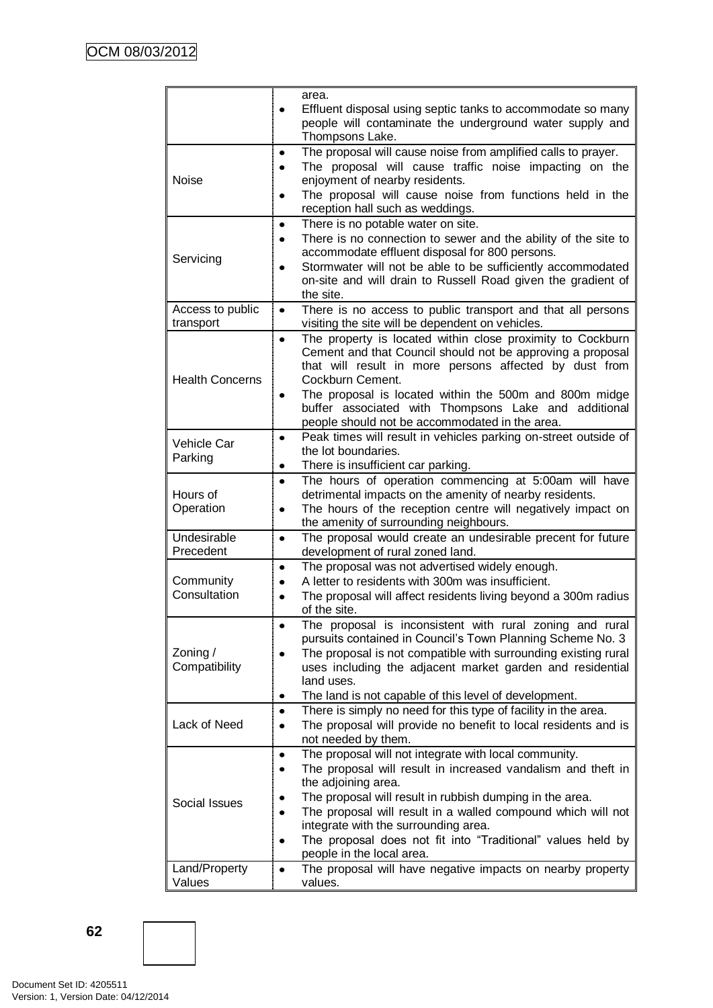|                               | area.<br>Effluent disposal using septic tanks to accommodate so many<br>$\bullet$                                             |
|-------------------------------|-------------------------------------------------------------------------------------------------------------------------------|
|                               | people will contaminate the underground water supply and<br>Thompsons Lake.                                                   |
|                               | The proposal will cause noise from amplified calls to prayer.<br>$\bullet$                                                    |
|                               | The proposal will cause traffic noise impacting on the<br>$\bullet$                                                           |
| <b>Noise</b>                  | enjoyment of nearby residents.<br>The proposal will cause noise from functions held in the<br>٠                               |
|                               | reception hall such as weddings.                                                                                              |
|                               | There is no potable water on site.<br>$\bullet$                                                                               |
|                               | There is no connection to sewer and the ability of the site to<br>$\bullet$<br>accommodate effluent disposal for 800 persons. |
| Servicing                     | Stormwater will not be able to be sufficiently accommodated<br>$\bullet$                                                      |
|                               | on-site and will drain to Russell Road given the gradient of                                                                  |
|                               | the site.                                                                                                                     |
| Access to public<br>transport | There is no access to public transport and that all persons<br>$\bullet$<br>visiting the site will be dependent on vehicles.  |
|                               | The property is located within close proximity to Cockburn<br>$\bullet$                                                       |
|                               | Cement and that Council should not be approving a proposal<br>that will result in more persons affected by dust from          |
| <b>Health Concerns</b>        | Cockburn Cement.                                                                                                              |
|                               | The proposal is located within the 500m and 800m midge                                                                        |
|                               | buffer associated with Thompsons Lake and additional                                                                          |
|                               | people should not be accommodated in the area.                                                                                |
| Vehicle Car                   | Peak times will result in vehicles parking on-street outside of<br>the lot boundaries.                                        |
| Parking                       | There is insufficient car parking.<br>٠                                                                                       |
|                               | The hours of operation commencing at 5:00am will have<br>$\bullet$                                                            |
| Hours of                      | detrimental impacts on the amenity of nearby residents.                                                                       |
| Operation                     | The hours of the reception centre will negatively impact on                                                                   |
| Undesirable                   | the amenity of surrounding neighbours.<br>The proposal would create an undesirable precent for future<br>٠                    |
| Precedent                     | development of rural zoned land.                                                                                              |
|                               | The proposal was not advertised widely enough.<br>$\bullet$                                                                   |
| Community<br>Consultation     | A letter to residents with 300m was insufficient.<br>The proposal will affect residents living beyond a 300m radius           |
|                               | of the site.                                                                                                                  |
|                               | The proposal is inconsistent with rural zoning and rural<br>pursuits contained in Council's Town Planning Scheme No. 3        |
| Zoning /                      | The proposal is not compatible with surrounding existing rural<br>٠                                                           |
| Compatibility                 | uses including the adjacent market garden and residential                                                                     |
|                               | land uses.                                                                                                                    |
|                               | The land is not capable of this level of development.<br>٠                                                                    |
|                               | There is simply no need for this type of facility in the area.<br>$\bullet$                                                   |
| Lack of Need                  | The proposal will provide no benefit to local residents and is<br>٠<br>not needed by them.                                    |
|                               | The proposal will not integrate with local community.<br>٠                                                                    |
|                               | The proposal will result in increased vandalism and theft in<br>٠                                                             |
|                               | the adjoining area.                                                                                                           |
| Social Issues                 | The proposal will result in rubbish dumping in the area.                                                                      |
|                               | The proposal will result in a walled compound which will not<br>٠                                                             |
|                               | integrate with the surrounding area.<br>The proposal does not fit into "Traditional" values held by                           |
|                               | people in the local area.                                                                                                     |
| Land/Property                 | The proposal will have negative impacts on nearby property<br>٠                                                               |
| Values                        | values.                                                                                                                       |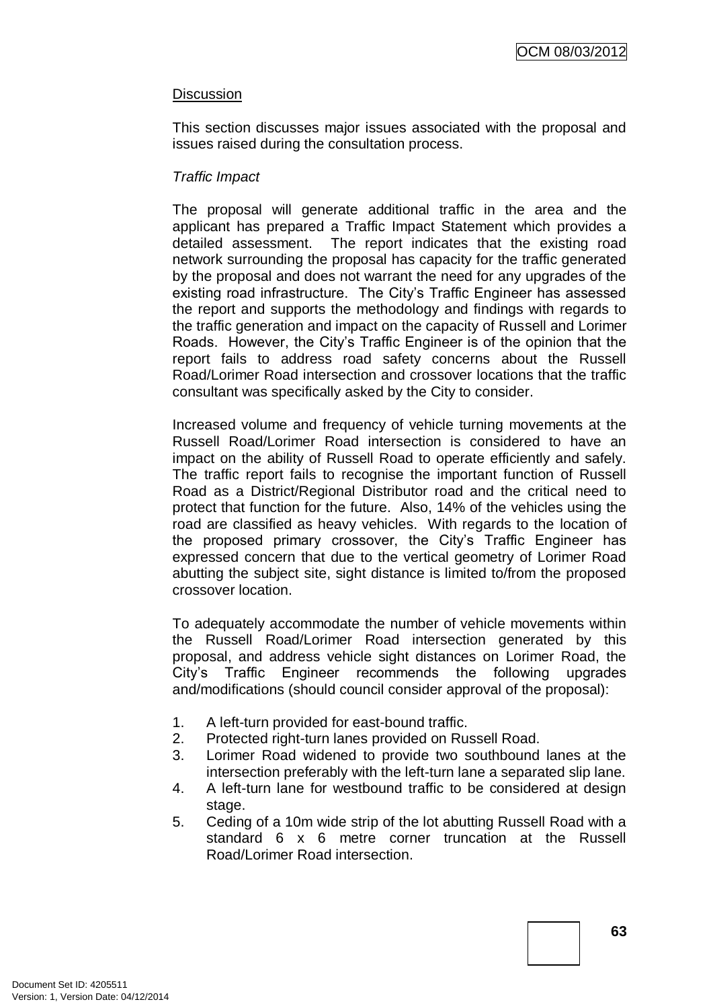#### **Discussion**

This section discusses major issues associated with the proposal and issues raised during the consultation process.

#### *Traffic Impact*

The proposal will generate additional traffic in the area and the applicant has prepared a Traffic Impact Statement which provides a detailed assessment. The report indicates that the existing road network surrounding the proposal has capacity for the traffic generated by the proposal and does not warrant the need for any upgrades of the existing road infrastructure. The City"s Traffic Engineer has assessed the report and supports the methodology and findings with regards to the traffic generation and impact on the capacity of Russell and Lorimer Roads. However, the City"s Traffic Engineer is of the opinion that the report fails to address road safety concerns about the Russell Road/Lorimer Road intersection and crossover locations that the traffic consultant was specifically asked by the City to consider.

Increased volume and frequency of vehicle turning movements at the Russell Road/Lorimer Road intersection is considered to have an impact on the ability of Russell Road to operate efficiently and safely. The traffic report fails to recognise the important function of Russell Road as a District/Regional Distributor road and the critical need to protect that function for the future. Also, 14% of the vehicles using the road are classified as heavy vehicles. With regards to the location of the proposed primary crossover, the City"s Traffic Engineer has expressed concern that due to the vertical geometry of Lorimer Road abutting the subject site, sight distance is limited to/from the proposed crossover location.

To adequately accommodate the number of vehicle movements within the Russell Road/Lorimer Road intersection generated by this proposal, and address vehicle sight distances on Lorimer Road, the City"s Traffic Engineer recommends the following upgrades and/modifications (should council consider approval of the proposal):

- 1. A left-turn provided for east-bound traffic.
- 2. Protected right-turn lanes provided on Russell Road.
- 3. Lorimer Road widened to provide two southbound lanes at the intersection preferably with the left-turn lane a separated slip lane.
- 4. A left-turn lane for westbound traffic to be considered at design stage.
- 5. Ceding of a 10m wide strip of the lot abutting Russell Road with a standard 6 x 6 metre corner truncation at the Russell Road/Lorimer Road intersection.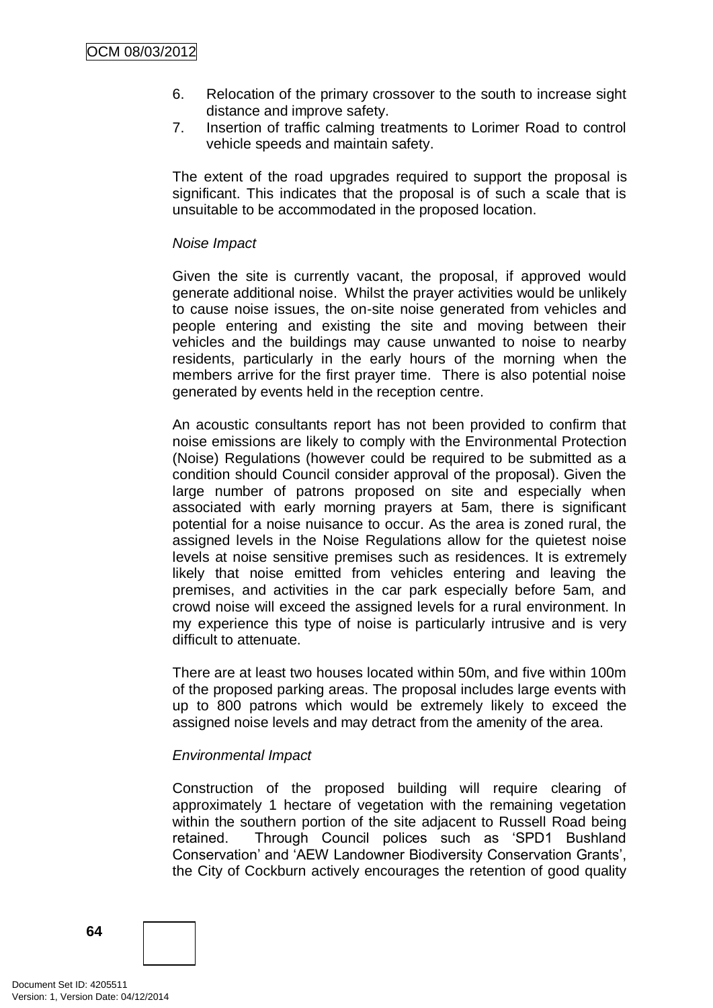- 6. Relocation of the primary crossover to the south to increase sight distance and improve safety.
- 7. Insertion of traffic calming treatments to Lorimer Road to control vehicle speeds and maintain safety.

The extent of the road upgrades required to support the proposal is significant. This indicates that the proposal is of such a scale that is unsuitable to be accommodated in the proposed location.

#### *Noise Impact*

Given the site is currently vacant, the proposal, if approved would generate additional noise. Whilst the prayer activities would be unlikely to cause noise issues, the on-site noise generated from vehicles and people entering and existing the site and moving between their vehicles and the buildings may cause unwanted to noise to nearby residents, particularly in the early hours of the morning when the members arrive for the first prayer time. There is also potential noise generated by events held in the reception centre.

An acoustic consultants report has not been provided to confirm that noise emissions are likely to comply with the Environmental Protection (Noise) Regulations (however could be required to be submitted as a condition should Council consider approval of the proposal). Given the large number of patrons proposed on site and especially when associated with early morning prayers at 5am, there is significant potential for a noise nuisance to occur. As the area is zoned rural, the assigned levels in the Noise Regulations allow for the quietest noise levels at noise sensitive premises such as residences. It is extremely likely that noise emitted from vehicles entering and leaving the premises, and activities in the car park especially before 5am, and crowd noise will exceed the assigned levels for a rural environment. In my experience this type of noise is particularly intrusive and is very difficult to attenuate.

There are at least two houses located within 50m, and five within 100m of the proposed parking areas. The proposal includes large events with up to 800 patrons which would be extremely likely to exceed the assigned noise levels and may detract from the amenity of the area.

#### *Environmental Impact*

Construction of the proposed building will require clearing of approximately 1 hectare of vegetation with the remaining vegetation within the southern portion of the site adjacent to Russell Road being retained. Through Council polices such as "SPD1 Bushland Conservation" and "AEW Landowner Biodiversity Conservation Grants", the City of Cockburn actively encourages the retention of good quality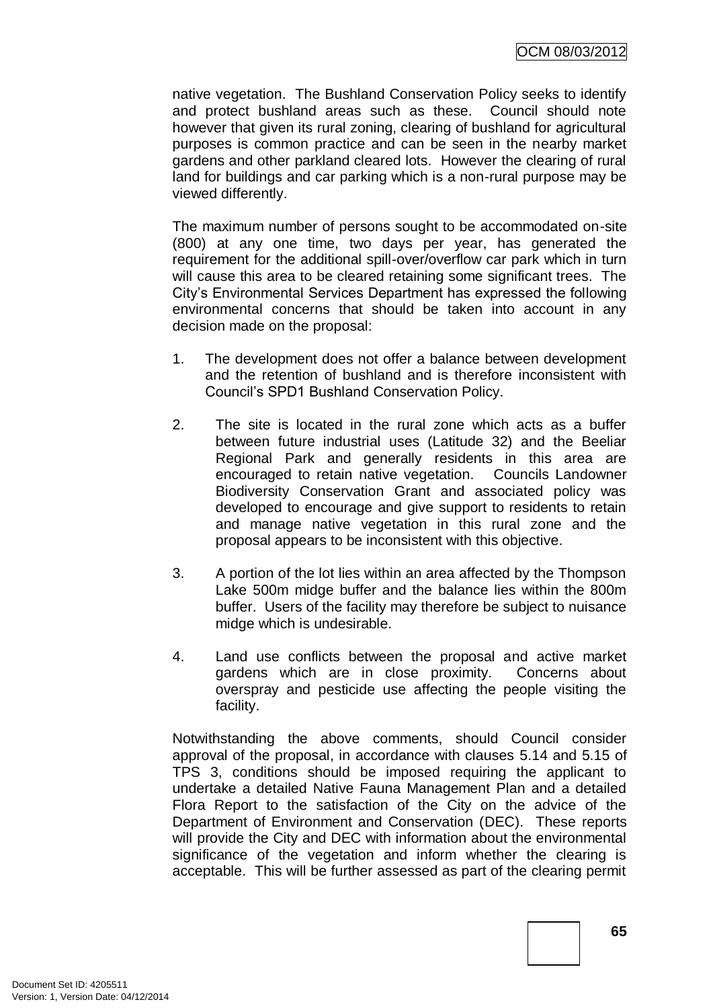native vegetation. The Bushland Conservation Policy seeks to identify and protect bushland areas such as these. Council should note however that given its rural zoning, clearing of bushland for agricultural purposes is common practice and can be seen in the nearby market gardens and other parkland cleared lots. However the clearing of rural land for buildings and car parking which is a non-rural purpose may be viewed differently.

The maximum number of persons sought to be accommodated on-site (800) at any one time, two days per year, has generated the requirement for the additional spill-over/overflow car park which in turn will cause this area to be cleared retaining some significant trees. The City"s Environmental Services Department has expressed the following environmental concerns that should be taken into account in any decision made on the proposal:

- 1. The development does not offer a balance between development and the retention of bushland and is therefore inconsistent with Council"s SPD1 Bushland Conservation Policy.
- 2. The site is located in the rural zone which acts as a buffer between future industrial uses (Latitude 32) and the Beeliar Regional Park and generally residents in this area are encouraged to retain native vegetation. Councils Landowner Biodiversity Conservation Grant and associated policy was developed to encourage and give support to residents to retain and manage native vegetation in this rural zone and the proposal appears to be inconsistent with this objective.
- 3. A portion of the lot lies within an area affected by the Thompson Lake 500m midge buffer and the balance lies within the 800m buffer. Users of the facility may therefore be subject to nuisance midge which is undesirable.
- 4. Land use conflicts between the proposal and active market gardens which are in close proximity. Concerns about overspray and pesticide use affecting the people visiting the facility.

Notwithstanding the above comments, should Council consider approval of the proposal, in accordance with clauses 5.14 and 5.15 of TPS 3, conditions should be imposed requiring the applicant to undertake a detailed Native Fauna Management Plan and a detailed Flora Report to the satisfaction of the City on the advice of the Department of Environment and Conservation (DEC). These reports will provide the City and DEC with information about the environmental significance of the vegetation and inform whether the clearing is acceptable. This will be further assessed as part of the clearing permit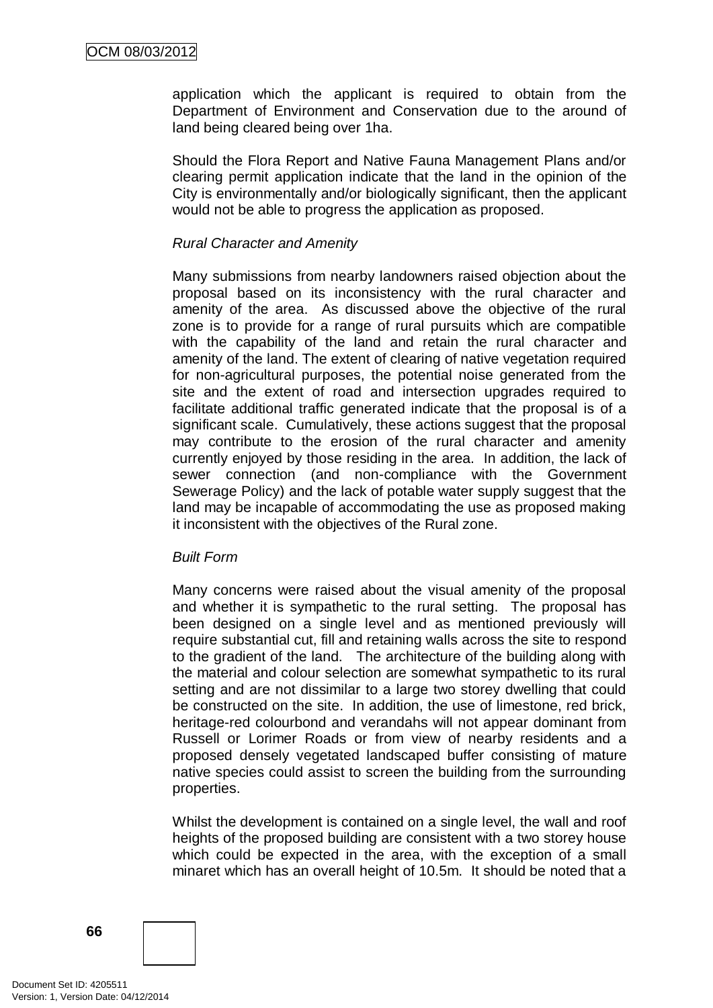application which the applicant is required to obtain from the Department of Environment and Conservation due to the around of land being cleared being over 1ha.

Should the Flora Report and Native Fauna Management Plans and/or clearing permit application indicate that the land in the opinion of the City is environmentally and/or biologically significant, then the applicant would not be able to progress the application as proposed.

#### *Rural Character and Amenity*

Many submissions from nearby landowners raised objection about the proposal based on its inconsistency with the rural character and amenity of the area. As discussed above the objective of the rural zone is to provide for a range of rural pursuits which are compatible with the capability of the land and retain the rural character and amenity of the land. The extent of clearing of native vegetation required for non-agricultural purposes, the potential noise generated from the site and the extent of road and intersection upgrades required to facilitate additional traffic generated indicate that the proposal is of a significant scale. Cumulatively, these actions suggest that the proposal may contribute to the erosion of the rural character and amenity currently enjoyed by those residing in the area. In addition, the lack of sewer connection (and non-compliance with the Government Sewerage Policy) and the lack of potable water supply suggest that the land may be incapable of accommodating the use as proposed making it inconsistent with the objectives of the Rural zone.

#### *Built Form*

Many concerns were raised about the visual amenity of the proposal and whether it is sympathetic to the rural setting. The proposal has been designed on a single level and as mentioned previously will require substantial cut, fill and retaining walls across the site to respond to the gradient of the land. The architecture of the building along with the material and colour selection are somewhat sympathetic to its rural setting and are not dissimilar to a large two storey dwelling that could be constructed on the site. In addition, the use of limestone, red brick, heritage-red colourbond and verandahs will not appear dominant from Russell or Lorimer Roads or from view of nearby residents and a proposed densely vegetated landscaped buffer consisting of mature native species could assist to screen the building from the surrounding properties.

Whilst the development is contained on a single level, the wall and roof heights of the proposed building are consistent with a two storey house which could be expected in the area, with the exception of a small minaret which has an overall height of 10.5m. It should be noted that a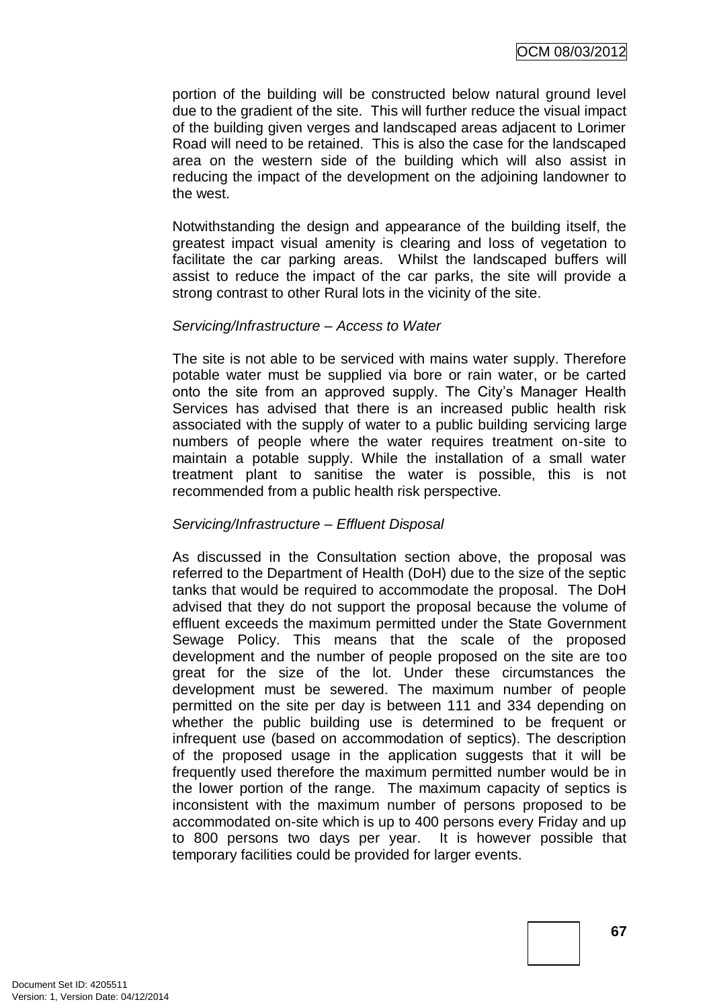portion of the building will be constructed below natural ground level due to the gradient of the site. This will further reduce the visual impact of the building given verges and landscaped areas adjacent to Lorimer Road will need to be retained. This is also the case for the landscaped area on the western side of the building which will also assist in reducing the impact of the development on the adjoining landowner to the west.

Notwithstanding the design and appearance of the building itself, the greatest impact visual amenity is clearing and loss of vegetation to facilitate the car parking areas. Whilst the landscaped buffers will assist to reduce the impact of the car parks, the site will provide a strong contrast to other Rural lots in the vicinity of the site.

#### *Servicing/Infrastructure – Access to Water*

The site is not able to be serviced with mains water supply. Therefore potable water must be supplied via bore or rain water, or be carted onto the site from an approved supply. The City"s Manager Health Services has advised that there is an increased public health risk associated with the supply of water to a public building servicing large numbers of people where the water requires treatment on-site to maintain a potable supply. While the installation of a small water treatment plant to sanitise the water is possible, this is not recommended from a public health risk perspective.

#### *Servicing/Infrastructure – Effluent Disposal*

As discussed in the Consultation section above, the proposal was referred to the Department of Health (DoH) due to the size of the septic tanks that would be required to accommodate the proposal. The DoH advised that they do not support the proposal because the volume of effluent exceeds the maximum permitted under the State Government Sewage Policy. This means that the scale of the proposed development and the number of people proposed on the site are too great for the size of the lot. Under these circumstances the development must be sewered. The maximum number of people permitted on the site per day is between 111 and 334 depending on whether the public building use is determined to be frequent or infrequent use (based on accommodation of septics). The description of the proposed usage in the application suggests that it will be frequently used therefore the maximum permitted number would be in the lower portion of the range. The maximum capacity of septics is inconsistent with the maximum number of persons proposed to be accommodated on-site which is up to 400 persons every Friday and up to 800 persons two days per year. It is however possible that temporary facilities could be provided for larger events.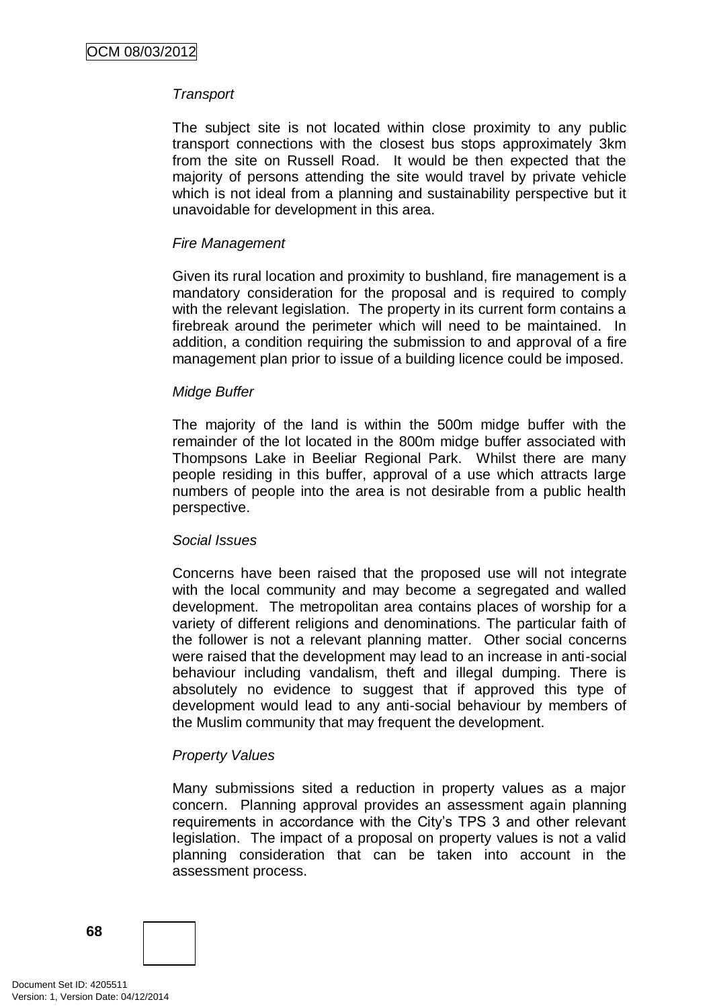#### *Transport*

The subject site is not located within close proximity to any public transport connections with the closest bus stops approximately 3km from the site on Russell Road. It would be then expected that the majority of persons attending the site would travel by private vehicle which is not ideal from a planning and sustainability perspective but it unavoidable for development in this area.

#### *Fire Management*

Given its rural location and proximity to bushland, fire management is a mandatory consideration for the proposal and is required to comply with the relevant legislation. The property in its current form contains a firebreak around the perimeter which will need to be maintained. In addition, a condition requiring the submission to and approval of a fire management plan prior to issue of a building licence could be imposed.

#### *Midge Buffer*

The majority of the land is within the 500m midge buffer with the remainder of the lot located in the 800m midge buffer associated with Thompsons Lake in Beeliar Regional Park. Whilst there are many people residing in this buffer, approval of a use which attracts large numbers of people into the area is not desirable from a public health perspective.

#### *Social Issues*

Concerns have been raised that the proposed use will not integrate with the local community and may become a segregated and walled development. The metropolitan area contains places of worship for a variety of different religions and denominations. The particular faith of the follower is not a relevant planning matter. Other social concerns were raised that the development may lead to an increase in anti-social behaviour including vandalism, theft and illegal dumping. There is absolutely no evidence to suggest that if approved this type of development would lead to any anti-social behaviour by members of the Muslim community that may frequent the development.

#### *Property Values*

Many submissions sited a reduction in property values as a major concern. Planning approval provides an assessment again planning requirements in accordance with the City"s TPS 3 and other relevant legislation. The impact of a proposal on property values is not a valid planning consideration that can be taken into account in the assessment process.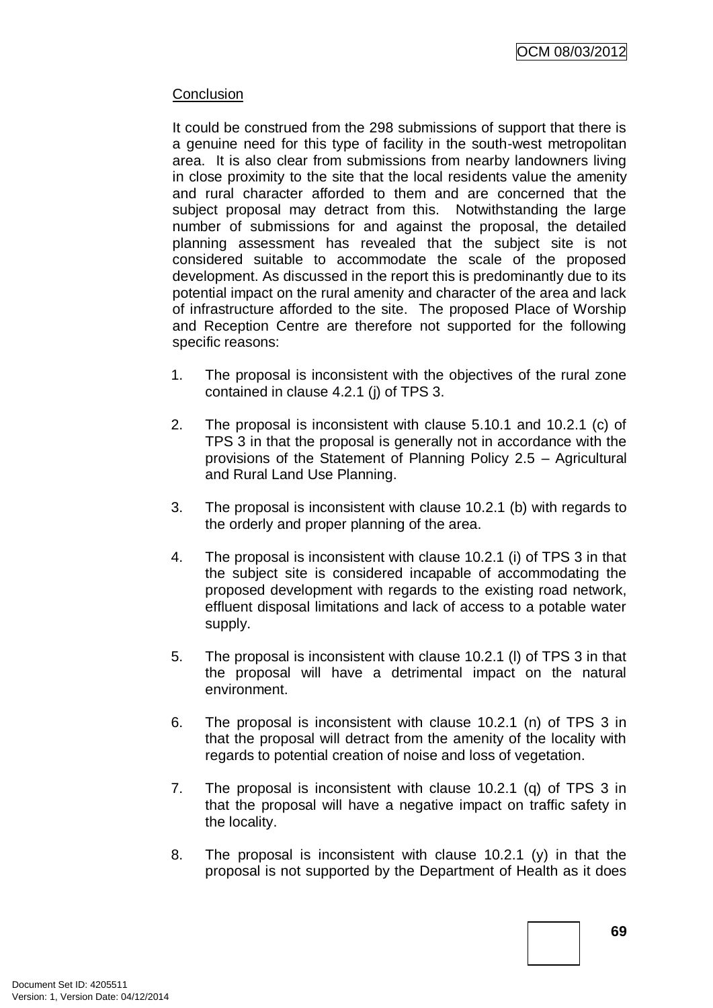### **Conclusion**

It could be construed from the 298 submissions of support that there is a genuine need for this type of facility in the south-west metropolitan area. It is also clear from submissions from nearby landowners living in close proximity to the site that the local residents value the amenity and rural character afforded to them and are concerned that the subject proposal may detract from this. Notwithstanding the large number of submissions for and against the proposal, the detailed planning assessment has revealed that the subject site is not considered suitable to accommodate the scale of the proposed development. As discussed in the report this is predominantly due to its potential impact on the rural amenity and character of the area and lack of infrastructure afforded to the site. The proposed Place of Worship and Reception Centre are therefore not supported for the following specific reasons:

- 1. The proposal is inconsistent with the objectives of the rural zone contained in clause 4.2.1 (j) of TPS 3.
- 2. The proposal is inconsistent with clause 5.10.1 and 10.2.1 (c) of TPS 3 in that the proposal is generally not in accordance with the provisions of the Statement of Planning Policy 2.5 – Agricultural and Rural Land Use Planning.
- 3. The proposal is inconsistent with clause 10.2.1 (b) with regards to the orderly and proper planning of the area.
- 4. The proposal is inconsistent with clause 10.2.1 (i) of TPS 3 in that the subject site is considered incapable of accommodating the proposed development with regards to the existing road network, effluent disposal limitations and lack of access to a potable water supply.
- 5. The proposal is inconsistent with clause 10.2.1 (l) of TPS 3 in that the proposal will have a detrimental impact on the natural environment.
- 6. The proposal is inconsistent with clause 10.2.1 (n) of TPS 3 in that the proposal will detract from the amenity of the locality with regards to potential creation of noise and loss of vegetation.
- 7. The proposal is inconsistent with clause 10.2.1 (q) of TPS 3 in that the proposal will have a negative impact on traffic safety in the locality.
- 8. The proposal is inconsistent with clause 10.2.1 (y) in that the proposal is not supported by the Department of Health as it does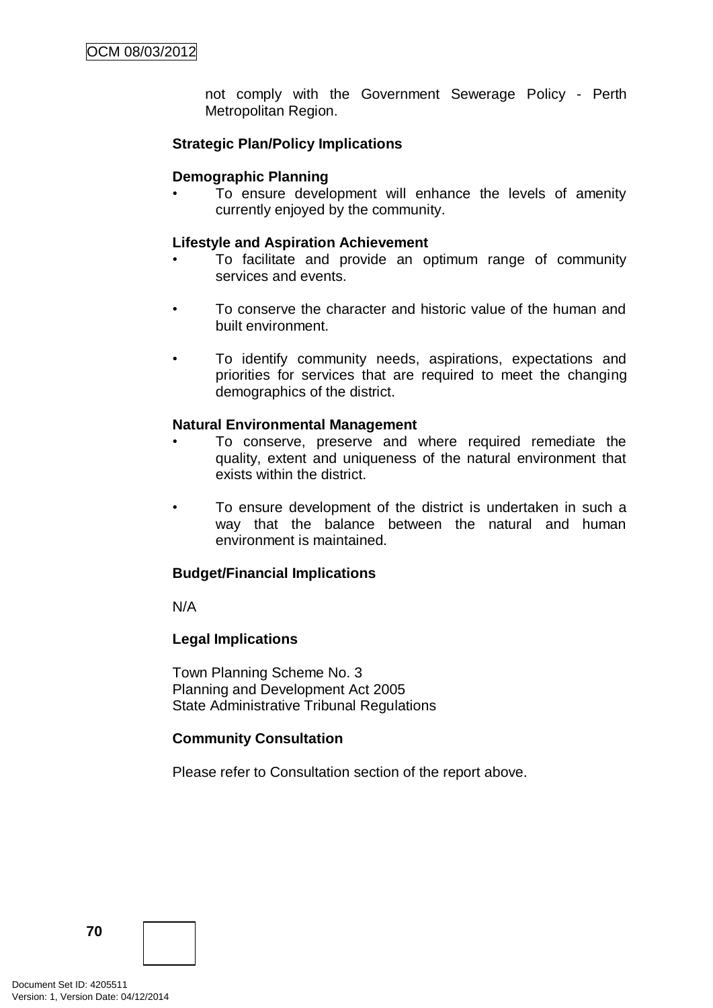not comply with the Government Sewerage Policy - Perth Metropolitan Region.

## **Strategic Plan/Policy Implications**

#### **Demographic Planning**

• To ensure development will enhance the levels of amenity currently enjoyed by the community.

#### **Lifestyle and Aspiration Achievement**

- To facilitate and provide an optimum range of community services and events.
- To conserve the character and historic value of the human and built environment.
- To identify community needs, aspirations, expectations and priorities for services that are required to meet the changing demographics of the district.

#### **Natural Environmental Management**

- To conserve, preserve and where required remediate the quality, extent and uniqueness of the natural environment that exists within the district.
- To ensure development of the district is undertaken in such a way that the balance between the natural and human environment is maintained.

### **Budget/Financial Implications**

N/A

### **Legal Implications**

Town Planning Scheme No. 3 Planning and Development Act 2005 State Administrative Tribunal Regulations

### **Community Consultation**

Please refer to Consultation section of the report above.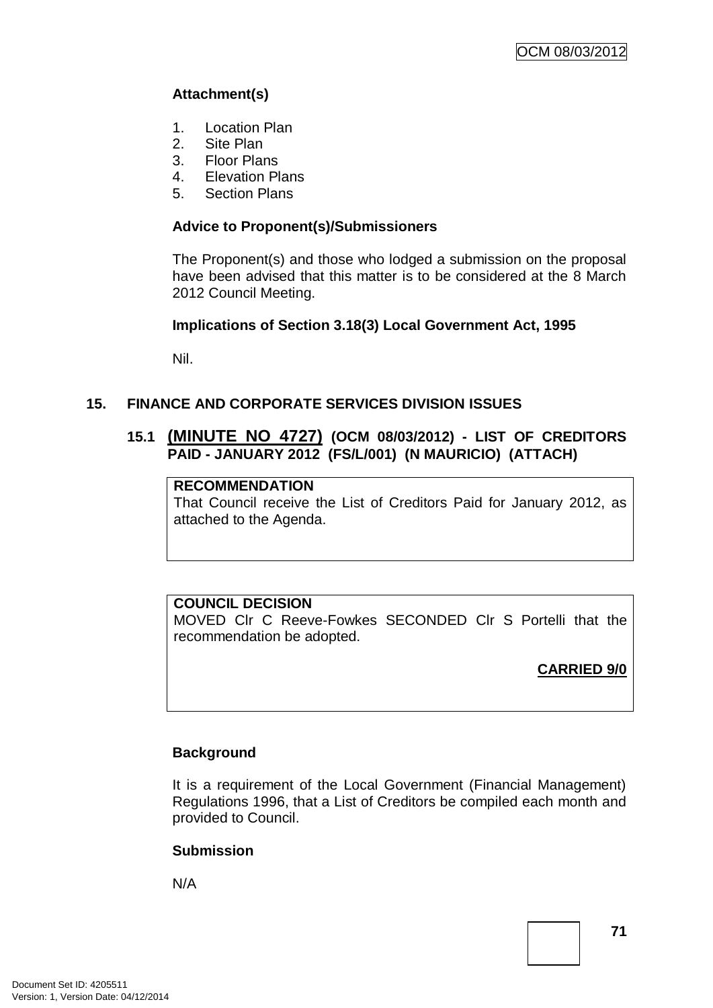## **Attachment(s)**

- 1. Location Plan
- 2. Site Plan
- 3. Floor Plans
- 4. Elevation Plans
- 5. Section Plans

#### **Advice to Proponent(s)/Submissioners**

The Proponent(s) and those who lodged a submission on the proposal have been advised that this matter is to be considered at the 8 March 2012 Council Meeting.

### **Implications of Section 3.18(3) Local Government Act, 1995**

Nil.

### **15. FINANCE AND CORPORATE SERVICES DIVISION ISSUES**

## **15.1 (MINUTE NO 4727) (OCM 08/03/2012) - LIST OF CREDITORS PAID - JANUARY 2012 (FS/L/001) (N MAURICIO) (ATTACH)**

#### **RECOMMENDATION**

That Council receive the List of Creditors Paid for January 2012, as attached to the Agenda.

### **COUNCIL DECISION**

MOVED Clr C Reeve-Fowkes SECONDED Clr S Portelli that the recommendation be adopted.

## **CARRIED 9/0**

### **Background**

It is a requirement of the Local Government (Financial Management) Regulations 1996, that a List of Creditors be compiled each month and provided to Council.

### **Submission**

N/A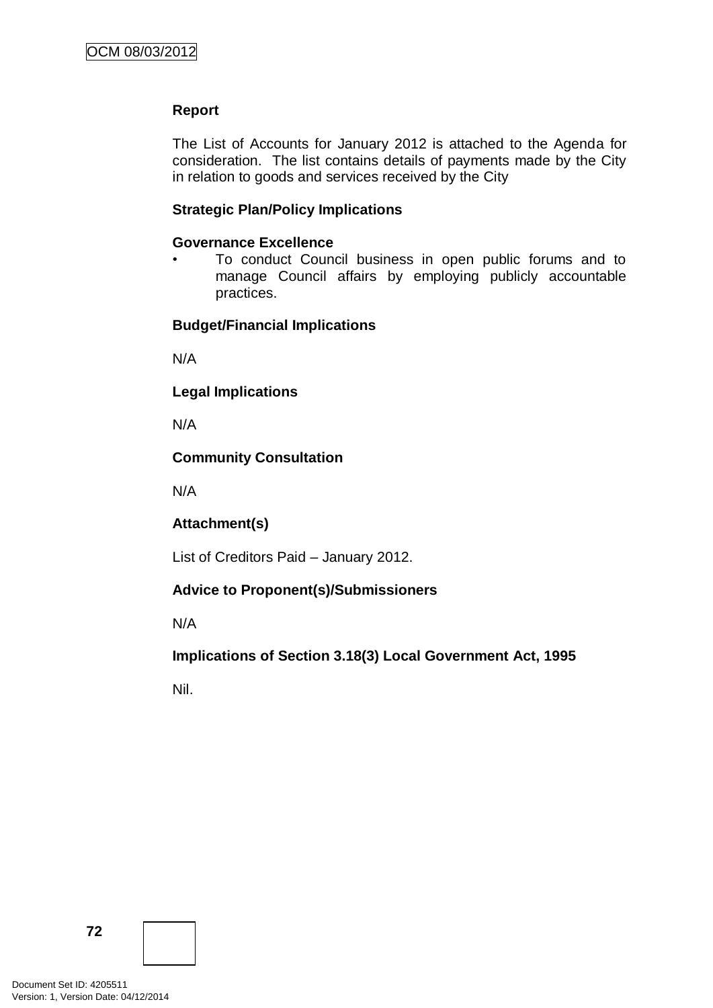## **Report**

The List of Accounts for January 2012 is attached to the Agenda for consideration. The list contains details of payments made by the City in relation to goods and services received by the City

### **Strategic Plan/Policy Implications**

#### **Governance Excellence**

• To conduct Council business in open public forums and to manage Council affairs by employing publicly accountable practices.

#### **Budget/Financial Implications**

N/A

### **Legal Implications**

N/A

### **Community Consultation**

N/A

### **Attachment(s)**

List of Creditors Paid – January 2012.

### **Advice to Proponent(s)/Submissioners**

N/A

### **Implications of Section 3.18(3) Local Government Act, 1995**

Nil.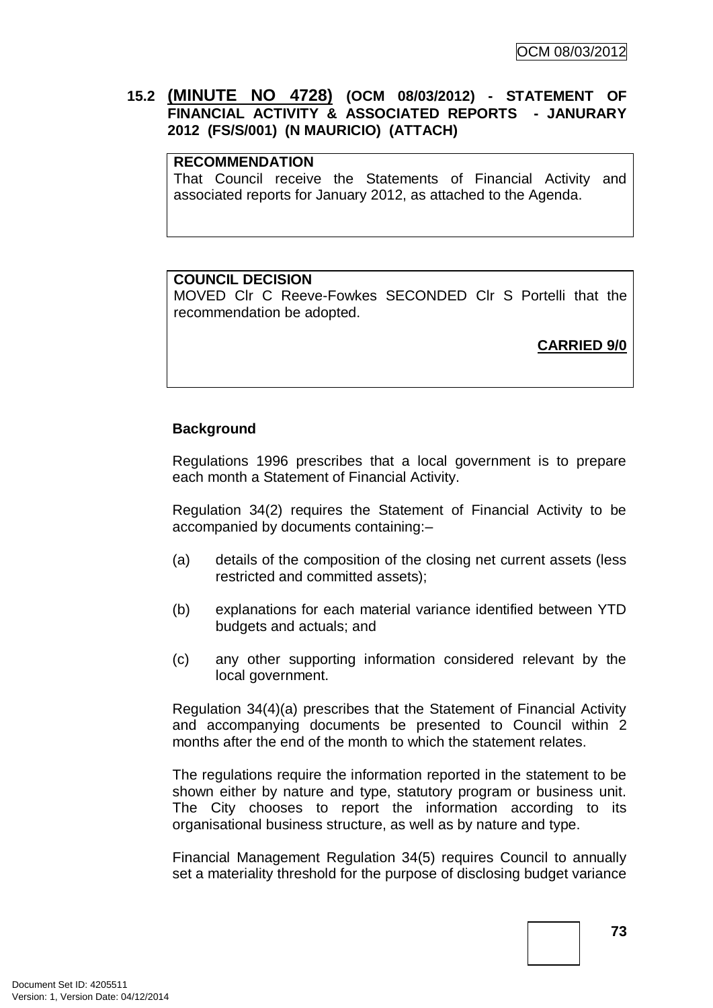## **15.2 (MINUTE NO 4728) (OCM 08/03/2012) - STATEMENT OF FINANCIAL ACTIVITY & ASSOCIATED REPORTS - JANURARY 2012 (FS/S/001) (N MAURICIO) (ATTACH)**

#### **RECOMMENDATION**

That Council receive the Statements of Financial Activity and associated reports for January 2012, as attached to the Agenda.

### **COUNCIL DECISION**

MOVED Clr C Reeve-Fowkes SECONDED Clr S Portelli that the recommendation be adopted.

**CARRIED 9/0**

## **Background**

Regulations 1996 prescribes that a local government is to prepare each month a Statement of Financial Activity.

Regulation 34(2) requires the Statement of Financial Activity to be accompanied by documents containing:–

- (a) details of the composition of the closing net current assets (less restricted and committed assets);
- (b) explanations for each material variance identified between YTD budgets and actuals; and
- (c) any other supporting information considered relevant by the local government.

Regulation 34(4)(a) prescribes that the Statement of Financial Activity and accompanying documents be presented to Council within 2 months after the end of the month to which the statement relates.

The regulations require the information reported in the statement to be shown either by nature and type, statutory program or business unit. The City chooses to report the information according to its organisational business structure, as well as by nature and type.

Financial Management Regulation 34(5) requires Council to annually set a materiality threshold for the purpose of disclosing budget variance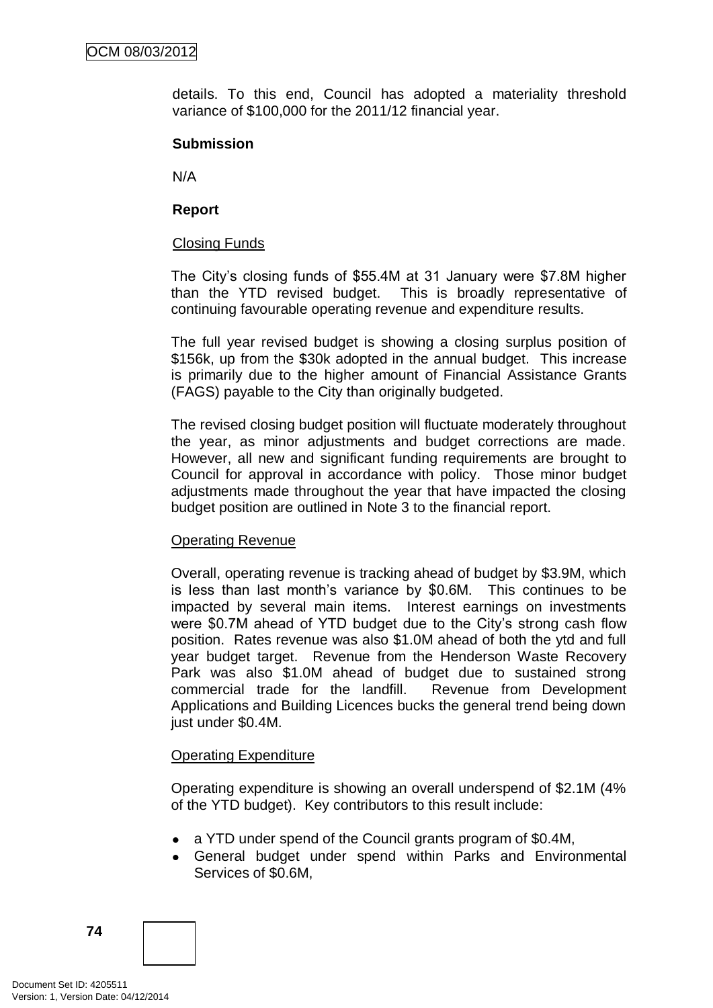details. To this end, Council has adopted a materiality threshold variance of \$100,000 for the 2011/12 financial year.

#### **Submission**

N/A

#### **Report**

#### Closing Funds

The City"s closing funds of \$55.4M at 31 January were \$7.8M higher than the YTD revised budget. This is broadly representative of continuing favourable operating revenue and expenditure results.

The full year revised budget is showing a closing surplus position of \$156k, up from the \$30k adopted in the annual budget. This increase is primarily due to the higher amount of Financial Assistance Grants (FAGS) payable to the City than originally budgeted.

The revised closing budget position will fluctuate moderately throughout the year, as minor adjustments and budget corrections are made. However, all new and significant funding requirements are brought to Council for approval in accordance with policy. Those minor budget adjustments made throughout the year that have impacted the closing budget position are outlined in Note 3 to the financial report.

### Operating Revenue

Overall, operating revenue is tracking ahead of budget by \$3.9M, which is less than last month"s variance by \$0.6M. This continues to be impacted by several main items. Interest earnings on investments were \$0.7M ahead of YTD budget due to the City"s strong cash flow position. Rates revenue was also \$1.0M ahead of both the ytd and full year budget target. Revenue from the Henderson Waste Recovery Park was also \$1.0M ahead of budget due to sustained strong commercial trade for the landfill. Revenue from Development Applications and Building Licences bucks the general trend being down just under \$0.4M.

#### Operating Expenditure

Operating expenditure is showing an overall underspend of \$2.1M (4% of the YTD budget). Key contributors to this result include:

- a YTD under spend of the Council grants program of \$0.4M,
- General budget under spend within Parks and Environmental Services of \$0.6M,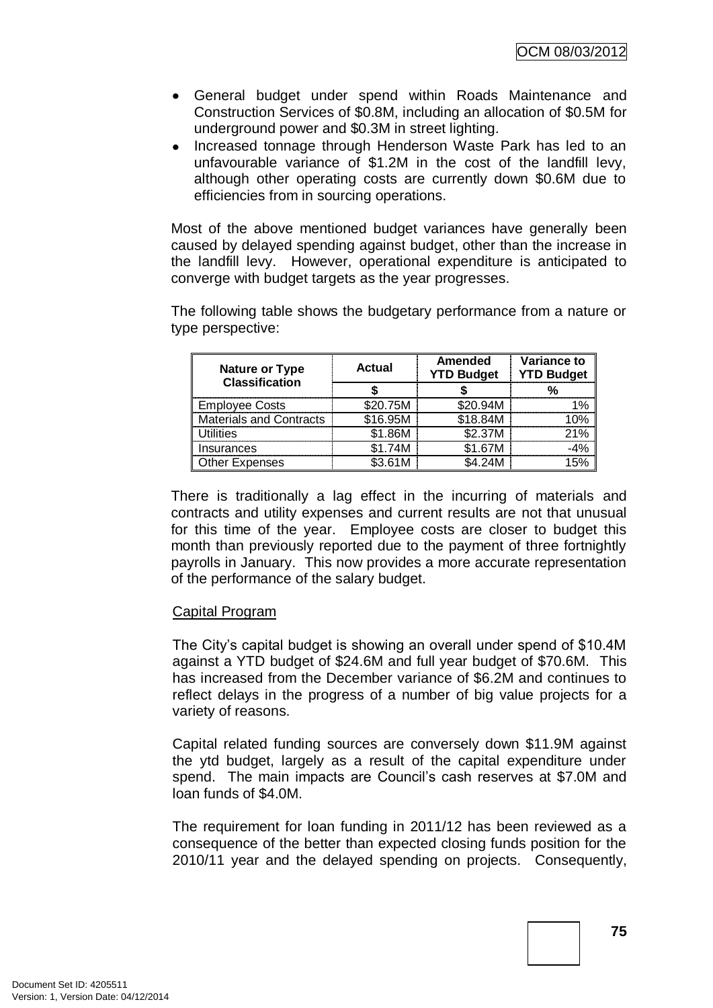- General budget under spend within Roads Maintenance and Construction Services of \$0.8M, including an allocation of \$0.5M for underground power and \$0.3M in street lighting.
- Increased tonnage through Henderson Waste Park has led to an unfavourable variance of \$1.2M in the cost of the landfill levy, although other operating costs are currently down \$0.6M due to efficiencies from in sourcing operations.

Most of the above mentioned budget variances have generally been caused by delayed spending against budget, other than the increase in the landfill levy. However, operational expenditure is anticipated to converge with budget targets as the year progresses.

The following table shows the budgetary performance from a nature or type perspective:

| <b>Nature or Type</b><br><b>Classification</b> | Actual   | <b>Amended</b><br><b>YTD Budget</b> | <b>Variance to</b><br><b>YTD Budget</b> |
|------------------------------------------------|----------|-------------------------------------|-----------------------------------------|
|                                                |          |                                     | %                                       |
| <b>Employee Costs</b>                          | \$20.75M | \$20.94M                            | 1%                                      |
| <b>Materials and Contracts</b>                 | \$16.95M | \$18.84M                            | 10%                                     |
| Utilities                                      | \$1.86M  | \$2.37M                             | 21%                                     |
| Insurances                                     | \$1.74M  | \$1.67M                             | $-4%$                                   |
| <b>Other Expenses</b>                          | \$3.61M  | \$4.24M                             | 15%                                     |

There is traditionally a lag effect in the incurring of materials and contracts and utility expenses and current results are not that unusual for this time of the year. Employee costs are closer to budget this month than previously reported due to the payment of three fortnightly payrolls in January. This now provides a more accurate representation of the performance of the salary budget.

### Capital Program

The City"s capital budget is showing an overall under spend of \$10.4M against a YTD budget of \$24.6M and full year budget of \$70.6M. This has increased from the December variance of \$6.2M and continues to reflect delays in the progress of a number of big value projects for a variety of reasons.

Capital related funding sources are conversely down \$11.9M against the ytd budget, largely as a result of the capital expenditure under spend. The main impacts are Council's cash reserves at \$7.0M and loan funds of \$4.0M.

The requirement for loan funding in 2011/12 has been reviewed as a consequence of the better than expected closing funds position for the 2010/11 year and the delayed spending on projects. Consequently,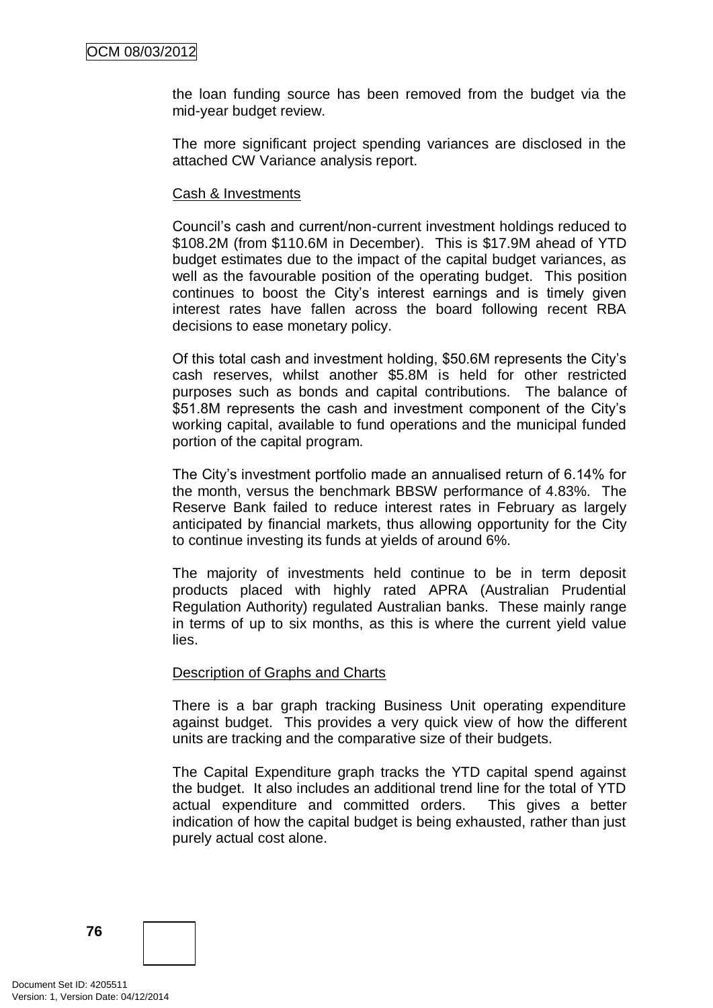the loan funding source has been removed from the budget via the mid-year budget review.

The more significant project spending variances are disclosed in the attached CW Variance analysis report.

#### Cash & Investments

Council"s cash and current/non-current investment holdings reduced to \$108.2M (from \$110.6M in December). This is \$17.9M ahead of YTD budget estimates due to the impact of the capital budget variances, as well as the favourable position of the operating budget. This position continues to boost the City"s interest earnings and is timely given interest rates have fallen across the board following recent RBA decisions to ease monetary policy.

Of this total cash and investment holding, \$50.6M represents the City"s cash reserves, whilst another \$5.8M is held for other restricted purposes such as bonds and capital contributions. The balance of \$51.8M represents the cash and investment component of the City"s working capital, available to fund operations and the municipal funded portion of the capital program.

The City"s investment portfolio made an annualised return of 6.14% for the month, versus the benchmark BBSW performance of 4.83%. The Reserve Bank failed to reduce interest rates in February as largely anticipated by financial markets, thus allowing opportunity for the City to continue investing its funds at yields of around 6%.

The majority of investments held continue to be in term deposit products placed with highly rated APRA (Australian Prudential Regulation Authority) regulated Australian banks. These mainly range in terms of up to six months, as this is where the current yield value lies.

#### Description of Graphs and Charts

There is a bar graph tracking Business Unit operating expenditure against budget. This provides a very quick view of how the different units are tracking and the comparative size of their budgets.

The Capital Expenditure graph tracks the YTD capital spend against the budget. It also includes an additional trend line for the total of YTD actual expenditure and committed orders. This gives a better indication of how the capital budget is being exhausted, rather than just purely actual cost alone.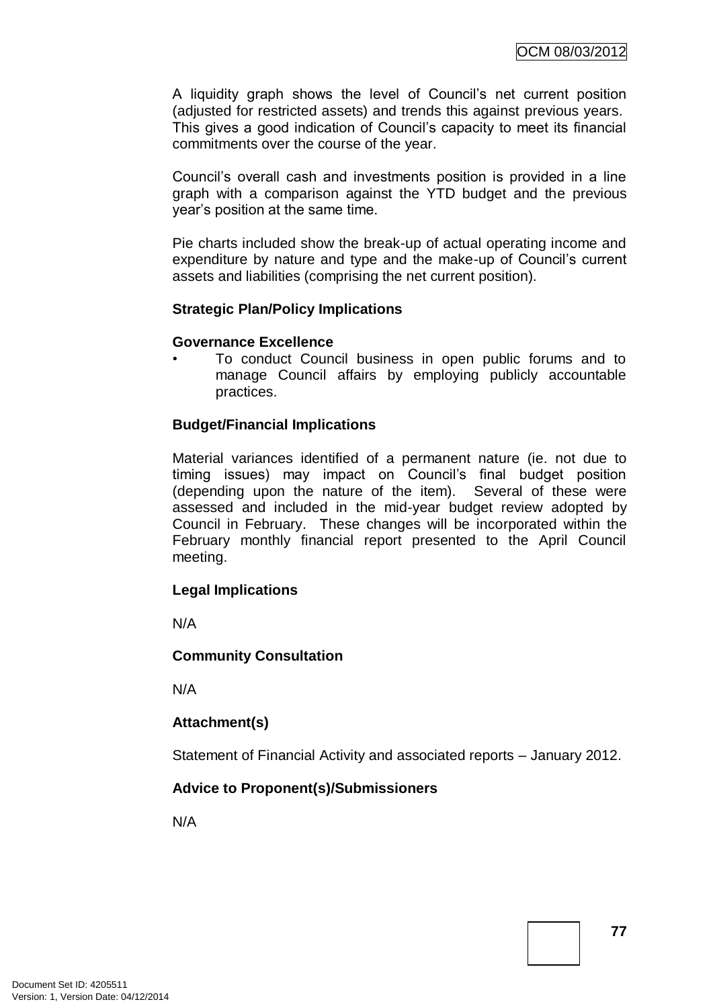A liquidity graph shows the level of Council"s net current position (adjusted for restricted assets) and trends this against previous years. This gives a good indication of Council"s capacity to meet its financial commitments over the course of the year.

Council"s overall cash and investments position is provided in a line graph with a comparison against the YTD budget and the previous year"s position at the same time.

Pie charts included show the break-up of actual operating income and expenditure by nature and type and the make-up of Council"s current assets and liabilities (comprising the net current position).

### **Strategic Plan/Policy Implications**

#### **Governance Excellence**

• To conduct Council business in open public forums and to manage Council affairs by employing publicly accountable practices.

### **Budget/Financial Implications**

Material variances identified of a permanent nature (ie. not due to timing issues) may impact on Council"s final budget position (depending upon the nature of the item). Several of these were assessed and included in the mid-year budget review adopted by Council in February. These changes will be incorporated within the February monthly financial report presented to the April Council meeting.

### **Legal Implications**

N/A

### **Community Consultation**

N/A

### **Attachment(s)**

Statement of Financial Activity and associated reports – January 2012.

### **Advice to Proponent(s)/Submissioners**

N/A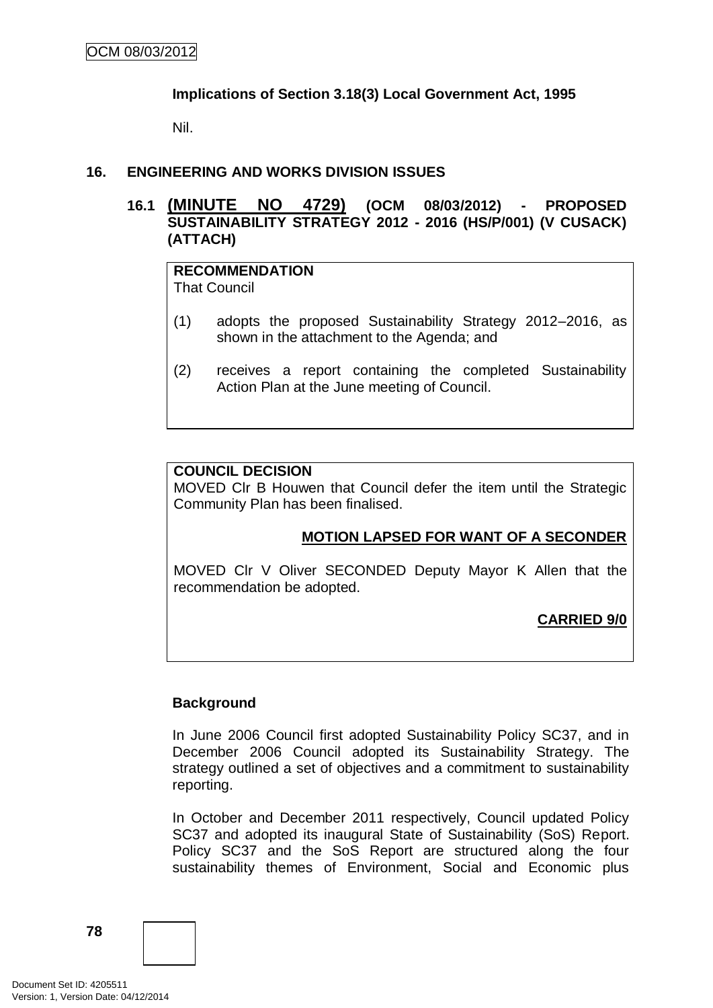**Implications of Section 3.18(3) Local Government Act, 1995**

Nil.

### **16. ENGINEERING AND WORKS DIVISION ISSUES**

**16.1 (MINUTE NO 4729) (OCM 08/03/2012) - PROPOSED SUSTAINABILITY STRATEGY 2012 - 2016 (HS/P/001) (V CUSACK) (ATTACH)**

# **RECOMMENDATION**

That Council

- (1) adopts the proposed Sustainability Strategy 2012–2016, as shown in the attachment to the Agenda; and
- (2) receives a report containing the completed Sustainability Action Plan at the June meeting of Council.

## **COUNCIL DECISION**

MOVED Clr B Houwen that Council defer the item until the Strategic Community Plan has been finalised.

## **MOTION LAPSED FOR WANT OF A SECONDER**

MOVED Clr V Oliver SECONDED Deputy Mayor K Allen that the recommendation be adopted.

**CARRIED 9/0**

### **Background**

In June 2006 Council first adopted Sustainability Policy SC37, and in December 2006 Council adopted its Sustainability Strategy. The strategy outlined a set of objectives and a commitment to sustainability reporting.

In October and December 2011 respectively, Council updated Policy SC37 and adopted its inaugural State of Sustainability (SoS) Report. Policy SC37 and the SoS Report are structured along the four sustainability themes of Environment, Social and Economic plus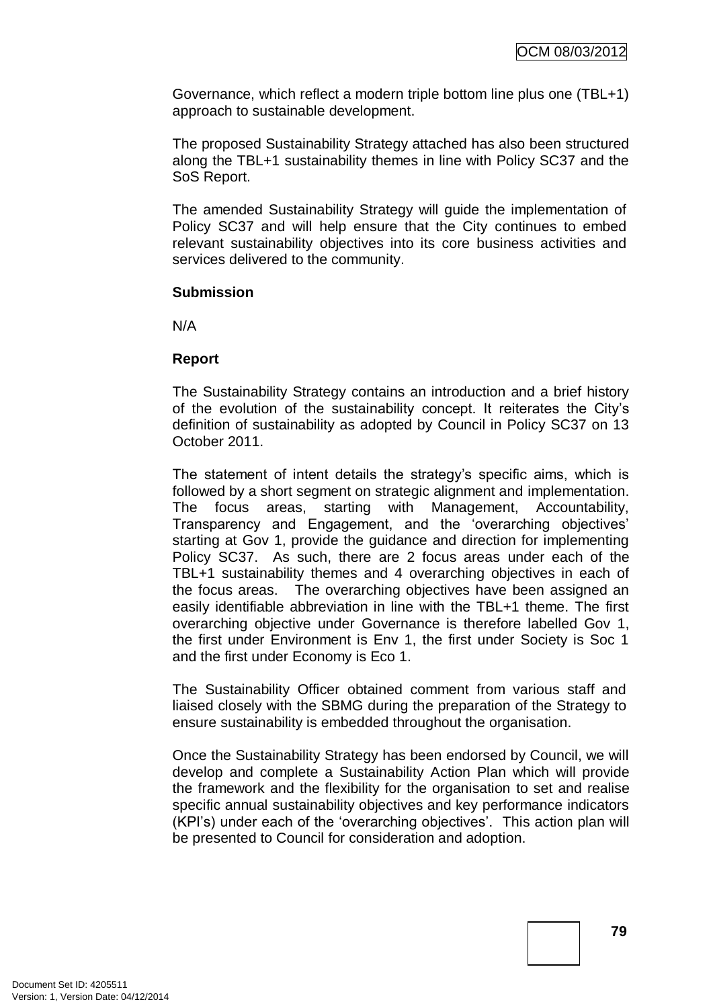Governance, which reflect a modern triple bottom line plus one (TBL+1) approach to sustainable development.

The proposed Sustainability Strategy attached has also been structured along the TBL+1 sustainability themes in line with Policy SC37 and the SoS Report.

The amended Sustainability Strategy will guide the implementation of Policy SC37 and will help ensure that the City continues to embed relevant sustainability objectives into its core business activities and services delivered to the community.

#### **Submission**

N/A

#### **Report**

The Sustainability Strategy contains an introduction and a brief history of the evolution of the sustainability concept. It reiterates the City"s definition of sustainability as adopted by Council in Policy SC37 on 13 October 2011.

The statement of intent details the strategy's specific aims, which is followed by a short segment on strategic alignment and implementation. The focus areas, starting with Management, Accountability, Transparency and Engagement, and the "overarching objectives" starting at Gov 1, provide the guidance and direction for implementing Policy SC37. As such, there are 2 focus areas under each of the TBL+1 sustainability themes and 4 overarching objectives in each of the focus areas. The overarching objectives have been assigned an easily identifiable abbreviation in line with the TBL+1 theme. The first overarching objective under Governance is therefore labelled Gov 1, the first under Environment is Env 1, the first under Society is Soc 1 and the first under Economy is Eco 1.

The Sustainability Officer obtained comment from various staff and liaised closely with the SBMG during the preparation of the Strategy to ensure sustainability is embedded throughout the organisation.

Once the Sustainability Strategy has been endorsed by Council, we will develop and complete a Sustainability Action Plan which will provide the framework and the flexibility for the organisation to set and realise specific annual sustainability objectives and key performance indicators (KPI's) under each of the 'overarching objectives'. This action plan will be presented to Council for consideration and adoption.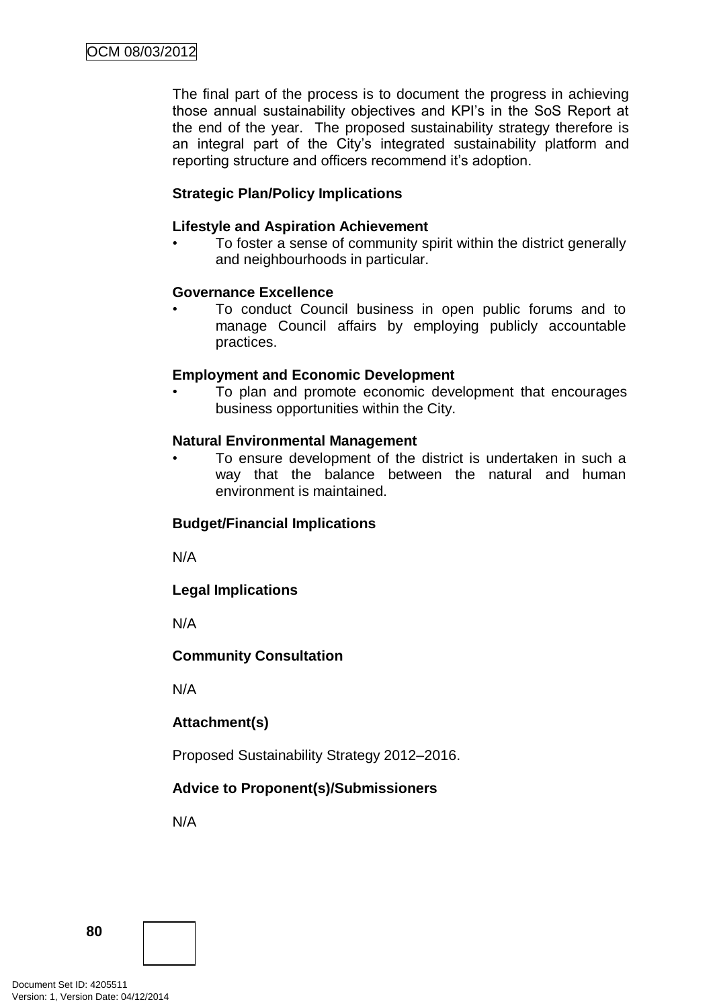The final part of the process is to document the progress in achieving those annual sustainability objectives and KPI"s in the SoS Report at the end of the year. The proposed sustainability strategy therefore is an integral part of the City"s integrated sustainability platform and reporting structure and officers recommend it's adoption.

### **Strategic Plan/Policy Implications**

#### **Lifestyle and Aspiration Achievement**

To foster a sense of community spirit within the district generally and neighbourhoods in particular.

#### **Governance Excellence**

• To conduct Council business in open public forums and to manage Council affairs by employing publicly accountable practices.

#### **Employment and Economic Development**

• To plan and promote economic development that encourages business opportunities within the City.

#### **Natural Environmental Management**

To ensure development of the district is undertaken in such a way that the balance between the natural and human environment is maintained.

### **Budget/Financial Implications**

N/A

### **Legal Implications**

N/A

### **Community Consultation**

N/A

### **Attachment(s)**

Proposed Sustainability Strategy 2012–2016.

### **Advice to Proponent(s)/Submissioners**

N/A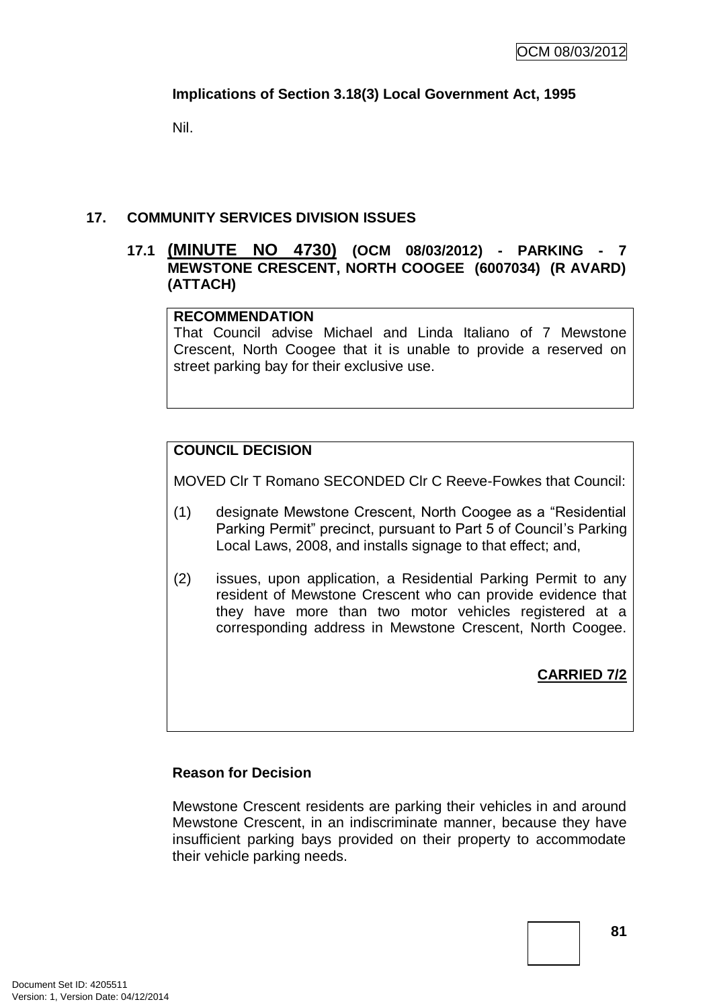## **Implications of Section 3.18(3) Local Government Act, 1995**

Nil.

## **17. COMMUNITY SERVICES DIVISION ISSUES**

## **17.1 (MINUTE NO 4730) (OCM 08/03/2012) - PARKING - 7 MEWSTONE CRESCENT, NORTH COOGEE (6007034) (R AVARD) (ATTACH)**

### **RECOMMENDATION**

That Council advise Michael and Linda Italiano of 7 Mewstone Crescent, North Coogee that it is unable to provide a reserved on street parking bay for their exclusive use.

## **COUNCIL DECISION**

MOVED Clr T Romano SECONDED Clr C Reeve-Fowkes that Council:

- (1) designate Mewstone Crescent, North Coogee as a "Residential Parking Permit" precinct, pursuant to Part 5 of Council's Parking Local Laws, 2008, and installs signage to that effect; and,
- (2) issues, upon application, a Residential Parking Permit to any resident of Mewstone Crescent who can provide evidence that they have more than two motor vehicles registered at a corresponding address in Mewstone Crescent, North Coogee.

**CARRIED 7/2**

### **Reason for Decision**

Mewstone Crescent residents are parking their vehicles in and around Mewstone Crescent, in an indiscriminate manner, because they have insufficient parking bays provided on their property to accommodate their vehicle parking needs.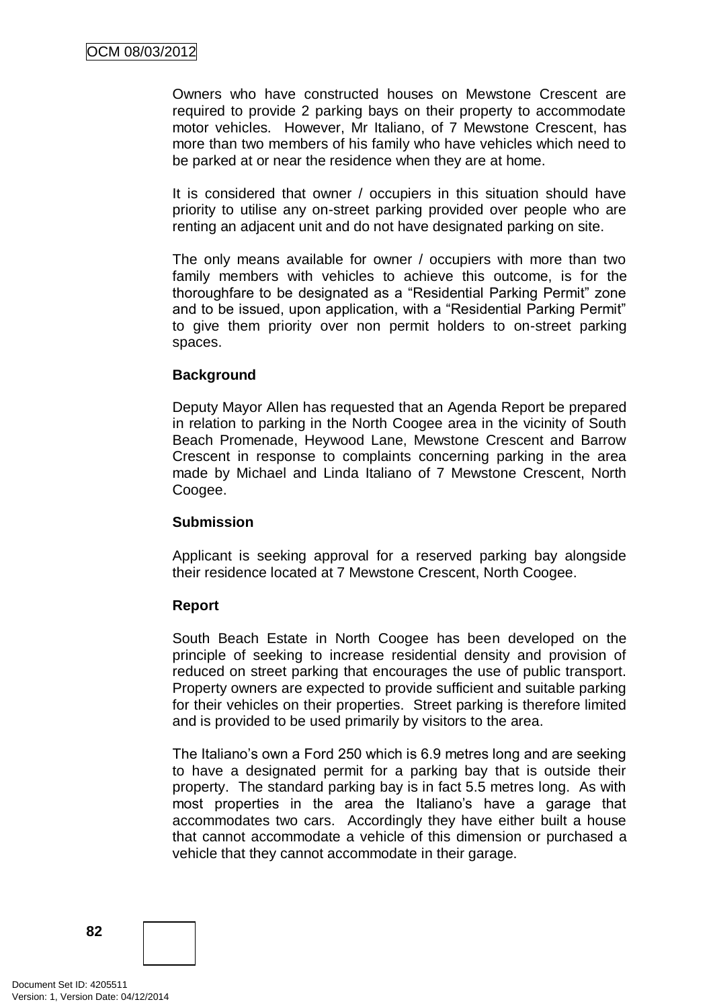Owners who have constructed houses on Mewstone Crescent are required to provide 2 parking bays on their property to accommodate motor vehicles. However, Mr Italiano, of 7 Mewstone Crescent, has more than two members of his family who have vehicles which need to be parked at or near the residence when they are at home.

It is considered that owner / occupiers in this situation should have priority to utilise any on-street parking provided over people who are renting an adjacent unit and do not have designated parking on site.

The only means available for owner / occupiers with more than two family members with vehicles to achieve this outcome, is for the thoroughfare to be designated as a "Residential Parking Permit" zone and to be issued, upon application, with a "Residential Parking Permit" to give them priority over non permit holders to on-street parking spaces.

### **Background**

Deputy Mayor Allen has requested that an Agenda Report be prepared in relation to parking in the North Coogee area in the vicinity of South Beach Promenade, Heywood Lane, Mewstone Crescent and Barrow Crescent in response to complaints concerning parking in the area made by Michael and Linda Italiano of 7 Mewstone Crescent, North Coogee.

#### **Submission**

Applicant is seeking approval for a reserved parking bay alongside their residence located at 7 Mewstone Crescent, North Coogee.

### **Report**

South Beach Estate in North Coogee has been developed on the principle of seeking to increase residential density and provision of reduced on street parking that encourages the use of public transport. Property owners are expected to provide sufficient and suitable parking for their vehicles on their properties. Street parking is therefore limited and is provided to be used primarily by visitors to the area.

The Italiano"s own a Ford 250 which is 6.9 metres long and are seeking to have a designated permit for a parking bay that is outside their property. The standard parking bay is in fact 5.5 metres long. As with most properties in the area the Italiano's have a garage that accommodates two cars. Accordingly they have either built a house that cannot accommodate a vehicle of this dimension or purchased a vehicle that they cannot accommodate in their garage.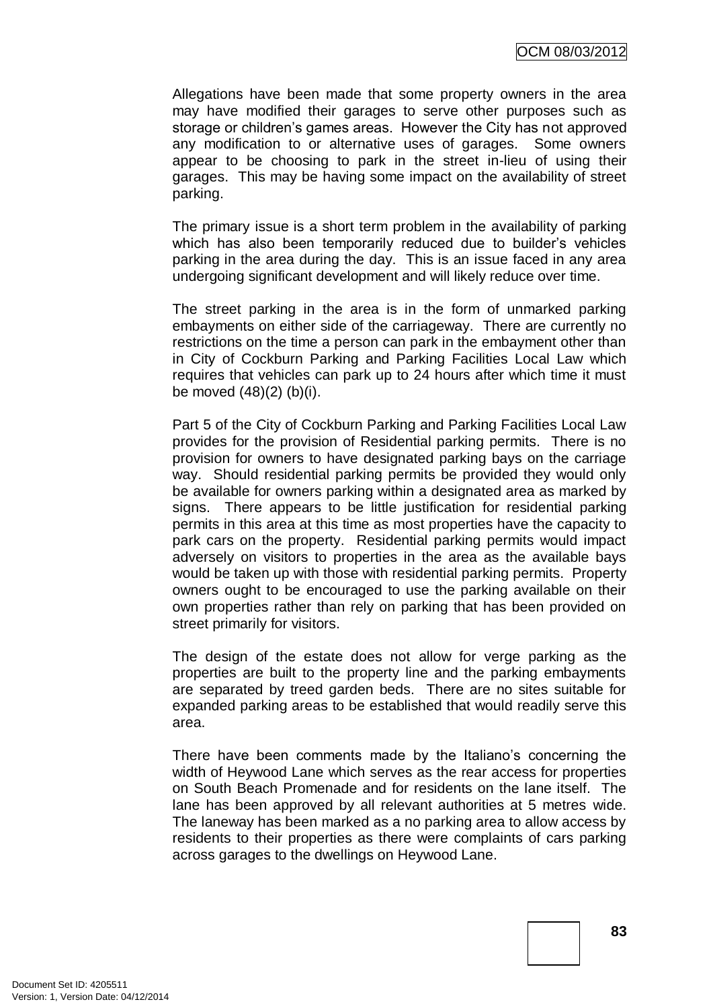Allegations have been made that some property owners in the area may have modified their garages to serve other purposes such as storage or children"s games areas. However the City has not approved any modification to or alternative uses of garages. Some owners appear to be choosing to park in the street in-lieu of using their garages. This may be having some impact on the availability of street parking.

The primary issue is a short term problem in the availability of parking which has also been temporarily reduced due to builder's vehicles parking in the area during the day. This is an issue faced in any area undergoing significant development and will likely reduce over time.

The street parking in the area is in the form of unmarked parking embayments on either side of the carriageway. There are currently no restrictions on the time a person can park in the embayment other than in City of Cockburn Parking and Parking Facilities Local Law which requires that vehicles can park up to 24 hours after which time it must be moved (48)(2) (b)(i).

Part 5 of the City of Cockburn Parking and Parking Facilities Local Law provides for the provision of Residential parking permits. There is no provision for owners to have designated parking bays on the carriage way. Should residential parking permits be provided they would only be available for owners parking within a designated area as marked by signs. There appears to be little justification for residential parking permits in this area at this time as most properties have the capacity to park cars on the property. Residential parking permits would impact adversely on visitors to properties in the area as the available bays would be taken up with those with residential parking permits. Property owners ought to be encouraged to use the parking available on their own properties rather than rely on parking that has been provided on street primarily for visitors.

The design of the estate does not allow for verge parking as the properties are built to the property line and the parking embayments are separated by treed garden beds. There are no sites suitable for expanded parking areas to be established that would readily serve this area.

There have been comments made by the Italiano's concerning the width of Heywood Lane which serves as the rear access for properties on South Beach Promenade and for residents on the lane itself. The lane has been approved by all relevant authorities at 5 metres wide. The laneway has been marked as a no parking area to allow access by residents to their properties as there were complaints of cars parking across garages to the dwellings on Heywood Lane.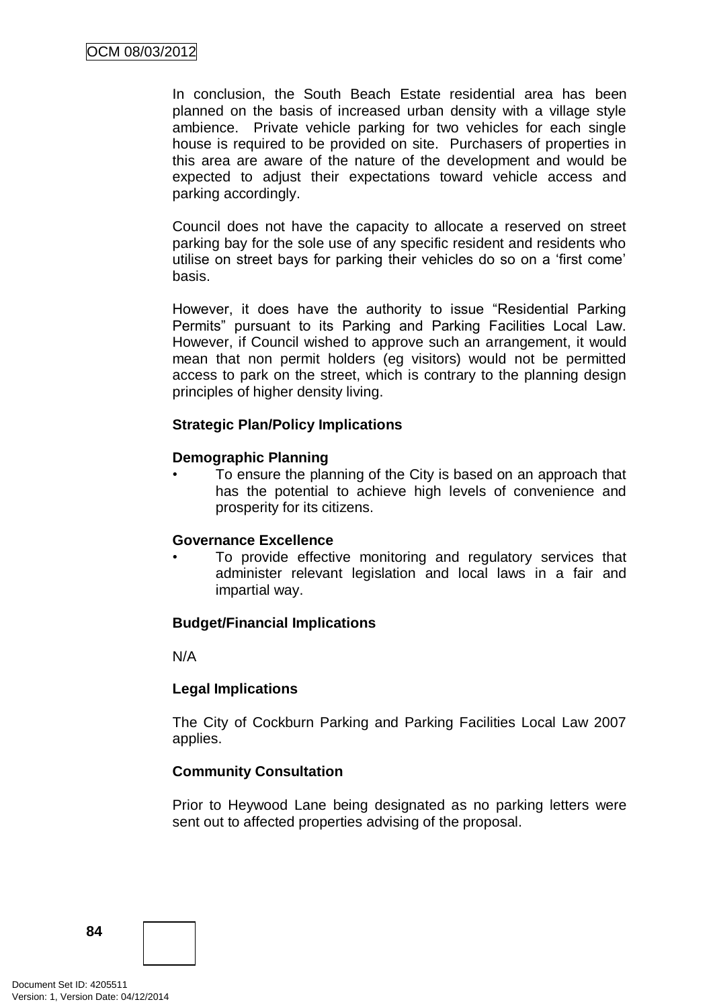In conclusion, the South Beach Estate residential area has been planned on the basis of increased urban density with a village style ambience. Private vehicle parking for two vehicles for each single house is required to be provided on site. Purchasers of properties in this area are aware of the nature of the development and would be expected to adjust their expectations toward vehicle access and parking accordingly.

Council does not have the capacity to allocate a reserved on street parking bay for the sole use of any specific resident and residents who utilise on street bays for parking their vehicles do so on a "first come" basis.

However, it does have the authority to issue "Residential Parking Permits" pursuant to its Parking and Parking Facilities Local Law. However, if Council wished to approve such an arrangement, it would mean that non permit holders (eg visitors) would not be permitted access to park on the street, which is contrary to the planning design principles of higher density living.

### **Strategic Plan/Policy Implications**

#### **Demographic Planning**

• To ensure the planning of the City is based on an approach that has the potential to achieve high levels of convenience and prosperity for its citizens.

### **Governance Excellence**

To provide effective monitoring and regulatory services that administer relevant legislation and local laws in a fair and impartial way.

### **Budget/Financial Implications**

N/A

### **Legal Implications**

The City of Cockburn Parking and Parking Facilities Local Law 2007 applies.

### **Community Consultation**

Prior to Heywood Lane being designated as no parking letters were sent out to affected properties advising of the proposal.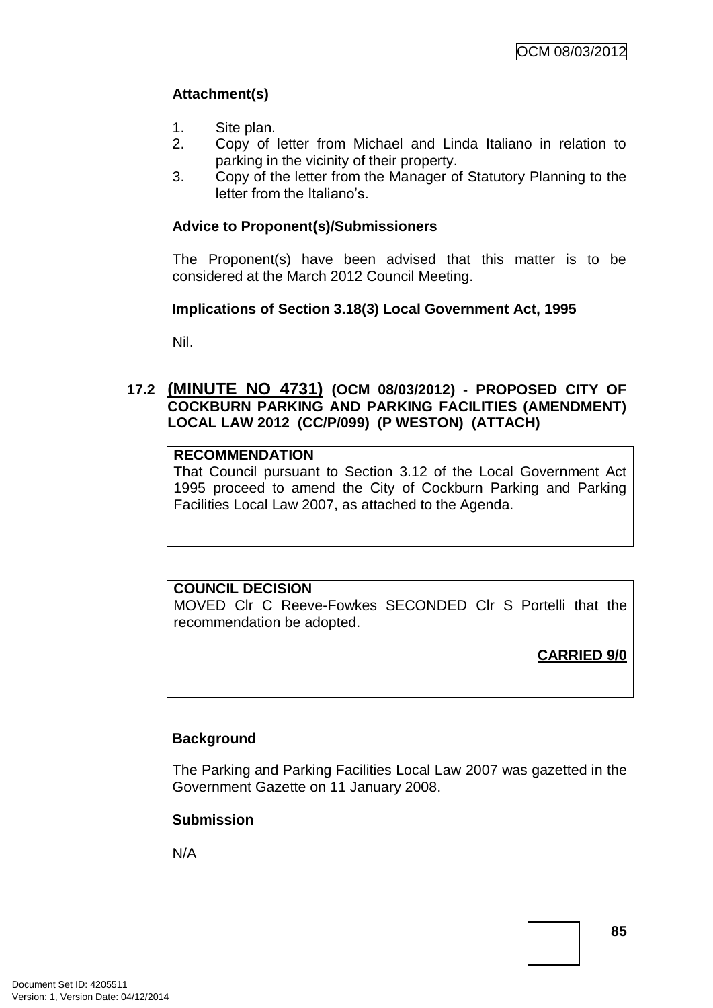## **Attachment(s)**

- 1. Site plan.
- 2. Copy of letter from Michael and Linda Italiano in relation to parking in the vicinity of their property.
- 3. Copy of the letter from the Manager of Statutory Planning to the letter from the Italiano's.

## **Advice to Proponent(s)/Submissioners**

The Proponent(s) have been advised that this matter is to be considered at the March 2012 Council Meeting.

## **Implications of Section 3.18(3) Local Government Act, 1995**

Nil.

## **17.2 (MINUTE NO 4731) (OCM 08/03/2012) - PROPOSED CITY OF COCKBURN PARKING AND PARKING FACILITIES (AMENDMENT) LOCAL LAW 2012 (CC/P/099) (P WESTON) (ATTACH)**

## **RECOMMENDATION**

That Council pursuant to Section 3.12 of the Local Government Act 1995 proceed to amend the City of Cockburn Parking and Parking Facilities Local Law 2007, as attached to the Agenda.

## **COUNCIL DECISION**

MOVED Clr C Reeve-Fowkes SECONDED Clr S Portelli that the recommendation be adopted.

**CARRIED 9/0**

## **Background**

The Parking and Parking Facilities Local Law 2007 was gazetted in the Government Gazette on 11 January 2008.

### **Submission**

N/A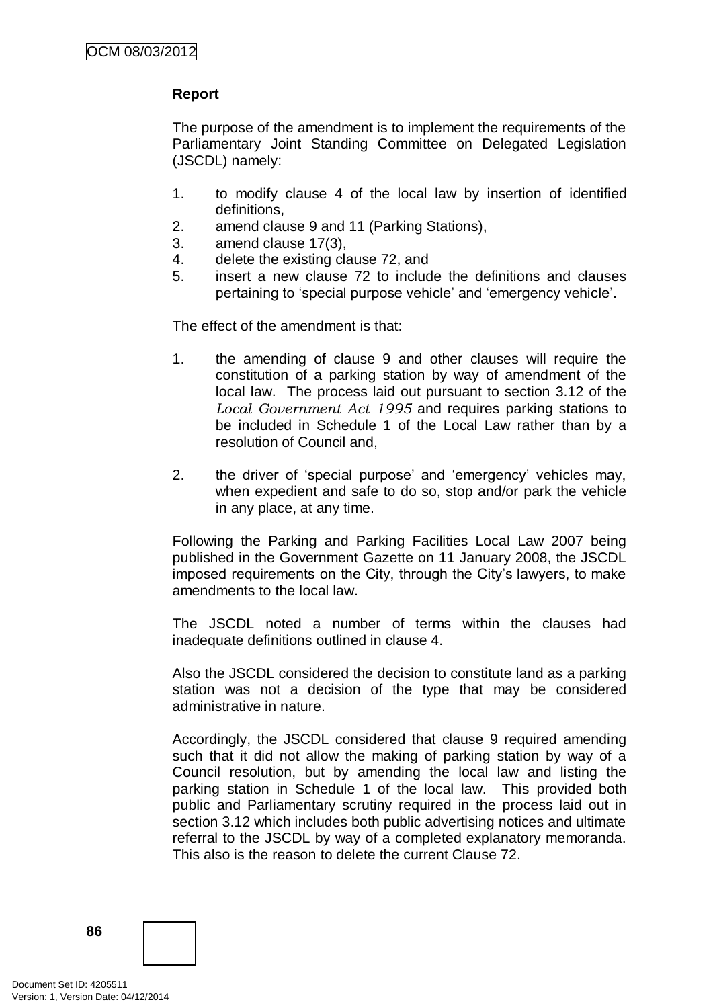### **Report**

The purpose of the amendment is to implement the requirements of the Parliamentary Joint Standing Committee on Delegated Legislation (JSCDL) namely:

- 1. to modify clause 4 of the local law by insertion of identified definitions,
- 2. amend clause 9 and 11 (Parking Stations),
- 3. amend clause 17(3),
- 4. delete the existing clause 72, and
- 5. insert a new clause 72 to include the definitions and clauses pertaining to 'special purpose vehicle' and 'emergency vehicle'.

The effect of the amendment is that:

- 1. the amending of clause 9 and other clauses will require the constitution of a parking station by way of amendment of the local law. The process laid out pursuant to section 3.12 of the *Local Government Act 1995* and requires parking stations to be included in Schedule 1 of the Local Law rather than by a resolution of Council and,
- 2. the driver of "special purpose" and "emergency" vehicles may, when expedient and safe to do so, stop and/or park the vehicle in any place, at any time.

Following the Parking and Parking Facilities Local Law 2007 being published in the Government Gazette on 11 January 2008, the JSCDL imposed requirements on the City, through the City"s lawyers, to make amendments to the local law.

The JSCDL noted a number of terms within the clauses had inadequate definitions outlined in clause 4.

Also the JSCDL considered the decision to constitute land as a parking station was not a decision of the type that may be considered administrative in nature.

Accordingly, the JSCDL considered that clause 9 required amending such that it did not allow the making of parking station by way of a Council resolution, but by amending the local law and listing the parking station in Schedule 1 of the local law. This provided both public and Parliamentary scrutiny required in the process laid out in section 3.12 which includes both public advertising notices and ultimate referral to the JSCDL by way of a completed explanatory memoranda. This also is the reason to delete the current Clause 72.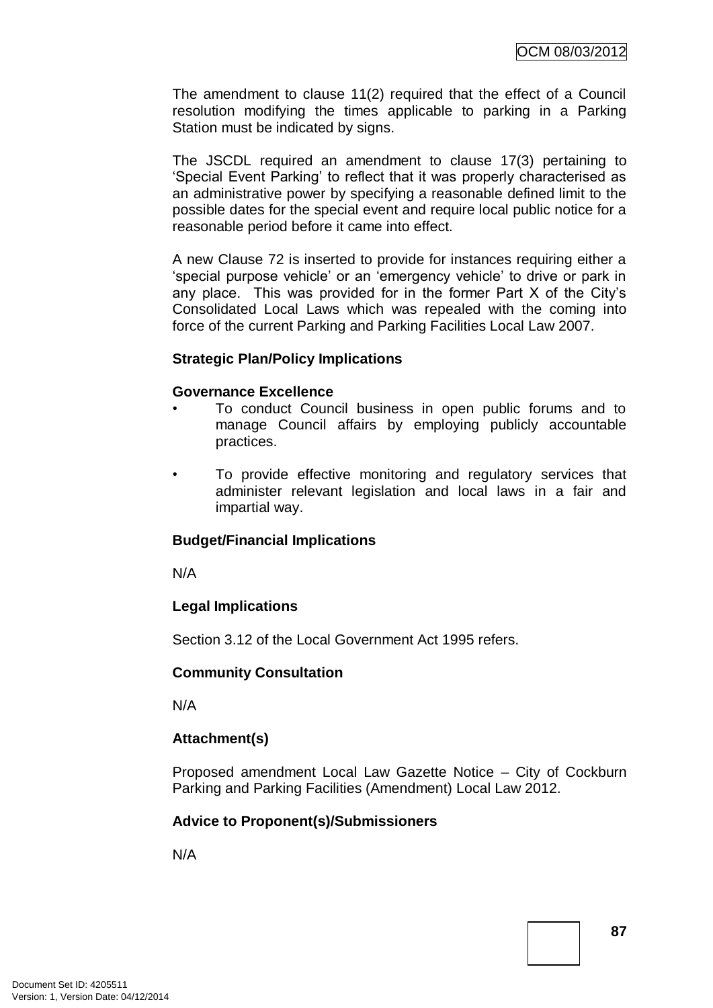The amendment to clause 11(2) required that the effect of a Council resolution modifying the times applicable to parking in a Parking Station must be indicated by signs.

The JSCDL required an amendment to clause 17(3) pertaining to "Special Event Parking" to reflect that it was properly characterised as an administrative power by specifying a reasonable defined limit to the possible dates for the special event and require local public notice for a reasonable period before it came into effect.

A new Clause 72 is inserted to provide for instances requiring either a "special purpose vehicle" or an "emergency vehicle" to drive or park in any place. This was provided for in the former Part X of the City"s Consolidated Local Laws which was repealed with the coming into force of the current Parking and Parking Facilities Local Law 2007.

#### **Strategic Plan/Policy Implications**

#### **Governance Excellence**

- To conduct Council business in open public forums and to manage Council affairs by employing publicly accountable practices.
- To provide effective monitoring and regulatory services that administer relevant legislation and local laws in a fair and impartial way.

### **Budget/Financial Implications**

N/A

### **Legal Implications**

Section 3.12 of the Local Government Act 1995 refers.

### **Community Consultation**

N/A

### **Attachment(s)**

Proposed amendment Local Law Gazette Notice – City of Cockburn Parking and Parking Facilities (Amendment) Local Law 2012.

### **Advice to Proponent(s)/Submissioners**

N/A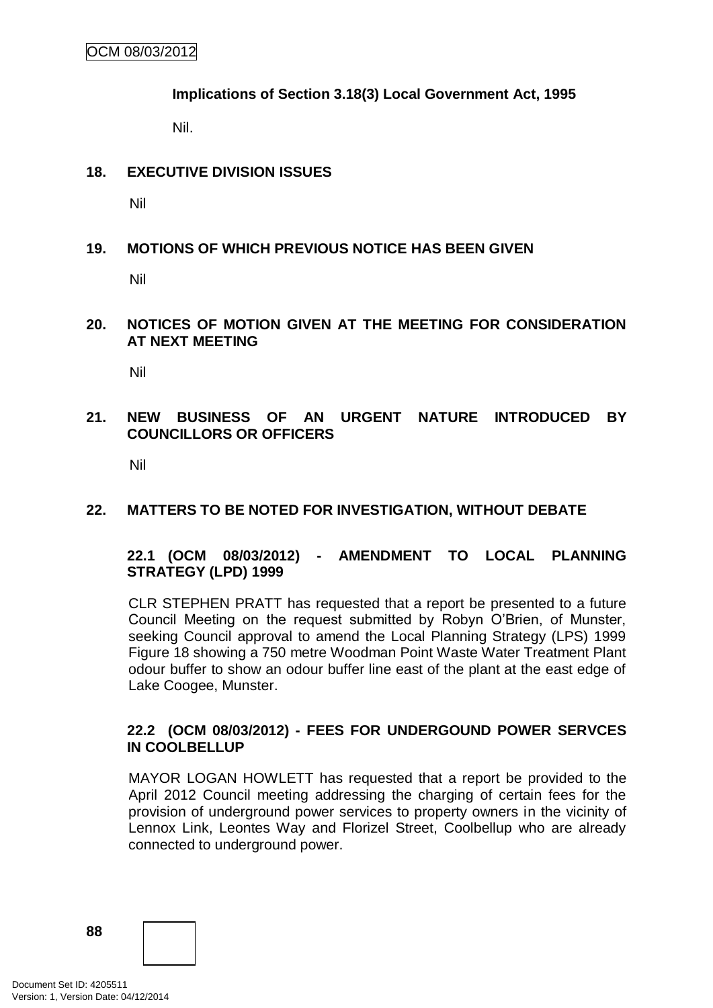**Implications of Section 3.18(3) Local Government Act, 1995**

Nil.

### **18. EXECUTIVE DIVISION ISSUES**

Nil

## **19. MOTIONS OF WHICH PREVIOUS NOTICE HAS BEEN GIVEN**

Nil

### **20. NOTICES OF MOTION GIVEN AT THE MEETING FOR CONSIDERATION AT NEXT MEETING**

Nil

### **21. NEW BUSINESS OF AN URGENT NATURE INTRODUCED BY COUNCILLORS OR OFFICERS**

Nil

### **22. MATTERS TO BE NOTED FOR INVESTIGATION, WITHOUT DEBATE**

## **22.1 (OCM 08/03/2012) - AMENDMENT TO LOCAL PLANNING STRATEGY (LPD) 1999**

CLR STEPHEN PRATT has requested that a report be presented to a future Council Meeting on the request submitted by Robyn O"Brien, of Munster, seeking Council approval to amend the Local Planning Strategy (LPS) 1999 Figure 18 showing a 750 metre Woodman Point Waste Water Treatment Plant odour buffer to show an odour buffer line east of the plant at the east edge of Lake Coogee, Munster.

### **22.2 (OCM 08/03/2012) - FEES FOR UNDERGOUND POWER SERVCES IN COOLBELLUP**

MAYOR LOGAN HOWLETT has requested that a report be provided to the April 2012 Council meeting addressing the charging of certain fees for the provision of underground power services to property owners in the vicinity of Lennox Link, Leontes Way and Florizel Street, Coolbellup who are already connected to underground power.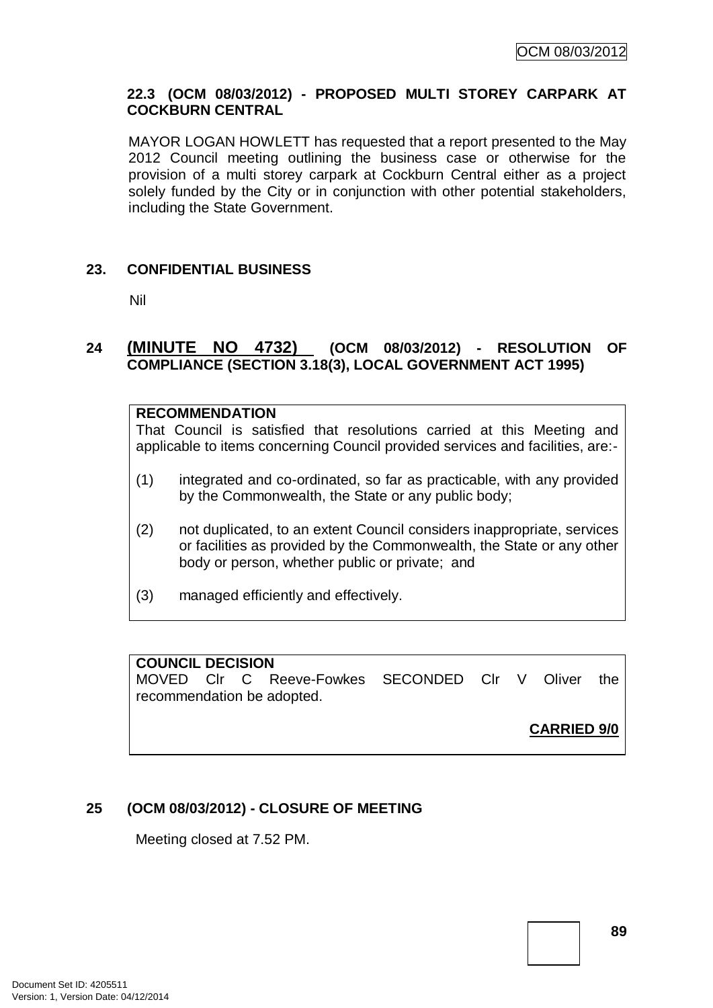### **22.3 (OCM 08/03/2012) - PROPOSED MULTI STOREY CARPARK AT COCKBURN CENTRAL**

MAYOR LOGAN HOWLETT has requested that a report presented to the May 2012 Council meeting outlining the business case or otherwise for the provision of a multi storey carpark at Cockburn Central either as a project solely funded by the City or in conjunction with other potential stakeholders, including the State Government.

## **23. CONFIDENTIAL BUSINESS**

Nil

## **24 (MINUTE NO 4732) (OCM 08/03/2012) - RESOLUTION OF COMPLIANCE (SECTION 3.18(3), LOCAL GOVERNMENT ACT 1995)**

## **RECOMMENDATION**

That Council is satisfied that resolutions carried at this Meeting and applicable to items concerning Council provided services and facilities, are:-

- (1) integrated and co-ordinated, so far as practicable, with any provided by the Commonwealth, the State or any public body;
- (2) not duplicated, to an extent Council considers inappropriate, services or facilities as provided by the Commonwealth, the State or any other body or person, whether public or private; and
- (3) managed efficiently and effectively.

# **COUNCIL DECISION**

MOVED Clr C Reeve-Fowkes SECONDED Clr V Oliver the recommendation be adopted.

**CARRIED 9/0**

# **25 (OCM 08/03/2012) - CLOSURE OF MEETING**

Meeting closed at 7.52 PM.